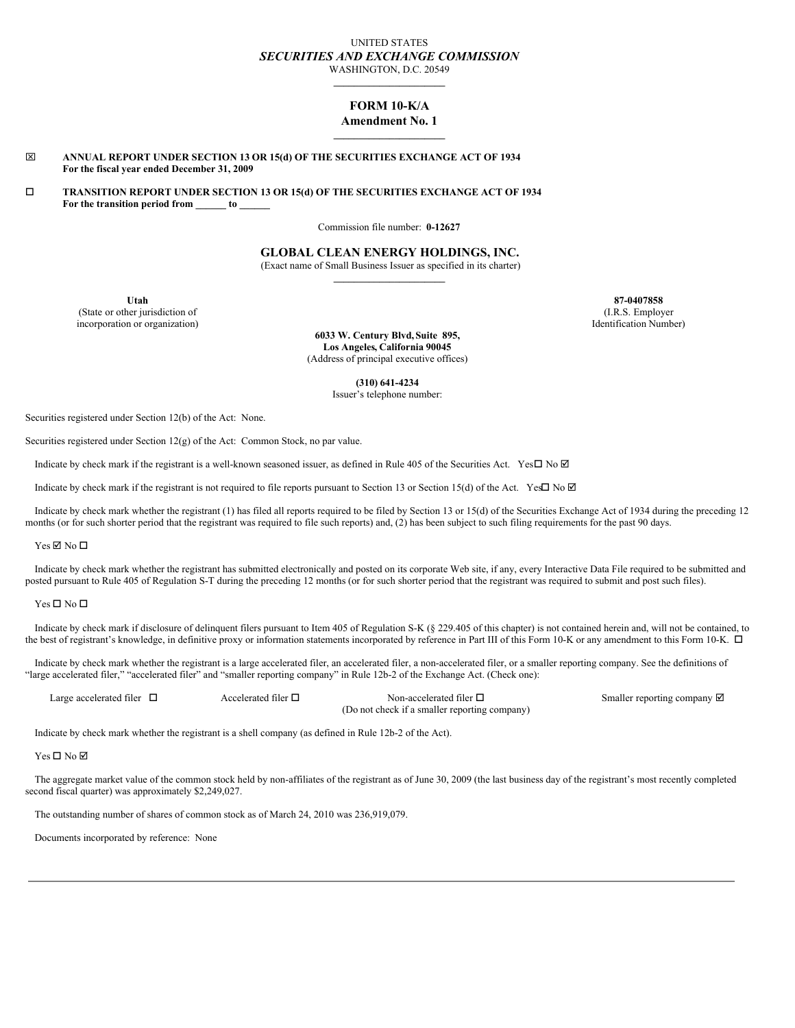### UNITED STATES *SECURITIES AND EXCHANGE COMMISSION* WASHINGTON, D.C. 20549

**\_\_\_\_\_\_\_\_\_\_\_\_\_\_\_\_\_\_\_\_\_\_**

# **FORM 10-K/A**

### **Amendment No. 1 \_\_\_\_\_\_\_\_\_\_\_\_\_\_\_\_\_\_\_\_\_\_**

x **ANNUAL REPORT UNDER SECTION 13 OR 15(d) OF THE SECURITIES EXCHANGE ACT OF 1934 For the fiscal year ended December 31, 2009**

o **TRANSITION REPORT UNDER SECTION 13 OR 15(d) OF THE SECURITIES EXCHANGE ACT OF 1934 For the transition period from \_\_\_\_\_\_ to \_\_\_\_\_\_**

Commission file number: **0-12627**

**GLOBAL CLEAN ENERGY HOLDINGS, INC.** (Exact name of Small Business Issuer as specified in its charter) **\_\_\_\_\_\_\_\_\_\_\_\_\_\_\_\_\_\_\_\_\_\_**

(State or other jurisdiction of incorporation or organization)

**Utah 87-0407858** (I.R.S. Employer Identification Number)

> **6033 W. Century Blvd,Suite 895, Los Angeles, California 90045** (Address of principal executive offices)

> > **(310) 641-4234**

Issuer's telephone number:

Securities registered under Section 12(b) of the Act: None.

Securities registered under Section 12(g) of the Act: Common Stock, no par value.

Indicate by check mark if the registrant is a well-known seasoned issuer, as defined in Rule 405 of the Securities Act. Yes $\Box$  No  $\Box$ 

Indicate by check mark if the registrant is not required to file reports pursuant to Section 13 or Section 15(d) of the Act. Yes $\Box$  No  $\Box$ 

Indicate by check mark whether the registrant (1) has filed all reports required to be filed by Section 13 or 15(d) of the Securities Exchange Act of 1934 during the preceding 12 months (or for such shorter period that the registrant was required to file such reports) and, (2) has been subject to such filing requirements for the past 90 days.

### $Yes \nbox{ } No \nbox{ } D$

Indicate by check mark whether the registrant has submitted electronically and posted on its corporate Web site, if any, every Interactive Data File required to be submitted and posted pursuant to Rule 405 of Regulation S-T during the preceding 12 months (or for such shorter period that the registrant was required to submit and post such files).

### $Yes \Box No \Box$

Indicate by check mark if disclosure of delinquent filers pursuant to Item 405 of Regulation S-K (§ 229.405 of this chapter) is not contained herein and, will not be contained, to the best of registrant's knowledge, in definitive proxy or information statements incorporated by reference in Part III of this Form 10-K or any amendment to this Form 10-K.  $\Box$ 

Indicate by check mark whether the registrant is a large accelerated filer, an accelerated filer, a non-accelerated filer, or a smaller reporting company. See the definitions of "large accelerated filer," "accelerated filer" and "smaller reporting company" in Rule 12b-2 of the Exchange Act. (Check one):

| Large accelerated<br>.r filer<br>and the state of the con- | tiler | Non-a<br>tilet<br>$-$ lerate $\sigma$             | company<br>reporting<br>$\sim$ $\sim$ $\sim$ $\sim$ $\sim$ $\sim$ |
|------------------------------------------------------------|-------|---------------------------------------------------|-------------------------------------------------------------------|
|                                                            |       | (Do not check if a smaller reporting)<br>company. |                                                                   |

Indicate by check mark whether the registrant is a shell company (as defined in Rule 12b-2 of the Act).

### Yes □ No ☑

The aggregate market value of the common stock held by non-affiliates of the registrant as of June 30, 2009 (the last business day of the registrant's most recently completed second fiscal quarter) was approximately \$2,249,027.

The outstanding number of shares of common stock as of March 24, 2010 was 236,919,079.

Documents incorporated by reference: None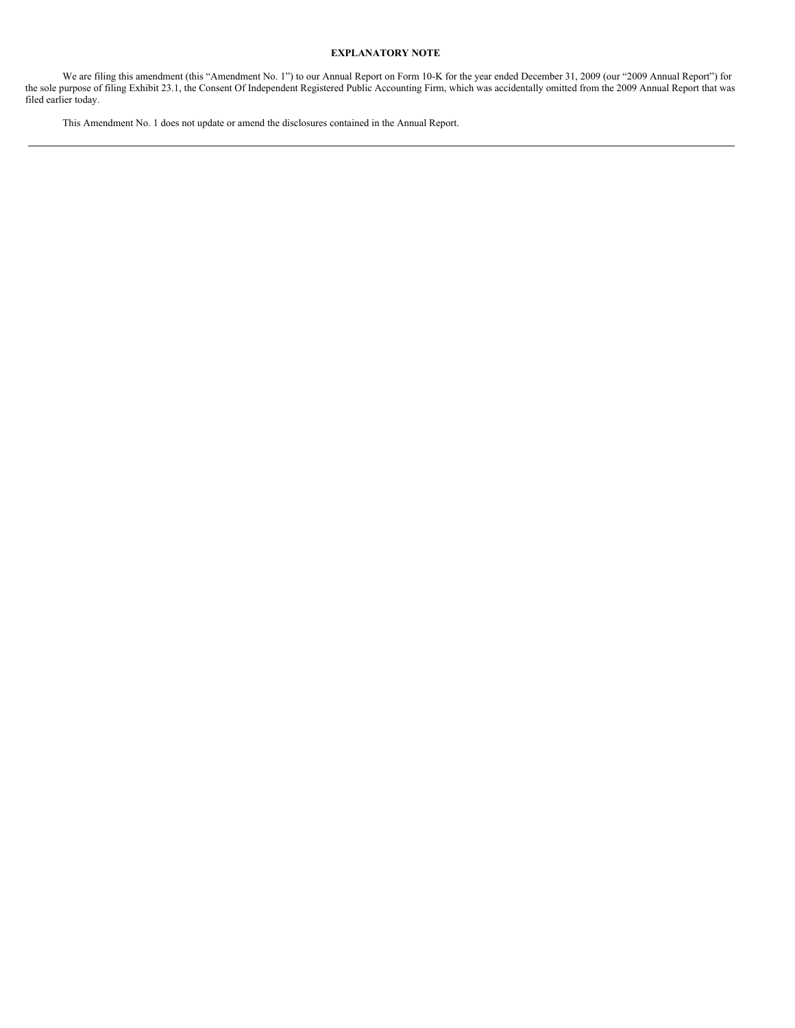## **EXPLANATORY NOTE**

We are filing this amendment (this "Amendment No. 1") to our Annual Report on Form 10-K for the year ended December 31, 2009 (our "2009 Annual Report") for the sole purpose of filing Exhibit 23.1, the Consent Of Independent Registered Public Accounting Firm, which was accidentally omitted from the 2009 Annual Report that was filed earlier today.

This Amendment No. 1 does not update or amend the disclosures contained in the Annual Report.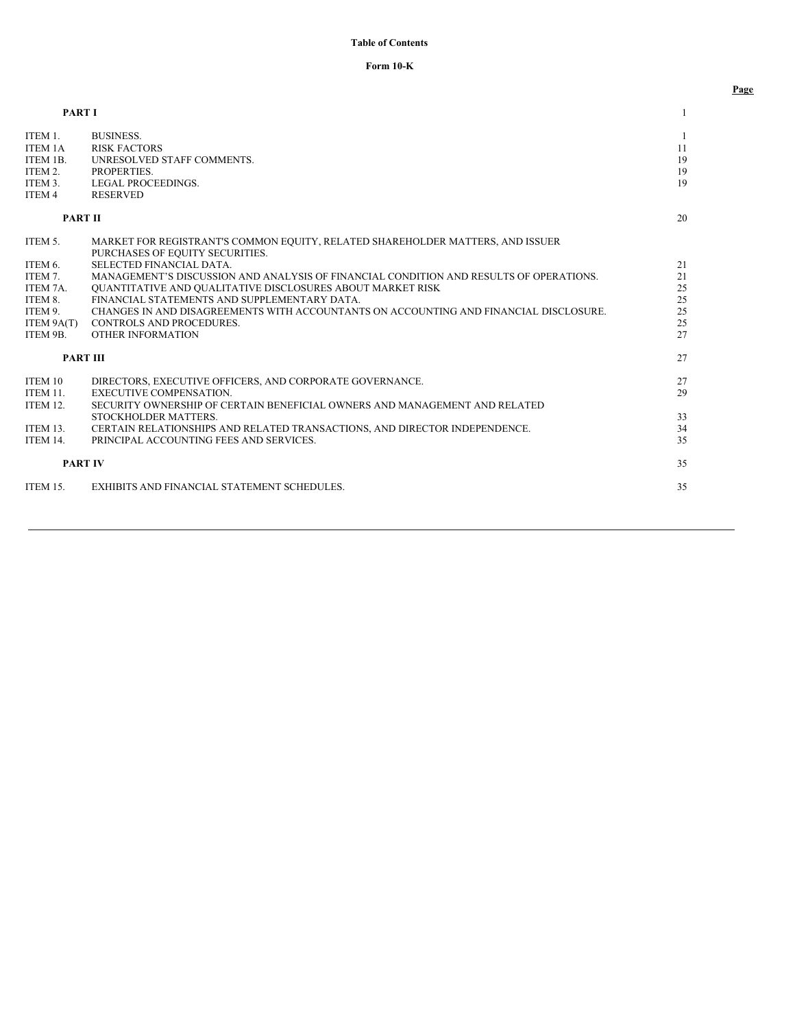## **Table of Contents**

## **Form 10-K**

| <b>PART I</b>   |                                                                                                                   |    |
|-----------------|-------------------------------------------------------------------------------------------------------------------|----|
| ITEM 1.         | <b>BUSINESS.</b>                                                                                                  |    |
| <b>ITEM 1A</b>  | <b>RISK FACTORS</b>                                                                                               | 11 |
| ITEM 1B.        | UNRESOLVED STAFF COMMENTS.                                                                                        | 19 |
| ITEM 2.         | PROPERTIES.                                                                                                       | 19 |
| ITEM 3.         | <b>LEGAL PROCEEDINGS.</b>                                                                                         | 19 |
| <b>ITEM 4</b>   | <b>RESERVED</b>                                                                                                   |    |
| <b>PART II</b>  |                                                                                                                   | 20 |
| ITEM 5.         | MARKET FOR REGISTRANT'S COMMON EQUITY, RELATED SHAREHOLDER MATTERS, AND ISSUER<br>PURCHASES OF EQUITY SECURITIES. |    |
| ITEM 6.         | SELECTED FINANCIAL DATA.                                                                                          | 21 |
| ITEM 7.         | MANAGEMENT'S DISCUSSION AND ANALYSIS OF FINANCIAL CONDITION AND RESULTS OF OPERATIONS.                            | 21 |
| ITEM 7A.        | <b>OUANTITATIVE AND OUALITATIVE DISCLOSURES ABOUT MARKET RISK</b>                                                 | 25 |
| ITEM 8.         | FINANCIAL STATEMENTS AND SUPPLEMENTARY DATA.                                                                      | 25 |
| ITEM 9.         | CHANGES IN AND DISAGREEMENTS WITH ACCOUNTANTS ON ACCOUNTING AND FINANCIAL DISCLOSURE.                             | 25 |
| ITEM $9A(T)$    | CONTROLS AND PROCEDURES.                                                                                          | 25 |
| ITEM 9B.        | OTHER INFORMATION                                                                                                 | 27 |
| <b>PART III</b> |                                                                                                                   | 27 |
| ITEM 10         | DIRECTORS, EXECUTIVE OFFICERS, AND CORPORATE GOVERNANCE.                                                          | 27 |
| <b>ITEM 11.</b> | <b>EXECUTIVE COMPENSATION.</b>                                                                                    | 29 |
| <b>ITEM 12.</b> | SECURITY OWNERSHIP OF CERTAIN BENEFICIAL OWNERS AND MANAGEMENT AND RELATED                                        |    |
|                 | STOCKHOLDER MATTERS.                                                                                              | 33 |
| ITEM 13.        | CERTAIN RELATIONSHIPS AND RELATED TRANSACTIONS, AND DIRECTOR INDEPENDENCE.                                        | 34 |
| ITEM 14.        | PRINCIPAL ACCOUNTING FEES AND SERVICES.                                                                           | 35 |
| <b>PART IV</b>  |                                                                                                                   | 35 |
| <b>ITEM 15.</b> | EXHIBITS AND FINANCIAL STATEMENT SCHEDULES.                                                                       | 35 |
|                 |                                                                                                                   |    |

## **Page**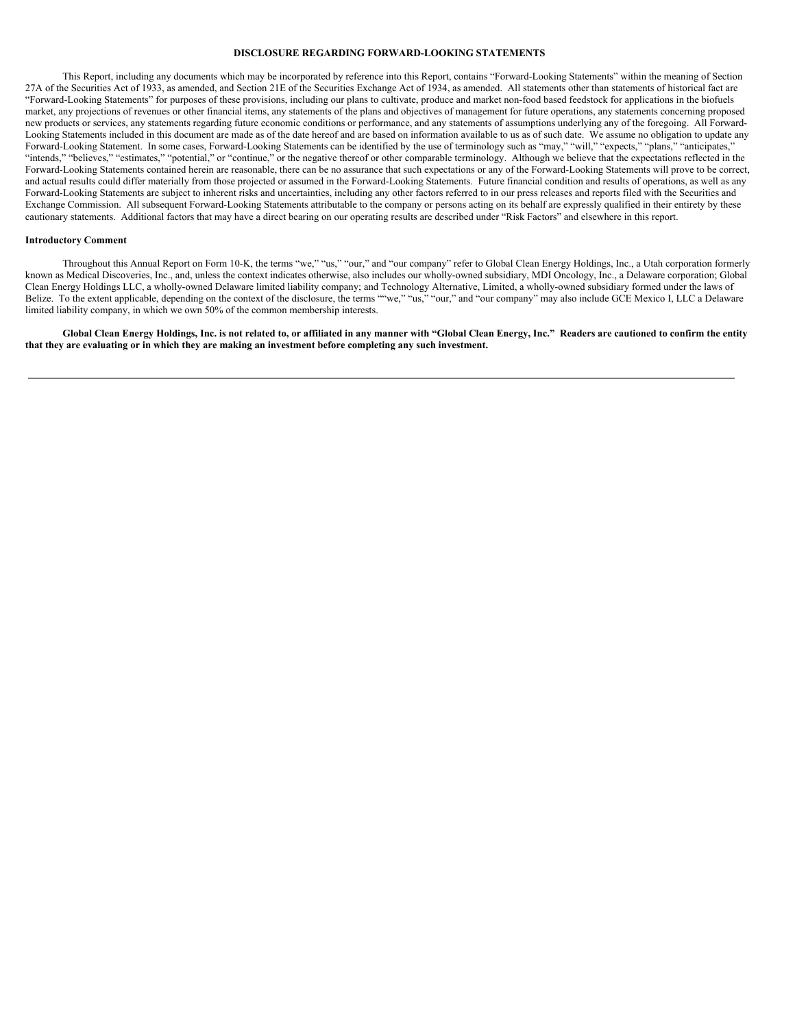#### **DISCLOSURE REGARDING FORWARD-LOOKING STATEMENTS**

This Report, including any documents which may be incorporated by reference into this Report, contains "Forward-Looking Statements" within the meaning of Section 27A of the Securities Act of 1933, as amended, and Section 21E of the Securities Exchange Act of 1934, as amended. All statements other than statements of historical fact are "Forward-Looking Statements" for purposes of these provisions, including our plans to cultivate, produce and market non-food based feedstock for applications in the biofuels market, any projections of revenues or other financial items, any statements of the plans and objectives of management for future operations, any statements concerning proposed new products or services, any statements regarding future economic conditions or performance, and any statements of assumptions underlying any of the foregoing. All Forward-Looking Statements included in this document are made as of the date hereof and are based on information available to us as of such date. We assume no obligation to update any Forward-Looking Statement. In some cases, Forward-Looking Statements can be identified by the use of terminology such as "may," "will," "expects," "plans," "anticipates," "intends," "believes," "estimates," "potential," or "continue," or the negative thereof or other comparable terminology. Although we believe that the expectations reflected in the Forward-Looking Statements contained herein are reasonable, there can be no assurance that such expectations or any of the Forward-Looking Statements will prove to be correct, and actual results could differ materially from those projected or assumed in the Forward-Looking Statements. Future financial condition and results of operations, as well as any Forward-Looking Statements are subject to inherent risks and uncertainties, including any other factors referred to in our press releases and reports filed with the Securities and Exchange Commission. All subsequent Forward-Looking Statements attributable to the company or persons acting on its behalf are expressly qualified in their entirety by these cautionary statements. Additional factors that may have a direct bearing on our operating results are described under "Risk Factors" and elsewhere in this report.

### **Introductory Comment**

Throughout this Annual Report on Form 10-K, the terms "we," "us," "our," and "our company" refer to Global Clean Energy Holdings, Inc., a Utah corporation formerly known as Medical Discoveries, Inc., and, unless the context indicates otherwise, also includes our wholly-owned subsidiary, MDI Oncology, Inc., a Delaware corporation; Global Clean Energy Holdings LLC, a wholly-owned Delaware limited liability company; and Technology Alternative, Limited, a wholly-owned subsidiary formed under the laws of Belize. To the extent applicable, depending on the context of the disclosure, the terms ""we," "us," "our," and "our company" may also include GCE Mexico I, LLC a Delaware limited liability company, in which we own 50% of the common membership interests.

Global Clean Energy Holdings, Inc. is not related to, or affiliated in any manner with "Global Clean Energy, Inc." Readers are cautioned to confirm the entity **that they are evaluating or in which they are making an investment before completing any such investment.**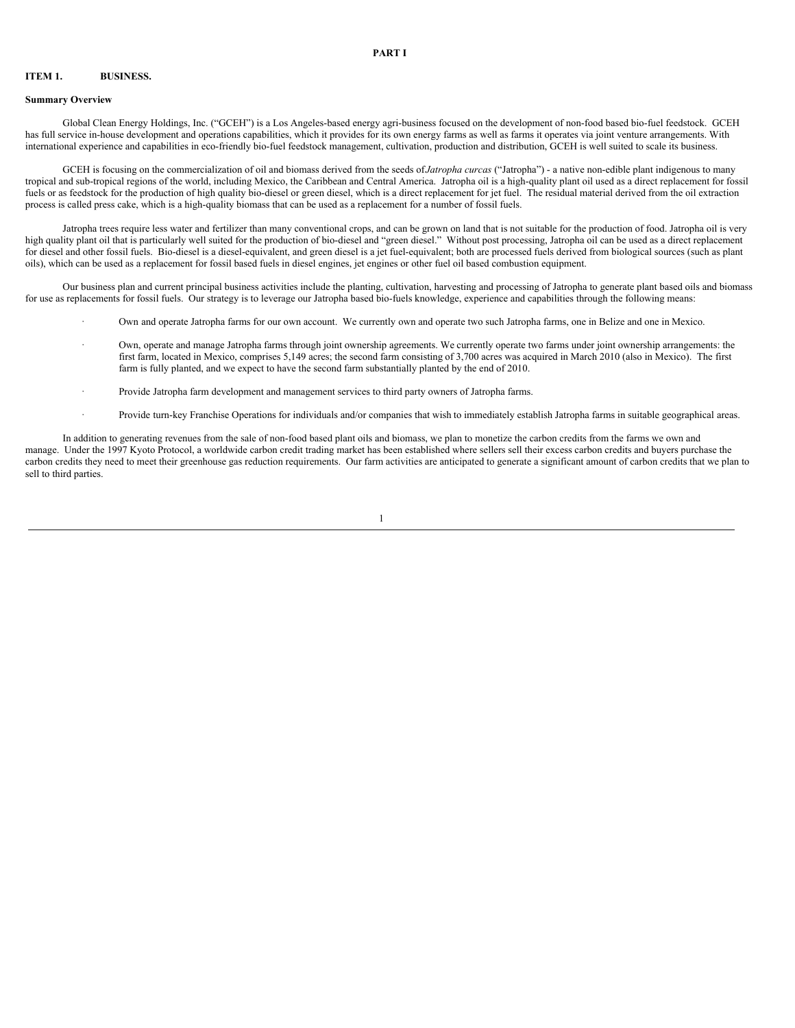### **ITEM 1. BUSINESS.**

#### **Summary Overview**

Global Clean Energy Holdings, Inc. ("GCEH") is a Los Angeles-based energy agri-business focused on the development of non-food based bio-fuel feedstock. GCEH has full service in-house development and operations capabilities, which it provides for its own energy farms as well as farms it operates via joint venture arrangements. With international experience and capabilities in eco-friendly bio-fuel feedstock management, cultivation, production and distribution, GCEH is well suited to scale its business.

GCEH is focusing on the commercialization of oil and biomass derived from the seeds of*Jatropha curcas* ("Jatropha") - a native non-edible plant indigenous to many tropical and sub-tropical regions of the world, including Mexico, the Caribbean and Central America. Jatropha oil is a high-quality plant oil used as a direct replacement for fossil fuels or as feedstock for the production of high quality bio-diesel or green diesel, which is a direct replacement for jet fuel. The residual material derived from the oil extraction process is called press cake, which is a high-quality biomass that can be used as a replacement for a number of fossil fuels.

Jatropha trees require less water and fertilizer than many conventional crops, and can be grown on land that is not suitable for the production of food. Jatropha oil is very high quality plant oil that is particularly well suited for the production of bio-diesel and "green diesel." Without post processing, Jatropha oil can be used as a direct replacement for diesel and other fossil fuels. Bio-diesel is a diesel-equivalent, and green diesel is a jet fuel-equivalent; both are processed fuels derived from biological sources (such as plant oils), which can be used as a replacement for fossil based fuels in diesel engines, jet engines or other fuel oil based combustion equipment.

Our business plan and current principal business activities include the planting, cultivation, harvesting and processing of Jatropha to generate plant based oils and biomass for use as replacements for fossil fuels. Our strategy is to leverage our Jatropha based bio-fuels knowledge, experience and capabilities through the following means:

- · Own and operate Jatropha farms for our own account. We currently own and operate two such Jatropha farms, one in Belize and one in Mexico.
- · Own, operate and manage Jatropha farms through joint ownership agreements. We currently operate two farms under joint ownership arrangements: the first farm, located in Mexico, comprises 5,149 acres; the second farm consisting of 3,700 acres was acquired in March 2010 (also in Mexico). The first farm is fully planted, and we expect to have the second farm substantially planted by the end of 2010.
- · Provide Jatropha farm development and management services to third party owners of Jatropha farms.
- · Provide turn-key Franchise Operations for individuals and/or companies that wish to immediately establish Jatropha farms in suitable geographical areas.

In addition to generating revenues from the sale of non-food based plant oils and biomass, we plan to monetize the carbon credits from the farms we own and manage. Under the 1997 Kyoto Protocol, a worldwide carbon credit trading market has been established where sellers sell their excess carbon credits and buyers purchase the carbon credits they need to meet their greenhouse gas reduction requirements. Our farm activities are anticipated to generate a significant amount of carbon credits that we plan to sell to third parties.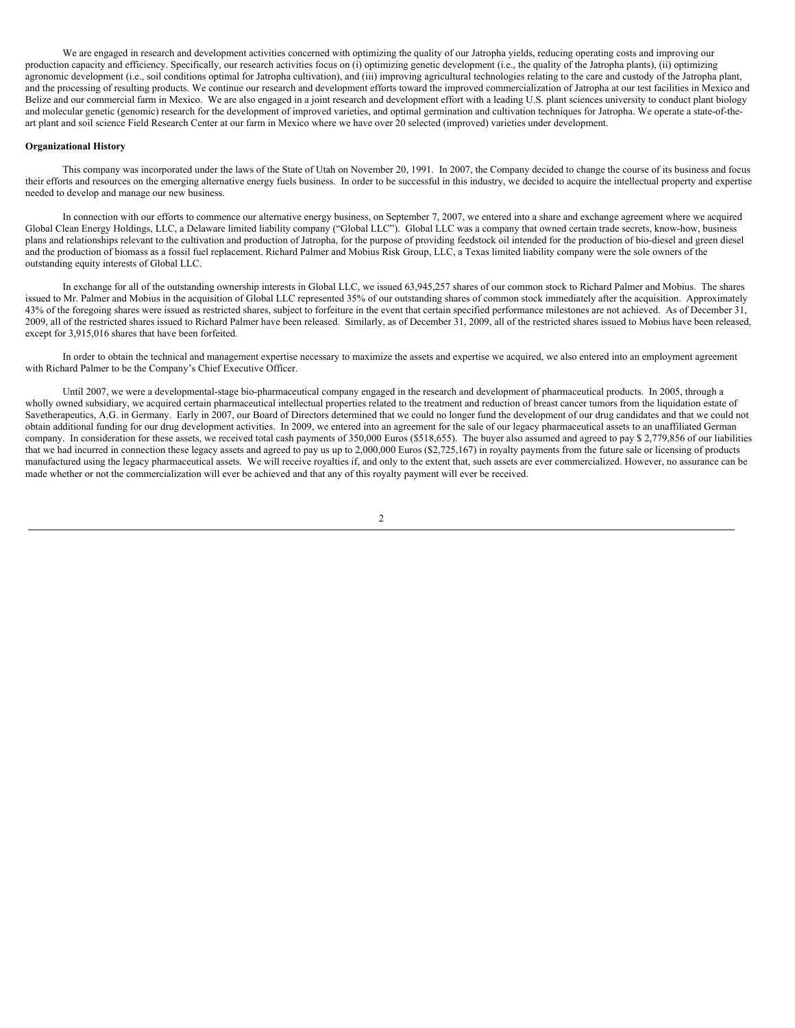We are engaged in research and development activities concerned with optimizing the quality of our Jatropha yields, reducing operating costs and improving our production capacity and efficiency. Specifically, our research activities focus on (i) optimizing genetic development (i.e., the quality of the Jatropha plants), (ii) optimizing agronomic development (i.e., soil conditions optimal for Jatropha cultivation), and (iii) improving agricultural technologies relating to the care and custody of the Jatropha plant, and the processing of resulting products. We continue our research and development efforts toward the improved commercialization of Jatropha at our test facilities in Mexico and Belize and our commercial farm in Mexico. We are also engaged in a joint research and development effort with a leading U.S. plant sciences university to conduct plant biology and molecular genetic (genomic) research for the development of improved varieties, and optimal germination and cultivation techniques for Jatropha. We operate a state-of-theart plant and soil science Field Research Center at our farm in Mexico where we have over 20 selected (improved) varieties under development.

#### **Organizational History**

This company was incorporated under the laws of the State of Utah on November 20, 1991. In 2007, the Company decided to change the course of its business and focus their efforts and resources on the emerging alternative energy fuels business. In order to be successful in this industry, we decided to acquire the intellectual property and expertise needed to develop and manage our new business.

In connection with our efforts to commence our alternative energy business, on September 7, 2007, we entered into a share and exchange agreement where we acquired Global Clean Energy Holdings, LLC, a Delaware limited liability company ("Global LLC"). Global LLC was a company that owned certain trade secrets, know-how, business plans and relationships relevant to the cultivation and production of Jatropha, for the purpose of providing feedstock oil intended for the production of bio-diesel and green diesel and the production of biomass as a fossil fuel replacement. Richard Palmer and Mobius Risk Group, LLC, a Texas limited liability company were the sole owners of the outstanding equity interests of Global LLC.

In exchange for all of the outstanding ownership interests in Global LLC, we issued 63,945,257 shares of our common stock to Richard Palmer and Mobius. The shares issued to Mr. Palmer and Mobius in the acquisition of Global LLC represented 35% of our outstanding shares of common stock immediately after the acquisition. Approximately 43% of the foregoing shares were issued as restricted shares, subject to forfeiture in the event that certain specified performance milestones are not achieved. As of December 31, 2009, all of the restricted shares issued to Richard Palmer have been released. Similarly, as of December 31, 2009, all of the restricted shares issued to Mobius have been released, except for 3,915,016 shares that have been forfeited.

In order to obtain the technical and management expertise necessary to maximize the assets and expertise we acquired, we also entered into an employment agreement with Richard Palmer to be the Company's Chief Executive Officer.

Until 2007, we were a developmental-stage bio-pharmaceutical company engaged in the research and development of pharmaceutical products. In 2005, through a wholly owned subsidiary, we acquired certain pharmaceutical intellectual properties related to the treatment and reduction of breast cancer tumors from the liquidation estate of Savetherapeutics, A.G. in Germany. Early in 2007, our Board of Directors determined that we could no longer fund the development of our drug candidates and that we could not obtain additional funding for our drug development activities. In 2009, we entered into an agreement for the sale of our legacy pharmaceutical assets to an unaffiliated German company. In consideration for these assets, we received total cash payments of 350,000 Euros (\$518,655). The buyer also assumed and agreed to pay \$ 2,779,856 of our liabilities that we had incurred in connection these legacy assets and agreed to pay us up to 2,000,000 Euros (\$2,725,167) in royalty payments from the future sale or licensing of products manufactured using the legacy pharmaceutical assets. We will receive royalties if, and only to the extent that, such assets are ever commercialized. However, no assurance can be made whether or not the commercialization will ever be achieved and that any of this royalty payment will ever be received.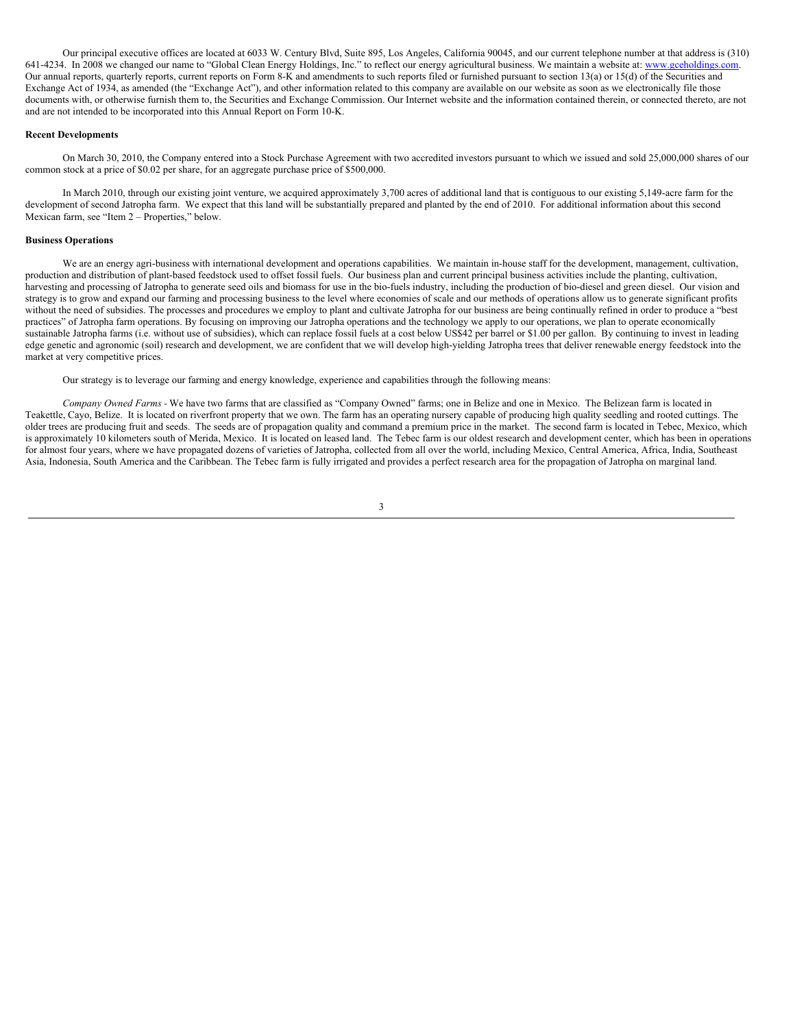Our principal executive offices are located at 6033 W. Century Blvd, Suite 895, Los Angeles, California 90045, and our current telephone number at that address is (310) 641-4234. In 2008 we changed our name to "Global Clean Energy Holdings, Inc." to reflect our energy agricultural business. We maintain a website at: www.gceholdings.com. Our annual reports, quarterly reports, current reports on Form 8-K and amendments to such reports filed or furnished pursuant to section 13(a) or 15(d) of the Securities and Exchange Act of 1934, as amended (the "Exchange Act"), and other information related to this company are available on our website as soon as we electronically file those documents with, or otherwise furnish them to, the Securities and Exchange Commission. Our Internet website and the information contained therein, or connected thereto, are not and are not intended to be incorporated into this Annual Report on Form 10-K.

#### **Recent Developments**

On March 30, 2010, the Company entered into a Stock Purchase Agreement with two accredited investors pursuant to which we issued and sold 25,000,000 shares of our common stock at a price of \$0.02 per share, for an aggregate purchase price of \$500,000.

In March 2010, through our existing joint venture, we acquired approximately 3,700 acres of additional land that is contiguous to our existing 5,149-acre farm for the development of second Jatropha farm. We expect that this land will be substantially prepared and planted by the end of 2010. For additional information about this second Mexican farm, see "Item 2 – Properties," below.

### **Business Operations**

We are an energy agri-business with international development and operations capabilities. We maintain in-house staff for the development, management, cultivation, production and distribution of plant-based feedstock used to offset fossil fuels. Our business plan and current principal business activities include the planting, cultivation, harvesting and processing of Jatropha to generate seed oils and biomass for use in the bio-fuels industry, including the production of bio-diesel and green diesel. Our vision and strategy is to grow and expand our farming and processing business to the level where economies of scale and our methods of operations allow us to generate significant profits without the need of subsidies. The processes and procedures we employ to plant and cultivate Jatropha for our business are being continually refined in order to produce a "best practices" of Jatropha farm operations. By focusing on improving our Jatropha operations and the technology we apply to our operations, we plan to operate economically sustainable Jatropha farms (i.e. without use of subsidies), which can replace fossil fuels at a cost below US\$42 per barrel or \$1.00 per gallon. By continuing to invest in leading edge genetic and agronomic (soil) research and development, we are confident that we will develop high-yielding Jatropha trees that deliver renewable energy feedstock into the market at very competitive prices.

Our strategy is to leverage our farming and energy knowledge, experience and capabilities through the following means:

*Company Owned Farms -* We have two farms that are classified as "Company Owned" farms; one in Belize and one in Mexico. The Belizean farm is located in Teakettle, Cayo, Belize. It is located on riverfront property that we own. The farm has an operating nursery capable of producing high quality seedling and rooted cuttings. The older trees are producing fruit and seeds. The seeds are of propagation quality and command a premium price in the market. The second farm is located in Tebec, Mexico, which is approximately 10 kilometers south of Merida, Mexico. It is located on leased land. The Tebec farm is our oldest research and development center, which has been in operations for almost four years, where we have propagated dozens of varieties of Jatropha, collected from all over the world, including Mexico, Central America, Africa, India, Southeast Asia, Indonesia, South America and the Caribbean. The Tebec farm is fully irrigated and provides a perfect research area for the propagation of Jatropha on marginal land.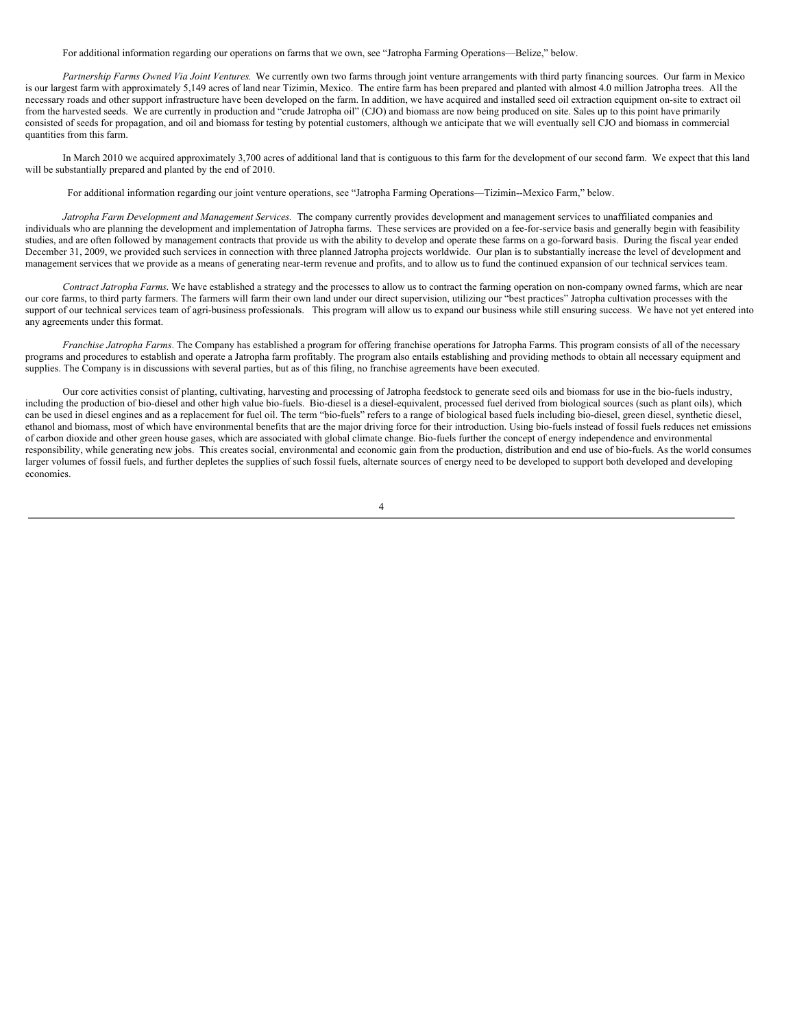For additional information regarding our operations on farms that we own, see "Jatropha Farming Operations—Belize," below.

*Partnership Farms Owned Via Joint Ventures*. We currently own two farms through joint venture arrangements with third party financing sources. Our farm in Mexico is our largest farm with approximately 5,149 acres of land near Tizimin, Mexico. The entire farm has been prepared and planted with almost 4.0 million Jatropha trees. All the necessary roads and other support infrastructure have been developed on the farm. In addition, we have acquired and installed seed oil extraction equipment on-site to extract oil from the harvested seeds. We are currently in production and "crude Jatropha oil" (CJO) and biomass are now being produced on site. Sales up to this point have primarily consisted of seeds for propagation, and oil and biomass for testing by potential customers, although we anticipate that we will eventually sell CJO and biomass in commercial quantities from this farm.

In March 2010 we acquired approximately 3,700 acres of additional land that is contiguous to this farm for the development of our second farm. We expect that this land will be substantially prepared and planted by the end of 2010.

For additional information regarding our joint venture operations, see "Jatropha Farming Operations—Tizimin--Mexico Farm," below.

*Jatropha Farm Development and Management Services.* The company currently provides development and management services to unaffiliated companies and individuals who are planning the development and implementation of Jatropha farms. These services are provided on a fee-for-service basis and generally begin with feasibility studies, and are often followed by management contracts that provide us with the ability to develop and operate these farms on a go-forward basis. During the fiscal year ended December 31, 2009, we provided such services in connection with three planned Jatropha projects worldwide. Our plan is to substantially increase the level of development and management services that we provide as a means of generating near-term revenue and profits, and to allow us to fund the continued expansion of our technical services team.

*Contract Jatropha Farms*. We have established a strategy and the processes to allow us to contract the farming operation on non-company owned farms, which are near our core farms, to third party farmers. The farmers will farm their own land under our direct supervision, utilizing our "best practices" Jatropha cultivation processes with the support of our technical services team of agri-business professionals. This program will allow us to expand our business while still ensuring success. We have not yet entered into any agreements under this format.

*Franchise Jatropha Farms*. The Company has established a program for offering franchise operations for Jatropha Farms. This program consists of all of the necessary programs and procedures to establish and operate a Jatropha farm profitably. The program also entails establishing and providing methods to obtain all necessary equipment and supplies. The Company is in discussions with several parties, but as of this filing, no franchise agreements have been executed.

Our core activities consist of planting, cultivating, harvesting and processing of Jatropha feedstock to generate seed oils and biomass for use in the bio-fuels industry, including the production of bio-diesel and other high value bio-fuels. Bio-diesel is a diesel-equivalent, processed fuel derived from biological sources (such as plant oils), which can be used in diesel engines and as a replacement for fuel oil. The term "bio-fuels" refers to a range of biological based fuels including bio-diesel, green diesel, synthetic diesel, ethanol and biomass, most of which have environmental benefits that are the major driving force for their introduction. Using bio-fuels instead of fossil fuels reduces net emissions of carbon dioxide and other green house gases, which are associated with global climate change. Bio-fuels further the concept of energy independence and environmental responsibility, while generating new jobs. This creates social, environmental and economic gain from the production, distribution and end use of bio-fuels. As the world consumes larger volumes of fossil fuels, and further depletes the supplies of such fossil fuels, alternate sources of energy need to be developed to support both developed and developing economies.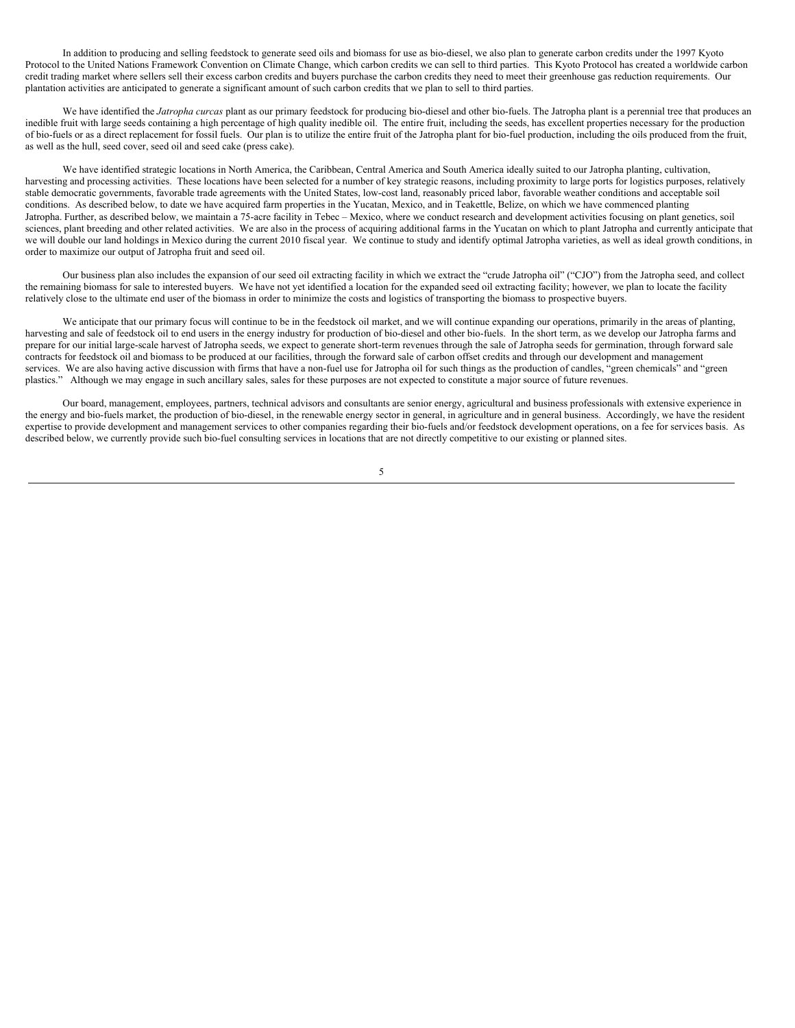In addition to producing and selling feedstock to generate seed oils and biomass for use as bio-diesel, we also plan to generate carbon credits under the 1997 Kyoto Protocol to the United Nations Framework Convention on Climate Change, which carbon credits we can sell to third parties. This Kyoto Protocol has created a worldwide carbon credit trading market where sellers sell their excess carbon credits and buyers purchase the carbon credits they need to meet their greenhouse gas reduction requirements. Our plantation activities are anticipated to generate a significant amount of such carbon credits that we plan to sell to third parties.

We have identified the *Jatropha curcas* plant as our primary feedstock for producing bio-diesel and other bio-fuels. The Jatropha plant is a perennial tree that produces an inedible fruit with large seeds containing a high percentage of high quality inedible oil. The entire fruit, including the seeds, has excellent properties necessary for the production of bio-fuels or as a direct replacement for fossil fuels. Our plan is to utilize the entire fruit of the Jatropha plant for bio-fuel production, including the oils produced from the fruit, as well as the hull, seed cover, seed oil and seed cake (press cake).

We have identified strategic locations in North America, the Caribbean, Central America and South America ideally suited to our Jatropha planting, cultivation, harvesting and processing activities. These locations have been selected for a number of key strategic reasons, including proximity to large ports for logistics purposes, relatively stable democratic governments, favorable trade agreements with the United States, low-cost land, reasonably priced labor, favorable weather conditions and acceptable soil conditions. As described below, to date we have acquired farm properties in the Yucatan, Mexico, and in Teakettle, Belize, on which we have commenced planting Jatropha. Further, as described below, we maintain a 75-acre facility in Tebec – Mexico, where we conduct research and development activities focusing on plant genetics, soil sciences, plant breeding and other related activities. We are also in the process of acquiring additional farms in the Yucatan on which to plant Jatropha and currently anticipate that we will double our land holdings in Mexico during the current 2010 fiscal year. We continue to study and identify optimal Jatropha varieties, as well as ideal growth conditions, in order to maximize our output of Jatropha fruit and seed oil.

Our business plan also includes the expansion of our seed oil extracting facility in which we extract the "crude Jatropha oil" ("CJO") from the Jatropha seed, and collect the remaining biomass for sale to interested buyers. We have not yet identified a location for the expanded seed oil extracting facility; however, we plan to locate the facility relatively close to the ultimate end user of the biomass in order to minimize the costs and logistics of transporting the biomass to prospective buyers.

We anticipate that our primary focus will continue to be in the feedstock oil market, and we will continue expanding our operations, primarily in the areas of planting, harvesting and sale of feedstock oil to end users in the energy industry for production of bio-diesel and other bio-fuels. In the short term, as we develop our Jatropha farms and prepare for our initial large-scale harvest of Jatropha seeds, we expect to generate short-term revenues through the sale of Jatropha seeds for germination, through forward sale contracts for feedstock oil and biomass to be produced at our facilities, through the forward sale of carbon offset credits and through our development and management services. We are also having active discussion with firms that have a non-fuel use for Jatropha oil for such things as the production of candles, "green chemicals" and "green plastics." Although we may engage in such ancillary sales, sales for these purposes are not expected to constitute a major source of future revenues.

Our board, management, employees, partners, technical advisors and consultants are senior energy, agricultural and business professionals with extensive experience in the energy and bio-fuels market, the production of bio-diesel, in the renewable energy sector in general, in agriculture and in general business. Accordingly, we have the resident expertise to provide development and management services to other companies regarding their bio-fuels and/or feedstock development operations, on a fee for services basis. As described below, we currently provide such bio-fuel consulting services in locations that are not directly competitive to our existing or planned sites.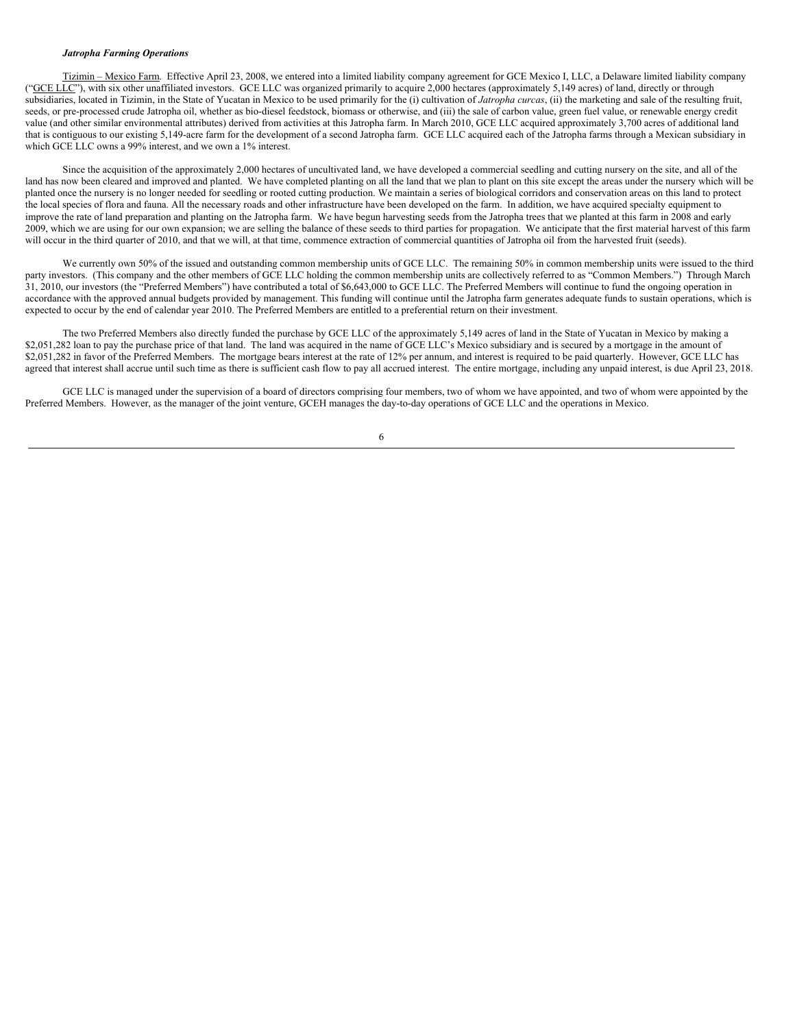#### *Jatropha Farming Operations*

Tizimin – Mexico Farm. Effective April 23, 2008, we entered into a limited liability company agreement for GCE Mexico I, LLC, a Delaware limited liability company ("GCE LLC"), with six other unaffiliated investors. GCE LLC was organized primarily to acquire 2,000 hectares (approximately 5,149 acres) of land, directly or through subsidiaries, located in Tizimin, in the State of Yucatan in Mexico to be used primarily for the (i) cultivation of *Jatropha curcas*, (ii) the marketing and sale of the resulting fruit, seeds, or pre-processed crude Jatropha oil, whether as bio-diesel feedstock, biomass or otherwise, and (iii) the sale of carbon value, green fuel value, or renewable energy credit value (and other similar environmental attributes) derived from activities at this Jatropha farm. In March 2010, GCE LLC acquired approximately 3,700 acres of additional land that is contiguous to our existing 5,149-acre farm for the development of a second Jatropha farm. GCE LLC acquired each of the Jatropha farms through a Mexican subsidiary in which GCE LLC owns a 99% interest, and we own a 1% interest.

Since the acquisition of the approximately 2,000 hectares of uncultivated land, we have developed a commercial seedling and cutting nursery on the site, and all of the land has now been cleared and improved and planted. We have completed planting on all the land that we plan to plant on this site except the areas under the nursery which will be planted once the nursery is no longer needed for seedling or rooted cutting production. We maintain a series of biological corridors and conservation areas on this land to protect the local species of flora and fauna. All the necessary roads and other infrastructure have been developed on the farm. In addition, we have acquired specialty equipment to improve the rate of land preparation and planting on the Jatropha farm. We have begun harvesting seeds from the Jatropha trees that we planted at this farm in 2008 and early 2009, which we are using for our own expansion; we are selling the balance of these seeds to third parties for propagation. We anticipate that the first material harvest of this farm will occur in the third quarter of 2010, and that we will, at that time, commence extraction of commercial quantities of Jatropha oil from the harvested fruit (seeds).

We currently own 50% of the issued and outstanding common membership units of GCE LLC. The remaining 50% in common membership units were issued to the third party investors. (This company and the other members of GCE LLC holding the common membership units are collectively referred to as "Common Members.") Through March 31, 2010, our investors (the "Preferred Members") have contributed a total of \$6,643,000 to GCE LLC. The Preferred Members will continue to fund the ongoing operation in accordance with the approved annual budgets provided by management. This funding will continue until the Jatropha farm generates adequate funds to sustain operations, which is expected to occur by the end of calendar year 2010. The Preferred Members are entitled to a preferential return on their investment.

The two Preferred Members also directly funded the purchase by GCE LLC of the approximately 5,149 acres of land in the State of Yucatan in Mexico by making a \$2,051,282 loan to pay the purchase price of that land. The land was acquired in the name of GCE LLC's Mexico subsidiary and is secured by a mortgage in the amount of \$2,051,282 in favor of the Preferred Members. The mortgage bears interest at the rate of 12% per annum, and interest is required to be paid quarterly. However, GCE LLC has agreed that interest shall accrue until such time as there is sufficient cash flow to pay all accrued interest. The entire mortgage, including any unpaid interest, is due April 23, 2018.

GCE LLC is managed under the supervision of a board of directors comprising four members, two of whom we have appointed, and two of whom were appointed by the Preferred Members. However, as the manager of the joint venture, GCEH manages the day-to-day operations of GCE LLC and the operations in Mexico.

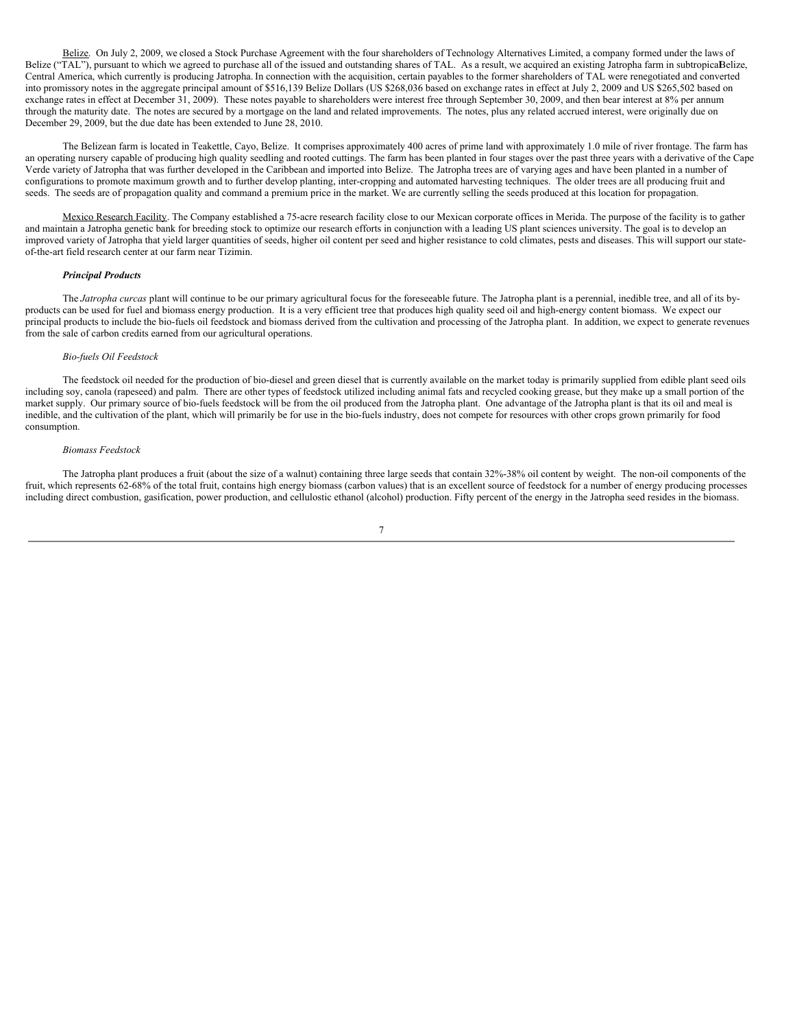Belize. On July 2, 2009, we closed a Stock Purchase Agreement with the four shareholders of Technology Alternatives Limited, a company formed under the laws of Belize ("TAL"), pursuant to which we agreed to purchase all of the issued and outstanding shares of TAL. As a result, we acquired an existing Jatropha farm in subtropicaBelize, Central America, which currently is producing Jatropha. In connection with the acquisition, certain payables to the former shareholders of TAL were renegotiated and converted into promissory notes in the aggregate principal amount of \$516,139 Belize Dollars (US \$268,036 based on exchange rates in effect at July 2, 2009 and US \$265,502 based on exchange rates in effect at December 31, 2009). These notes payable to shareholders were interest free through September 30, 2009, and then bear interest at 8% per annum through the maturity date. The notes are secured by a mortgage on the land and related improvements. The notes, plus any related accrued interest, were originally due on December 29, 2009, but the due date has been extended to June 28, 2010.

The Belizean farm is located in Teakettle, Cayo, Belize. It comprises approximately 400 acres of prime land with approximately 1.0 mile of river frontage. The farm has an operating nursery capable of producing high quality seedling and rooted cuttings. The farm has been planted in four stages over the past three years with a derivative of the Cape Verde variety of Jatropha that was further developed in the Caribbean and imported into Belize. The Jatropha trees are of varying ages and have been planted in a number of configurations to promote maximum growth and to further develop planting, inter-cropping and automated harvesting techniques. The older trees are all producing fruit and seeds. The seeds are of propagation quality and command a premium price in the market. We are currently selling the seeds produced at this location for propagation.

Mexico Research Facility. The Company established a 75-acre research facility close to our Mexican corporate offices in Merida. The purpose of the facility is to gather and maintain a Jatropha genetic bank for breeding stock to optimize our research efforts in conjunction with a leading US plant sciences university. The goal is to develop an improved variety of Jatropha that yield larger quantities of seeds, higher oil content per seed and higher resistance to cold climates, pests and diseases. This will support our stateof-the-art field research center at our farm near Tizimin.

### *Principal Products*

The *Jatropha curcas* plant will continue to be our primary agricultural focus for the foreseeable future. The Jatropha plant is a perennial, inedible tree, and all of its byproducts can be used for fuel and biomass energy production. It is a very efficient tree that produces high quality seed oil and high-energy content biomass. We expect our principal products to include the bio-fuels oil feedstock and biomass derived from the cultivation and processing of the Jatropha plant. In addition, we expect to generate revenues from the sale of carbon credits earned from our agricultural operations.

### *Bio-fuels Oil Feedstock*

The feedstock oil needed for the production of bio-diesel and green diesel that is currently available on the market today is primarily supplied from edible plant seed oils including soy, canola (rapeseed) and palm. There are other types of feedstock utilized including animal fats and recycled cooking grease, but they make up a small portion of the market supply. Our primary source of bio-fuels feedstock will be from the oil produced from the Jatropha plant. One advantage of the Jatropha plant is that its oil and meal is inedible, and the cultivation of the plant, which will primarily be for use in the bio-fuels industry, does not compete for resources with other crops grown primarily for food consumption.

#### *Biomass Feedstock*

The Jatropha plant produces a fruit (about the size of a walnut) containing three large seeds that contain 32%-38% oil content by weight. The non-oil components of the fruit, which represents 62-68% of the total fruit, contains high energy biomass (carbon values) that is an excellent source of feedstock for a number of energy producing processes including direct combustion, gasification, power production, and cellulostic ethanol (alcohol) production. Fifty percent of the energy in the Jatropha seed resides in the biomass.

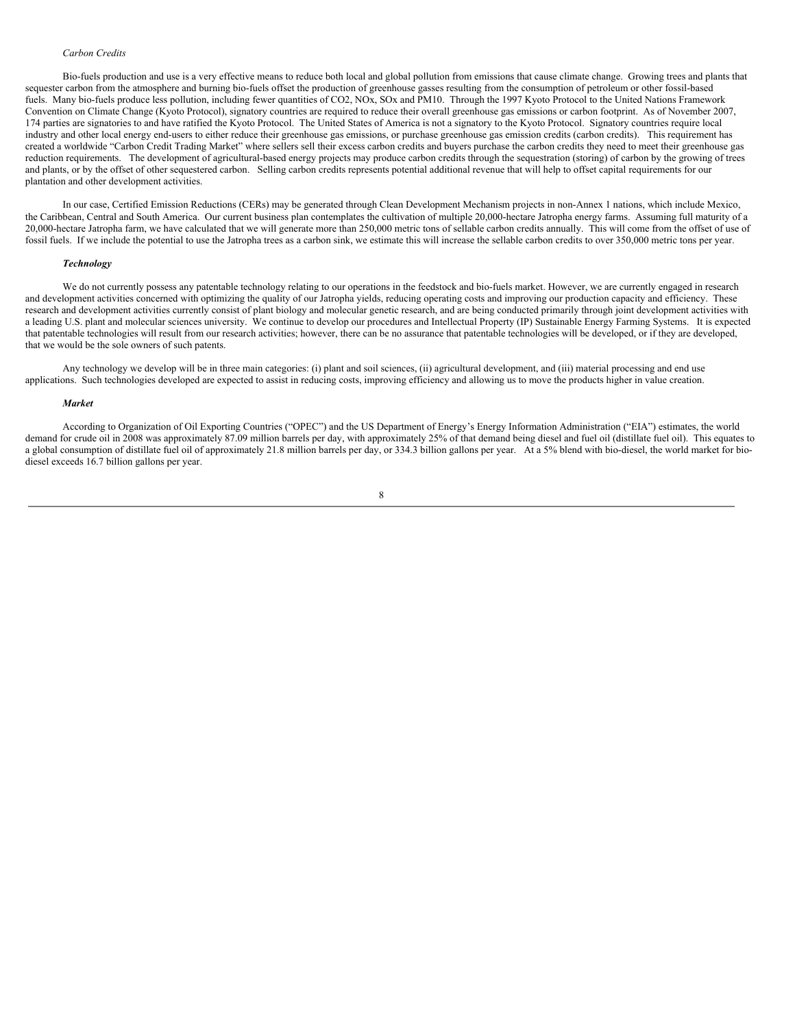#### *Carbon Credits*

Bio-fuels production and use is a very effective means to reduce both local and global pollution from emissions that cause climate change. Growing trees and plants that sequester carbon from the atmosphere and burning bio-fuels offset the production of greenhouse gasses resulting from the consumption of petroleum or other fossil-based fuels. Many bio-fuels produce less pollution, including fewer quantities of CO2, NOx, SOx and PM10. Through the 1997 Kyoto Protocol to the United Nations Framework Convention on Climate Change (Kyoto Protocol), signatory countries are required to reduce their overall greenhouse gas emissions or carbon footprint. As of November 2007, 174 parties are signatories to and have ratified the Kyoto Protocol. The United States of America is not a signatory to the Kyoto Protocol. Signatory countries require local industry and other local energy end-users to either reduce their greenhouse gas emissions, or purchase greenhouse gas emission credits (carbon credits). This requirement has created a worldwide "Carbon Credit Trading Market" where sellers sell their excess carbon credits and buyers purchase the carbon credits they need to meet their greenhouse gas reduction requirements. The development of agricultural-based energy projects may produce carbon credits through the sequestration (storing) of carbon by the growing of trees and plants, or by the offset of other sequestered carbon. Selling carbon credits represents potential additional revenue that will help to offset capital requirements for our plantation and other development activities.

In our case, Certified Emission Reductions (CERs) may be generated through Clean Development Mechanism projects in non-Annex 1 nations, which include Mexico, the Caribbean, Central and South America. Our current business plan contemplates the cultivation of multiple 20,000-hectare Jatropha energy farms. Assuming full maturity of a 20,000-hectare Jatropha farm, we have calculated that we will generate more than 250,000 metric tons of sellable carbon credits annually. This will come from the offset of use of fossil fuels. If we include the potential to use the Jatropha trees as a carbon sink, we estimate this will increase the sellable carbon credits to over 350,000 metric tons per year.

### *Technology*

We do not currently possess any patentable technology relating to our operations in the feedstock and bio-fuels market. However, we are currently engaged in research and development activities concerned with optimizing the quality of our Jatropha yields, reducing operating costs and improving our production capacity and efficiency. These research and development activities currently consist of plant biology and molecular genetic research, and are being conducted primarily through joint development activities with a leading U.S. plant and molecular sciences university. We continue to develop our procedures and Intellectual Property (IP) Sustainable Energy Farming Systems. It is expected that patentable technologies will result from our research activities; however, there can be no assurance that patentable technologies will be developed, or if they are developed, that we would be the sole owners of such patents.

Any technology we develop will be in three main categories: (i) plant and soil sciences, (ii) agricultural development, and (iii) material processing and end use applications. Such technologies developed are expected to assist in reducing costs, improving efficiency and allowing us to move the products higher in value creation.

#### *Market*

According to Organization of Oil Exporting Countries ("OPEC") and the US Department of Energy's Energy Information Administration ("EIA") estimates, the world demand for crude oil in 2008 was approximately 87.09 million barrels per day, with approximately 25% of that demand being diesel and fuel oil (distillate fuel oil). This equates to a global consumption of distillate fuel oil of approximately 21.8 million barrels per day, or 334.3 billion gallons per year. At a 5% blend with bio-diesel, the world market for biodiesel exceeds 16.7 billion gallons per year.

$$
8 \\
$$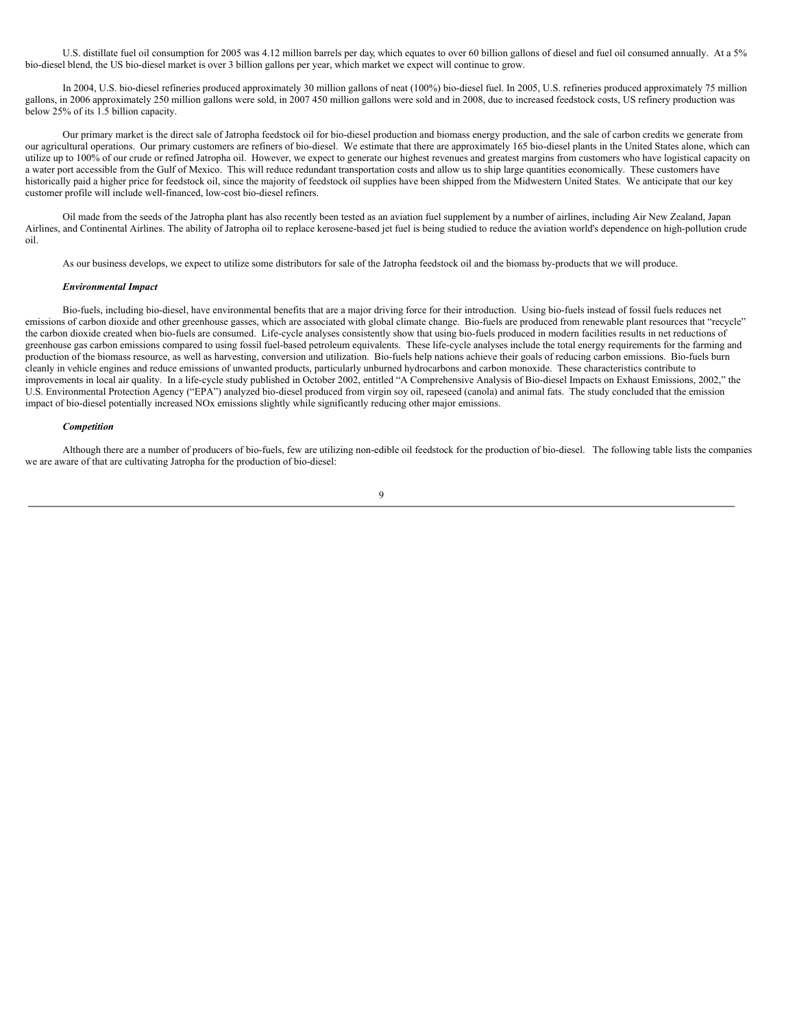U.S. distillate fuel oil consumption for 2005 was 4.12 million barrels per day, which equates to over 60 billion gallons of diesel and fuel oil consumed annually. At a 5% bio-diesel blend, the US bio-diesel market is over 3 billion gallons per year, which market we expect will continue to grow.

In 2004, U.S. bio-diesel refineries produced approximately 30 million gallons of neat (100%) bio-diesel fuel. In 2005, U.S. refineries produced approximately 75 million gallons, in 2006 approximately 250 million gallons were sold, in 2007 450 million gallons were sold and in 2008, due to increased feedstock costs, US refinery production was below 25% of its 1.5 billion capacity.

Our primary market is the direct sale of Jatropha feedstock oil for bio-diesel production and biomass energy production, and the sale of carbon credits we generate from our agricultural operations. Our primary customers are refiners of bio-diesel. We estimate that there are approximately 165 bio-diesel plants in the United States alone, which can utilize up to 100% of our crude or refined Jatropha oil. However, we expect to generate our highest revenues and greatest margins from customers who have logistical capacity on a water port accessible from the Gulf of Mexico. This will reduce redundant transportation costs and allow us to ship large quantities economically. These customers have historically paid a higher price for feedstock oil, since the majority of feedstock oil supplies have been shipped from the Midwestern United States. We anticipate that our key customer profile will include well-financed, low-cost bio-diesel refiners.

Oil made from the seeds of the Jatropha plant has also recently been tested as an aviation fuel supplement by a number of airlines, including Air New Zealand, Japan Airlines, and Continental Airlines. The ability of Jatropha oil to replace kerosene-based jet fuel is being studied to reduce the aviation world's dependence on high-pollution crude oil.

As our business develops, we expect to utilize some distributors for sale of the Jatropha feedstock oil and the biomass by-products that we will produce.

#### *Environmental Impact*

Bio-fuels, including bio-diesel, have environmental benefits that are a major driving force for their introduction. Using bio-fuels instead of fossil fuels reduces net emissions of carbon dioxide and other greenhouse gasses, which are associated with global climate change. Bio-fuels are produced from renewable plant resources that "recycle" the carbon dioxide created when bio-fuels are consumed. Life-cycle analyses consistently show that using bio-fuels produced in modern facilities results in net reductions of greenhouse gas carbon emissions compared to using fossil fuel-based petroleum equivalents. These life-cycle analyses include the total energy requirements for the farming and production of the biomass resource, as well as harvesting, conversion and utilization. Bio-fuels help nations achieve their goals of reducing carbon emissions. Bio-fuels burn cleanly in vehicle engines and reduce emissions of unwanted products, particularly unburned hydrocarbons and carbon monoxide. These characteristics contribute to improvements in local air quality. In a life-cycle study published in October 2002, entitled "A Comprehensive Analysis of Bio-diesel Impacts on Exhaust Emissions, 2002," the U.S. Environmental Protection Agency ("EPA") analyzed bio-diesel produced from virgin soy oil, rapeseed (canola) and animal fats. The study concluded that the emission impact of bio-diesel potentially increased NOx emissions slightly while significantly reducing other major emissions.

#### *Competition*

Although there are a number of producers of bio-fuels, few are utilizing non-edible oil feedstock for the production of bio-diesel. The following table lists the companies we are aware of that are cultivating Jatropha for the production of bio-diesel: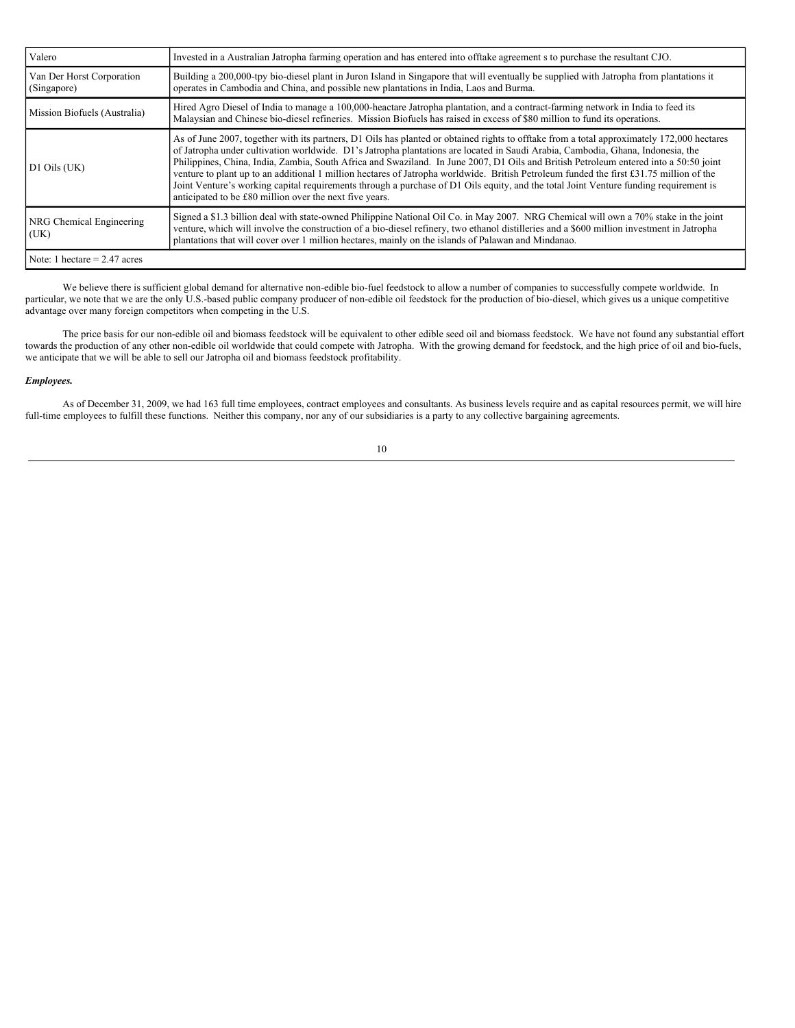| Valero                                   | Invested in a Australian Jatropha farming operation and has entered into offtake agreement s to purchase the resultant CJO.                                                                                                                                                                                                                                                                                                                                                                                                                                                                                                                                                                                                                                           |
|------------------------------------------|-----------------------------------------------------------------------------------------------------------------------------------------------------------------------------------------------------------------------------------------------------------------------------------------------------------------------------------------------------------------------------------------------------------------------------------------------------------------------------------------------------------------------------------------------------------------------------------------------------------------------------------------------------------------------------------------------------------------------------------------------------------------------|
| Van Der Horst Corporation<br>(Singapore) | Building a 200,000-tpy bio-diesel plant in Juron Island in Singapore that will eventually be supplied with Jatropha from plantations it<br>operates in Cambodia and China, and possible new plantations in India, Laos and Burma.                                                                                                                                                                                                                                                                                                                                                                                                                                                                                                                                     |
| Mission Biofuels (Australia)             | Hired Agro Diesel of India to manage a 100,000-heactare Jatropha plantation, and a contract-farming network in India to feed its<br>Malaysian and Chinese bio-diesel refineries. Mission Biofuels has raised in excess of \$80 million to fund its operations.                                                                                                                                                                                                                                                                                                                                                                                                                                                                                                        |
| D1 Oils (UK)                             | As of June 2007, together with its partners, D1 Oils has planted or obtained rights to offtake from a total approximately 172,000 hectares<br>of Jatropha under cultivation worldwide. D1's Jatropha plantations are located in Saudi Arabia, Cambodia, Ghana, Indonesia, the<br>Philippines, China, India, Zambia, South Africa and Swaziland. In June 2007, D1 Oils and British Petroleum entered into a 50:50 joint<br>venture to plant up to an additional 1 million hectares of Jatropha worldwide. British Petroleum funded the first £31.75 million of the<br>Joint Venture's working capital requirements through a purchase of D1 Oils equity, and the total Joint Venture funding requirement is<br>anticipated to be £80 million over the next five years. |
| NRG Chemical Engineering<br>(UK)         | Signed a \$1.3 billion deal with state-owned Philippine National Oil Co. in May 2007. NRG Chemical will own a 70% stake in the joint<br>venture, which will involve the construction of a bio-diesel refinery, two ethanol distilleries and a \$600 million investment in Jatropha<br>plantations that will cover over 1 million hectares, mainly on the islands of Palawan and Mindanao.                                                                                                                                                                                                                                                                                                                                                                             |
| Note: 1 hectare $= 2.47$ acres           |                                                                                                                                                                                                                                                                                                                                                                                                                                                                                                                                                                                                                                                                                                                                                                       |

We believe there is sufficient global demand for alternative non-edible bio-fuel feedstock to allow a number of companies to successfully compete worldwide. In particular, we note that we are the only U.S.-based public company producer of non-edible oil feedstock for the production of bio-diesel, which gives us a unique competitive advantage over many foreign competitors when competing in the U.S.

The price basis for our non-edible oil and biomass feedstock will be equivalent to other edible seed oil and biomass feedstock. We have not found any substantial effort towards the production of any other non-edible oil worldwide that could compete with Jatropha. With the growing demand for feedstock, and the high price of oil and bio-fuels, we anticipate that we will be able to sell our Jatropha oil and biomass feedstock profitability.

#### *Employees.*

As of December 31, 2009, we had 163 full time employees, contract employees and consultants. As business levels require and as capital resources permit, we will hire full-time employees to fulfill these functions. Neither this company, nor any of our subsidiaries is a party to any collective bargaining agreements.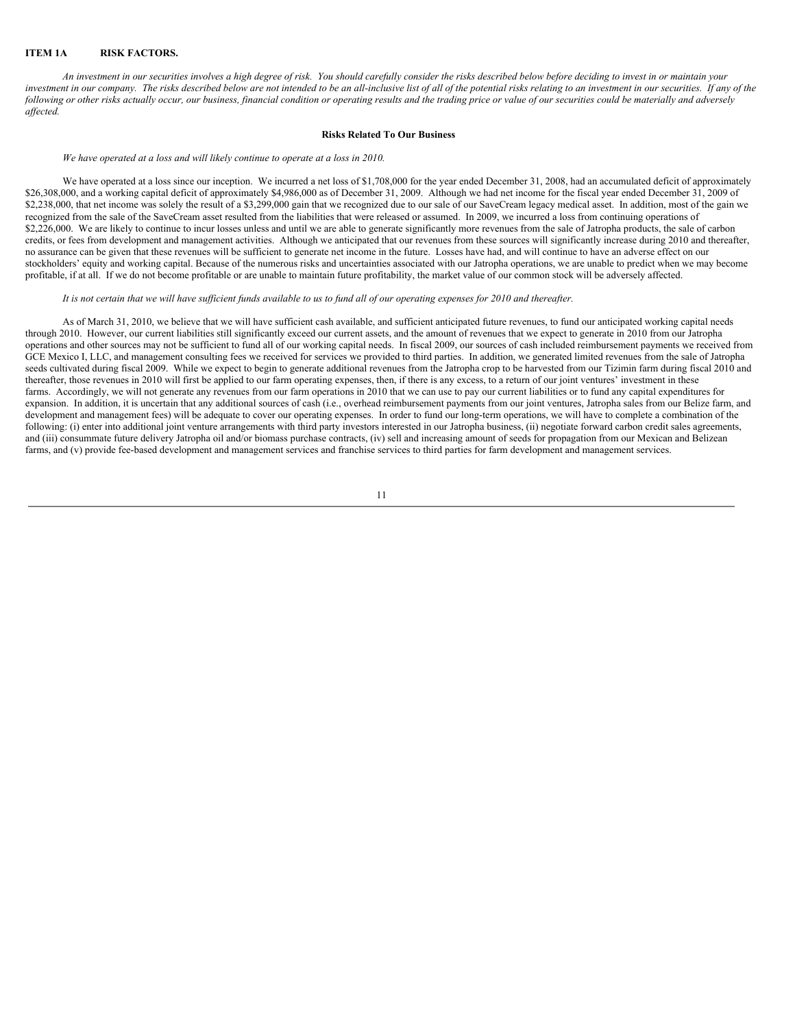### **ITEM 1A RISK FACTORS.**

An investment in our securities involves a high degree of risk. You should carefully consider the risks described below before deciding to invest in or maintain your investment in our company. The risks described below are not intended to be an all-inclusive list of all of the potential risks relating to an investment in our securities. If any of the following or other risks actually occur, our business, financial condition or operating results and the trading price or value of our securities could be materially and adversely *af ected.*

### **Risks Related To Our Business**

*We have operated at a loss and will likely continue to operate at a loss in 2010.*

We have operated at a loss since our inception. We incurred a net loss of \$1,708,000 for the year ended December 31, 2008, had an accumulated deficit of approximately \$26,308,000, and a working capital deficit of approximately \$4,986,000 as of December 31, 2009. Although we had net income for the fiscal year ended December 31, 2009 of \$2,238,000, that net income was solely the result of a \$3,299,000 gain that we recognized due to our sale of our SaveCream legacy medical asset. In addition, most of the gain we recognized from the sale of the SaveCream asset resulted from the liabilities that were released or assumed. In 2009, we incurred a loss from continuing operations of \$2,226,000. We are likely to continue to incur losses unless and until we are able to generate significantly more revenues from the sale of Jatropha products, the sale of carbon credits, or fees from development and management activities. Although we anticipated that our revenues from these sources will significantly increase during 2010 and thereafter, no assurance can be given that these revenues will be sufficient to generate net income in the future. Losses have had, and will continue to have an adverse effect on our stockholders' equity and working capital. Because of the numerous risks and uncertainties associated with our Jatropha operations, we are unable to predict when we may become profitable, if at all. If we do not become profitable or are unable to maintain future profitability, the market value of our common stock will be adversely affected.

#### It is not certain that we will have sufficient funds available to us to fund all of our operating expenses for 2010 and thereafter.

As of March 31, 2010, we believe that we will have sufficient cash available, and sufficient anticipated future revenues, to fund our anticipated working capital needs through 2010. However, our current liabilities still significantly exceed our current assets, and the amount of revenues that we expect to generate in 2010 from our Jatropha operations and other sources may not be sufficient to fund all of our working capital needs. In fiscal 2009, our sources of cash included reimbursement payments we received from GCE Mexico I, LLC, and management consulting fees we received for services we provided to third parties. In addition, we generated limited revenues from the sale of Jatropha seeds cultivated during fiscal 2009. While we expect to begin to generate additional revenues from the Jatropha crop to be harvested from our Tizimin farm during fiscal 2010 and thereafter, those revenues in 2010 will first be applied to our farm operating expenses, then, if there is any excess, to a return of our joint ventures' investment in these farms. Accordingly, we will not generate any revenues from our farm operations in 2010 that we can use to pay our current liabilities or to fund any capital expenditures for expansion. In addition, it is uncertain that any additional sources of cash (i.e., overhead reimbursement payments from our joint ventures, Jatropha sales from our Belize farm, and development and management fees) will be adequate to cover our operating expenses. In order to fund our long-term operations, we will have to complete a combination of the following: (i) enter into additional joint venture arrangements with third party investors interested in our Jatropha business, (ii) negotiate forward carbon credit sales agreements, and (iii) consummate future delivery Jatropha oil and/or biomass purchase contracts, (iv) sell and increasing amount of seeds for propagation from our Mexican and Belizean farms, and (v) provide fee-based development and management services and franchise services to third parties for farm development and management services.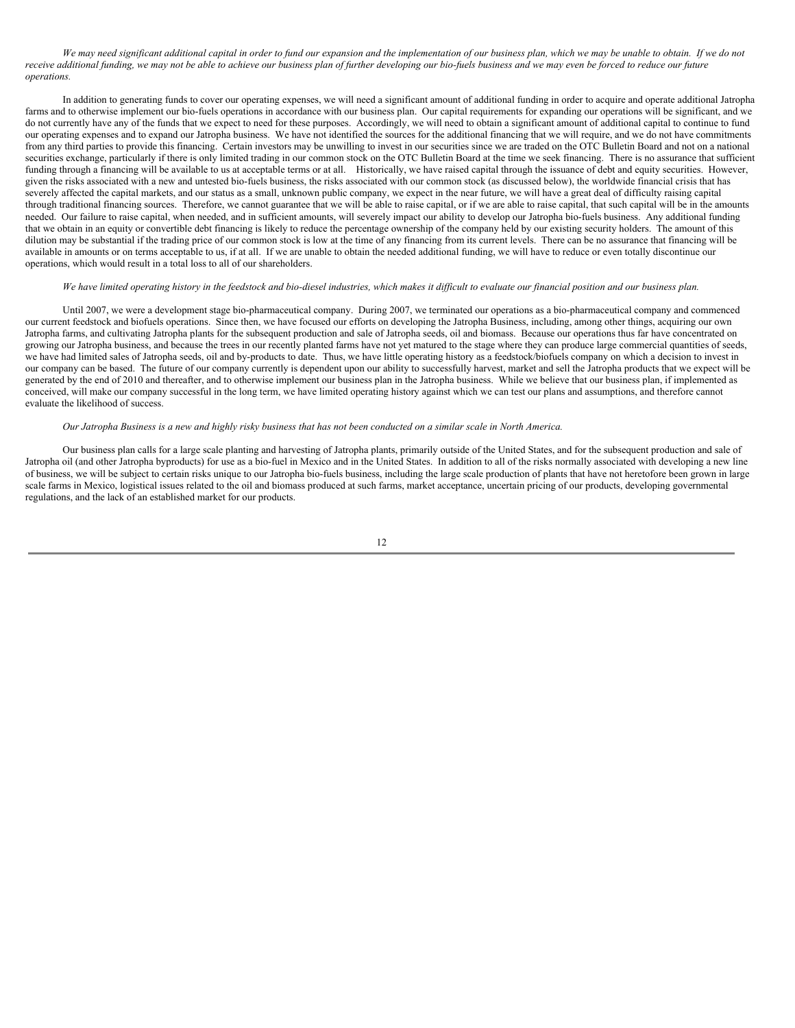We may need significant additional capital in order to fund our expansion and the implementation of our business plan, which we may be unable to obtain. If we do not receive additional funding, we may not be able to achieve our business plan of further developing our bio-fuels business and we may even be forced to reduce our future *operations.*

In addition to generating funds to cover our operating expenses, we will need a significant amount of additional funding in order to acquire and operate additional Jatropha farms and to otherwise implement our bio-fuels operations in accordance with our business plan. Our capital requirements for expanding our operations will be significant, and we do not currently have any of the funds that we expect to need for these purposes. Accordingly, we will need to obtain a significant amount of additional capital to continue to fund our operating expenses and to expand our Jatropha business. We have not identified the sources for the additional financing that we will require, and we do not have commitments from any third parties to provide this financing. Certain investors may be unwilling to invest in our securities since we are traded on the OTC Bulletin Board and not on a national securities exchange, particularly if there is only limited trading in our common stock on the OTC Bulletin Board at the time we seek financing. There is no assurance that sufficient funding through a financing will be available to us at acceptable terms or at all. Historically, we have raised capital through the issuance of debt and equity securities. However, given the risks associated with a new and untested bio-fuels business, the risks associated with our common stock (as discussed below), the worldwide financial crisis that has severely affected the capital markets, and our status as a small, unknown public company, we expect in the near future, we will have a great deal of difficulty raising capital through traditional financing sources. Therefore, we cannot guarantee that we will be able to raise capital, or if we are able to raise capital, that such capital will be in the amounts needed. Our failure to raise capital, when needed, and in sufficient amounts, will severely impact our ability to develop our Jatropha bio-fuels business. Any additional funding that we obtain in an equity or convertible debt financing is likely to reduce the percentage ownership of the company held by our existing security holders. The amount of this dilution may be substantial if the trading price of our common stock is low at the time of any financing from its current levels. There can be no assurance that financing will be available in amounts or on terms acceptable to us, if at all. If we are unable to obtain the needed additional funding, we will have to reduce or even totally discontinue our operations, which would result in a total loss to all of our shareholders.

#### We have limited operating history in the feedstock and bio-diesel industries, which makes it difficult to evaluate our financial position and our business plan.

Until 2007, we were a development stage bio-pharmaceutical company. During 2007, we terminated our operations as a bio-pharmaceutical company and commenced our current feedstock and biofuels operations. Since then, we have focused our efforts on developing the Jatropha Business, including, among other things, acquiring our own Jatropha farms, and cultivating Jatropha plants for the subsequent production and sale of Jatropha seeds, oil and biomass. Because our operations thus far have concentrated on growing our Jatropha business, and because the trees in our recently planted farms have not yet matured to the stage where they can produce large commercial quantities of seeds, we have had limited sales of Jatropha seeds, oil and by-products to date. Thus, we have little operating history as a feedstock/biofuels company on which a decision to invest in our company can be based. The future of our company currently is dependent upon our ability to successfully harvest, market and sell the Jatropha products that we expect will be generated by the end of 2010 and thereafter, and to otherwise implement our business plan in the Jatropha business. While we believe that our business plan, if implemented as conceived, will make our company successful in the long term, we have limited operating history against which we can test our plans and assumptions, and therefore cannot evaluate the likelihood of success.

### Our Jatropha Business is a new and highly risky business that has not been conducted on a similar scale in North America.

Our business plan calls for a large scale planting and harvesting of Jatropha plants, primarily outside of the United States, and for the subsequent production and sale of Jatropha oil (and other Jatropha byproducts) for use as a bio-fuel in Mexico and in the United States. In addition to all of the risks normally associated with developing a new line of business, we will be subject to certain risks unique to our Jatropha bio-fuels business, including the large scale production of plants that have not heretofore been grown in large scale farms in Mexico, logistical issues related to the oil and biomass produced at such farms, market acceptance, uncertain pricing of our products, developing governmental regulations, and the lack of an established market for our products.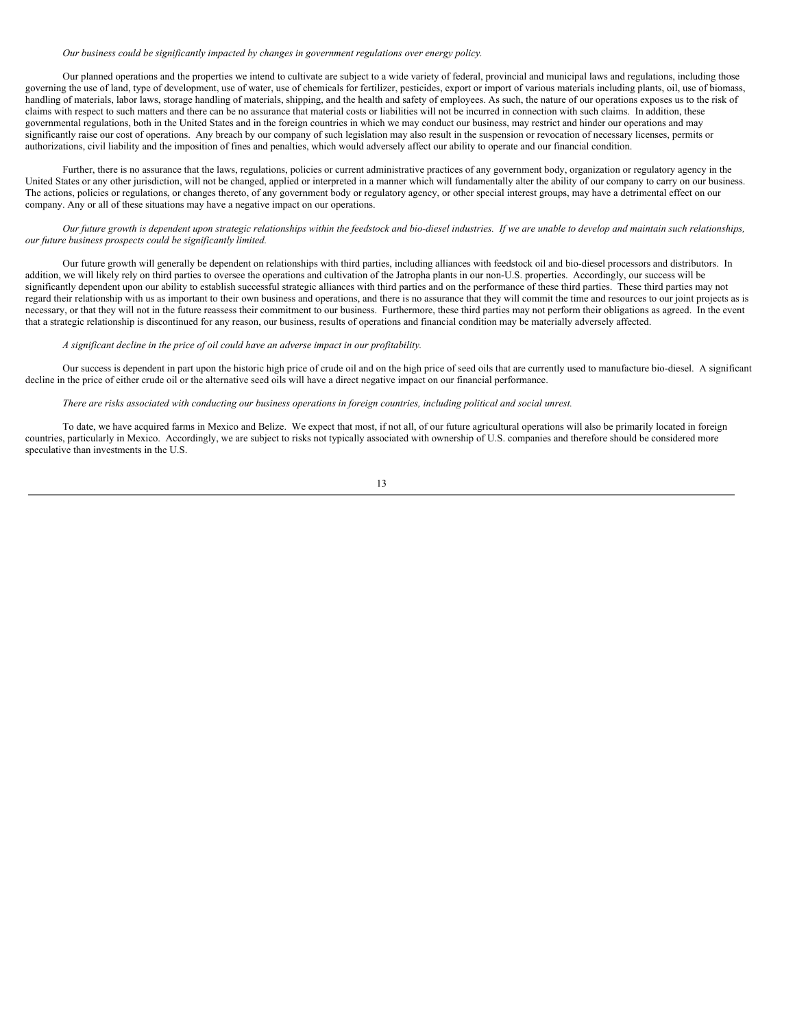#### *Our business could be significantly impacted by changes in government regulations over energy policy.*

Our planned operations and the properties we intend to cultivate are subject to a wide variety of federal, provincial and municipal laws and regulations, including those governing the use of land, type of development, use of water, use of chemicals for fertilizer, pesticides, export or import of various materials including plants, oil, use of biomass, handling of materials, labor laws, storage handling of materials, shipping, and the health and safety of employees. As such, the nature of our operations exposes us to the risk of claims with respect to such matters and there can be no assurance that material costs or liabilities will not be incurred in connection with such claims. In addition, these governmental regulations, both in the United States and in the foreign countries in which we may conduct our business, may restrict and hinder our operations and may significantly raise our cost of operations. Any breach by our company of such legislation may also result in the suspension or revocation of necessary licenses, permits or authorizations, civil liability and the imposition of fines and penalties, which would adversely affect our ability to operate and our financial condition.

Further, there is no assurance that the laws, regulations, policies or current administrative practices of any government body, organization or regulatory agency in the United States or any other jurisdiction, will not be changed, applied or interpreted in a manner which will fundamentally alter the ability of our company to carry on our business. The actions, policies or regulations, or changes thereto, of any government body or regulatory agency, or other special interest groups, may have a detrimental effect on our company. Any or all of these situations may have a negative impact on our operations.

Our future growth is dependent upon strategic relationships within the feedstock and bio-diesel industries. If we are unable to develop and maintain such relationships, *our future business prospects could be significantly limited.*

Our future growth will generally be dependent on relationships with third parties, including alliances with feedstock oil and bio-diesel processors and distributors. In addition, we will likely rely on third parties to oversee the operations and cultivation of the Jatropha plants in our non-U.S. properties. Accordingly, our success will be significantly dependent upon our ability to establish successful strategic alliances with third parties and on the performance of these third parties. These third parties may not regard their relationship with us as important to their own business and operations, and there is no assurance that they will commit the time and resources to our joint projects as is necessary, or that they will not in the future reassess their commitment to our business. Furthermore, these third parties may not perform their obligations as agreed. In the event that a strategic relationship is discontinued for any reason, our business, results of operations and financial condition may be materially adversely affected.

#### *A significant decline in the price of oil could have an adverse impact in our profitability.*

Our success is dependent in part upon the historic high price of crude oil and on the high price of seed oils that are currently used to manufacture bio-diesel. A significant decline in the price of either crude oil or the alternative seed oils will have a direct negative impact on our financial performance.

There are risks associated with conducting our business operations in foreign countries, including political and social unrest.

To date, we have acquired farms in Mexico and Belize. We expect that most, if not all, of our future agricultural operations will also be primarily located in foreign countries, particularly in Mexico. Accordingly, we are subject to risks not typically associated with ownership of U.S. companies and therefore should be considered more speculative than investments in the U.S.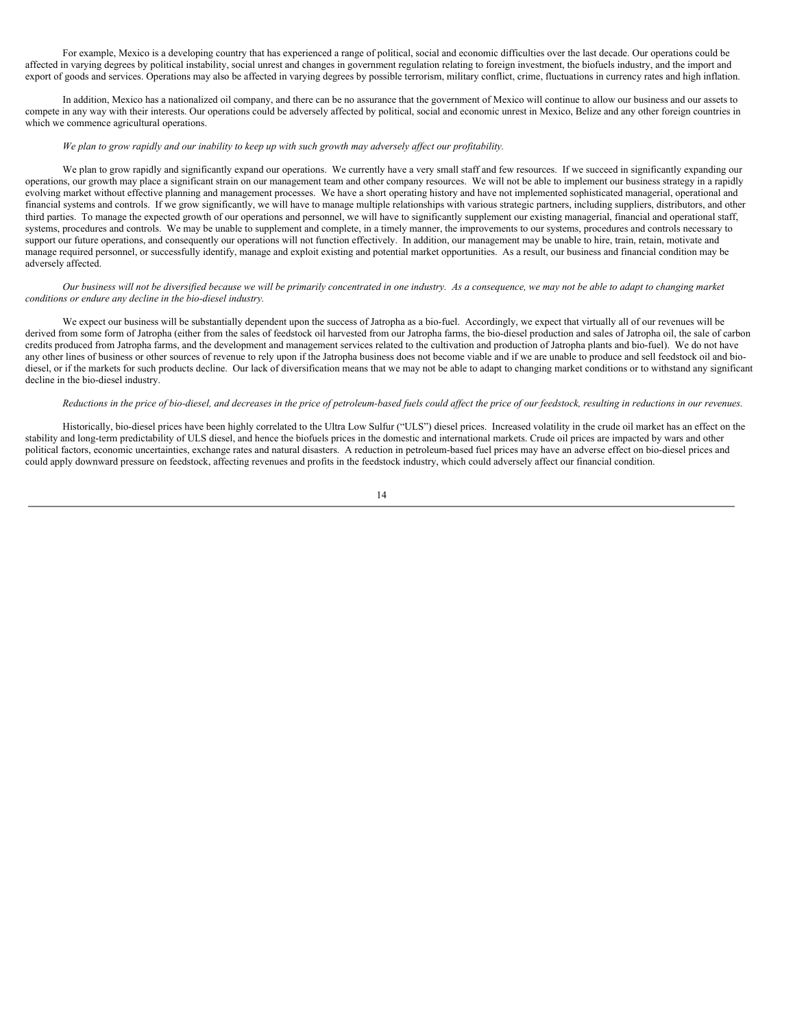For example, Mexico is a developing country that has experienced a range of political, social and economic difficulties over the last decade. Our operations could be affected in varying degrees by political instability, social unrest and changes in government regulation relating to foreign investment, the biofuels industry, and the import and export of goods and services. Operations may also be affected in varying degrees by possible terrorism, military conflict, crime, fluctuations in currency rates and high inflation.

In addition, Mexico has a nationalized oil company, and there can be no assurance that the government of Mexico will continue to allow our business and our assets to compete in any way with their interests. Our operations could be adversely affected by political, social and economic unrest in Mexico, Belize and any other foreign countries in which we commence agricultural operations.

#### We plan to grow rapidly and our inability to keep up with such growth may adversely affect our profitability.

We plan to grow rapidly and significantly expand our operations. We currently have a very small staff and few resources. If we succeed in significantly expanding our operations, our growth may place a significant strain on our management team and other company resources. We will not be able to implement our business strategy in a rapidly evolving market without effective planning and management processes. We have a short operating history and have not implemented sophisticated managerial, operational and financial systems and controls. If we grow significantly, we will have to manage multiple relationships with various strategic partners, including suppliers, distributors, and other third parties. To manage the expected growth of our operations and personnel, we will have to significantly supplement our existing managerial, financial and operational staff, systems, procedures and controls. We may be unable to supplement and complete, in a timely manner, the improvements to our systems, procedures and controls necessary to support our future operations, and consequently our operations will not function effectively. In addition, our management may be unable to hire, train, retain, motivate and manage required personnel, or successfully identify, manage and exploit existing and potential market opportunities. As a result, our business and financial condition may be adversely affected.

Our business will not be diversified because we will be primarily concentrated in one industry. As a consequence, we may not be able to adapt to changing market *conditions or endure any decline in the bio-diesel industry.*

We expect our business will be substantially dependent upon the success of Jatropha as a bio-fuel. Accordingly, we expect that virtually all of our revenues will be derived from some form of Jatropha (either from the sales of feedstock oil harvested from our Jatropha farms, the bio-diesel production and sales of Jatropha oil, the sale of carbon credits produced from Jatropha farms, and the development and management services related to the cultivation and production of Jatropha plants and bio-fuel). We do not have any other lines of business or other sources of revenue to rely upon if the Jatropha business does not become viable and if we are unable to produce and sell feedstock oil and biodiesel, or if the markets for such products decline. Our lack of diversification means that we may not be able to adapt to changing market conditions or to withstand any significant decline in the bio-diesel industry.

### Reductions in the price of bio-diesel, and decreases in the price of petroleum-based fuels could affect the price of our feedstock, resulting in reductions in our revenues.

Historically, bio-diesel prices have been highly correlated to the Ultra Low Sulfur ("ULS") diesel prices. Increased volatility in the crude oil market has an effect on the stability and long-term predictability of ULS diesel, and hence the biofuels prices in the domestic and international markets. Crude oil prices are impacted by wars and other political factors, economic uncertainties, exchange rates and natural disasters. A reduction in petroleum-based fuel prices may have an adverse effect on bio-diesel prices and could apply downward pressure on feedstock, affecting revenues and profits in the feedstock industry, which could adversely affect our financial condition.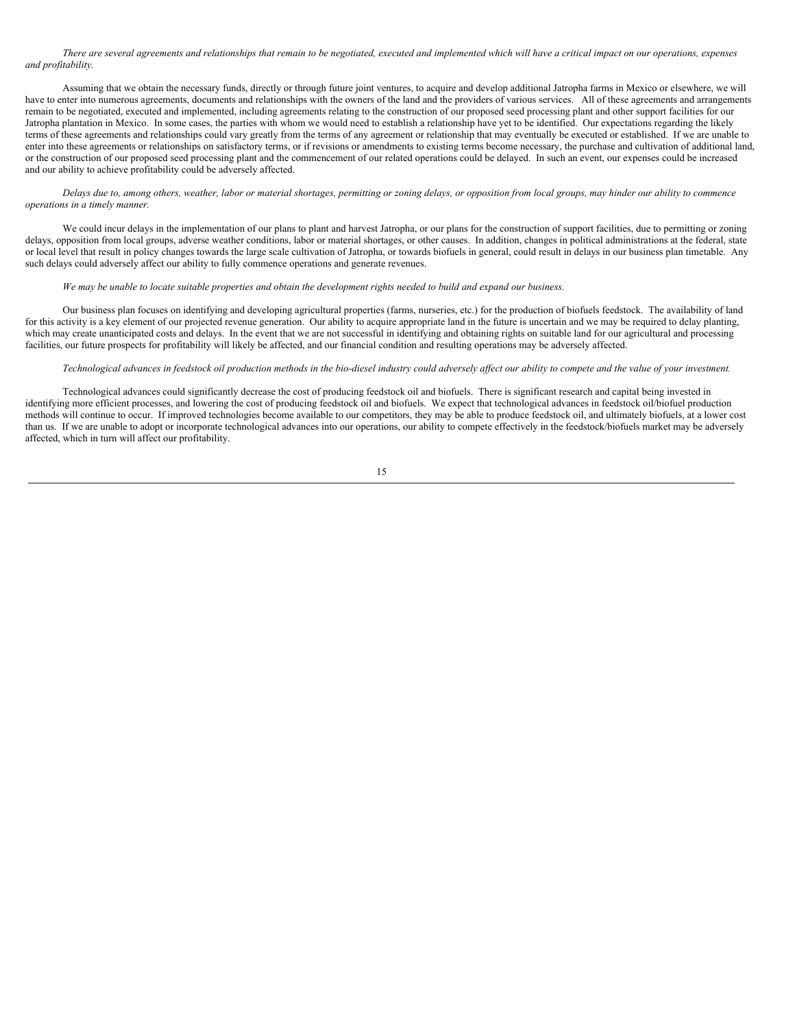There are several agreements and relationships that remain to be negotiated, executed and implemented which will have a critical impact on our operations, expenses *and profitability.*

Assuming that we obtain the necessary funds, directly or through future joint ventures, to acquire and develop additional Jatropha farms in Mexico or elsewhere, we will have to enter into numerous agreements, documents and relationships with the owners of the land and the providers of various services. All of these agreements and arrangements remain to be negotiated, executed and implemented, including agreements relating to the construction of our proposed seed processing plant and other support facilities for our Jatropha plantation in Mexico. In some cases, the parties with whom we would need to establish a relationship have yet to be identified. Our expectations regarding the likely terms of these agreements and relationships could vary greatly from the terms of any agreement or relationship that may eventually be executed or established. If we are unable to enter into these agreements or relationships on satisfactory terms, or if revisions or amendments to existing terms become necessary, the purchase and cultivation of additional land, or the construction of our proposed seed processing plant and the commencement of our related operations could be delayed. In such an event, our expenses could be increased and our ability to achieve profitability could be adversely affected.

Delays due to, among others, weather, labor or material shortages, permitting or zoning delays, or opposition from local groups, may hinder our ability to commence *operations in a timely manner.*

We could incur delays in the implementation of our plans to plant and harvest Jatropha, or our plans for the construction of support facilities, due to permitting or zoning delays, opposition from local groups, adverse weather conditions, labor or material shortages, or other causes. In addition, changes in political administrations at the federal, state or local level that result in policy changes towards the large scale cultivation of Jatropha, or towards biofuels in general, could result in delays in our business plan timetable. Any such delays could adversely affect our ability to fully commence operations and generate revenues.

#### We may be unable to locate suitable properties and obtain the development rights needed to build and expand our business.

Our business plan focuses on identifying and developing agricultural properties (farms, nurseries, etc.) for the production of biofuels feedstock. The availability of land for this activity is a key element of our projected revenue generation. Our ability to acquire appropriate land in the future is uncertain and we may be required to delay planting, which may create unanticipated costs and delays. In the event that we are not successful in identifying and obtaining rights on suitable land for our agricultural and processing facilities, our future prospects for profitability will likely be affected, and our financial condition and resulting operations may be adversely affected.

#### Technological advances in feedstock oil production methods in the bio-diesel industry could adversely affect our ability to compete and the value of your investment.

Technological advances could significantly decrease the cost of producing feedstock oil and biofuels. There is significant research and capital being invested in identifying more efficient processes, and lowering the cost of producing feedstock oil and biofuels. We expect that technological advances in feedstock oil/biofuel production methods will continue to occur. If improved technologies become available to our competitors, they may be able to produce feedstock oil, and ultimately biofuels, at a lower cost than us. If we are unable to adopt or incorporate technological advances into our operations, our ability to compete effectively in the feedstock/biofuels market may be adversely affected, which in turn will affect our profitability.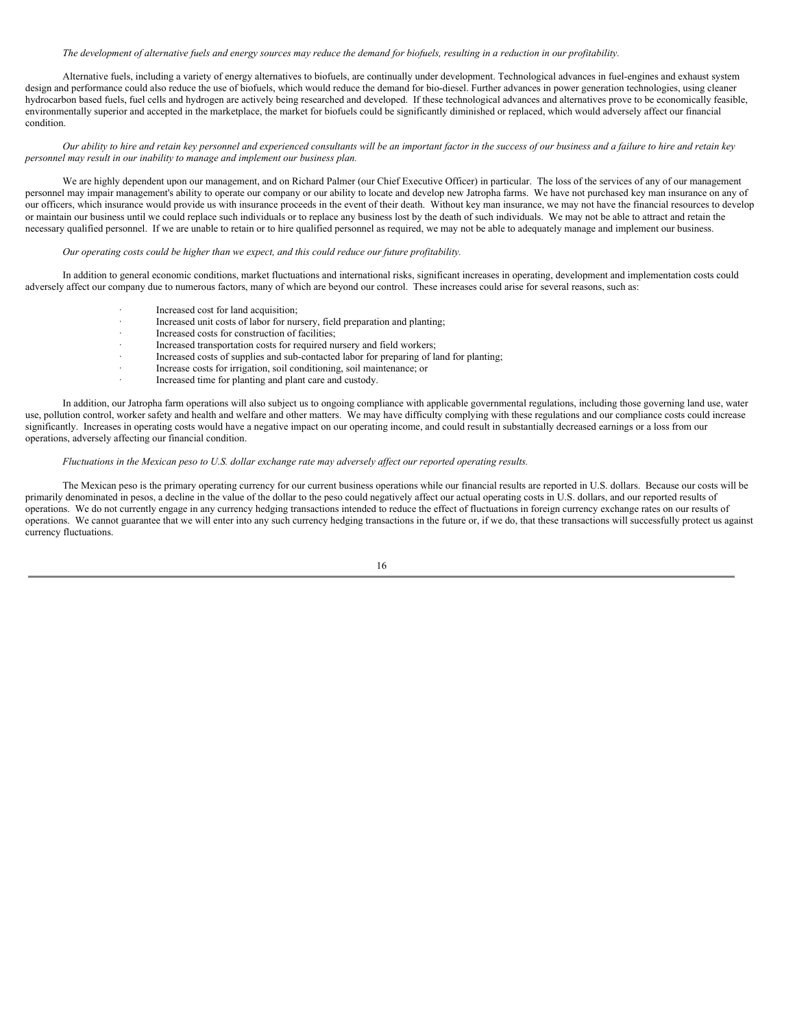#### The development of alternative fuels and energy sources may reduce the demand for biofuels, resulting in a reduction in our profitability.

Alternative fuels, including a variety of energy alternatives to biofuels, are continually under development. Technological advances in fuel-engines and exhaust system design and performance could also reduce the use of biofuels, which would reduce the demand for bio-diesel. Further advances in power generation technologies, using cleaner hydrocarbon based fuels, fuel cells and hydrogen are actively being researched and developed. If these technological advances and alternatives prove to be economically feasible, environmentally superior and accepted in the marketplace, the market for biofuels could be significantly diminished or replaced, which would adversely affect our financial condition.

#### Our ability to hire and retain key personnel and experienced consultants will be an important factor in the success of our business and a failure to hire and retain key *personnel may result in our inability to manage and implement our business plan.*

We are highly dependent upon our management, and on Richard Palmer (our Chief Executive Officer) in particular. The loss of the services of any of our management personnel may impair management's ability to operate our company or our ability to locate and develop new Jatropha farms. We have not purchased key man insurance on any of our officers, which insurance would provide us with insurance proceeds in the event of their death. Without key man insurance, we may not have the financial resources to develop or maintain our business until we could replace such individuals or to replace any business lost by the death of such individuals. We may not be able to attract and retain the necessary qualified personnel. If we are unable to retain or to hire qualified personnel as required, we may not be able to adequately manage and implement our business.

#### *Our operating costs could be higher than we expect, and this could reduce our future profitability.*

In addition to general economic conditions, market fluctuations and international risks, significant increases in operating, development and implementation costs could adversely affect our company due to numerous factors, many of which are beyond our control. These increases could arise for several reasons, such as:

- Increased cost for land acquisition;
- Increased unit costs of labor for nursery, field preparation and planting;
- Increased costs for construction of facilities:
- Increased transportation costs for required nursery and field workers;
- Increased costs of supplies and sub-contacted labor for preparing of land for planting;
- · Increase costs for irrigation, soil conditioning, soil maintenance; or
- Increased time for planting and plant care and custody.

In addition, our Jatropha farm operations will also subject us to ongoing compliance with applicable governmental regulations, including those governing land use, water use, pollution control, worker safety and health and welfare and other matters. We may have difficulty complying with these regulations and our compliance costs could increase significantly. Increases in operating costs would have a negative impact on our operating income, and could result in substantially decreased earnings or a loss from our operations, adversely affecting our financial condition.

#### Fluctuations in the Mexican peso to U.S. dollar exchange rate may adversely affect our reported operating results.

The Mexican peso is the primary operating currency for our current business operations while our financial results are reported in U.S. dollars. Because our costs will be primarily denominated in pesos, a decline in the value of the dollar to the peso could negatively affect our actual operating costs in U.S. dollars, and our reported results of operations. We do not currently engage in any currency hedging transactions intended to reduce the effect of fluctuations in foreign currency exchange rates on our results of operations. We cannot guarantee that we will enter into any such currency hedging transactions in the future or, if we do, that these transactions will successfully protect us against currency fluctuations.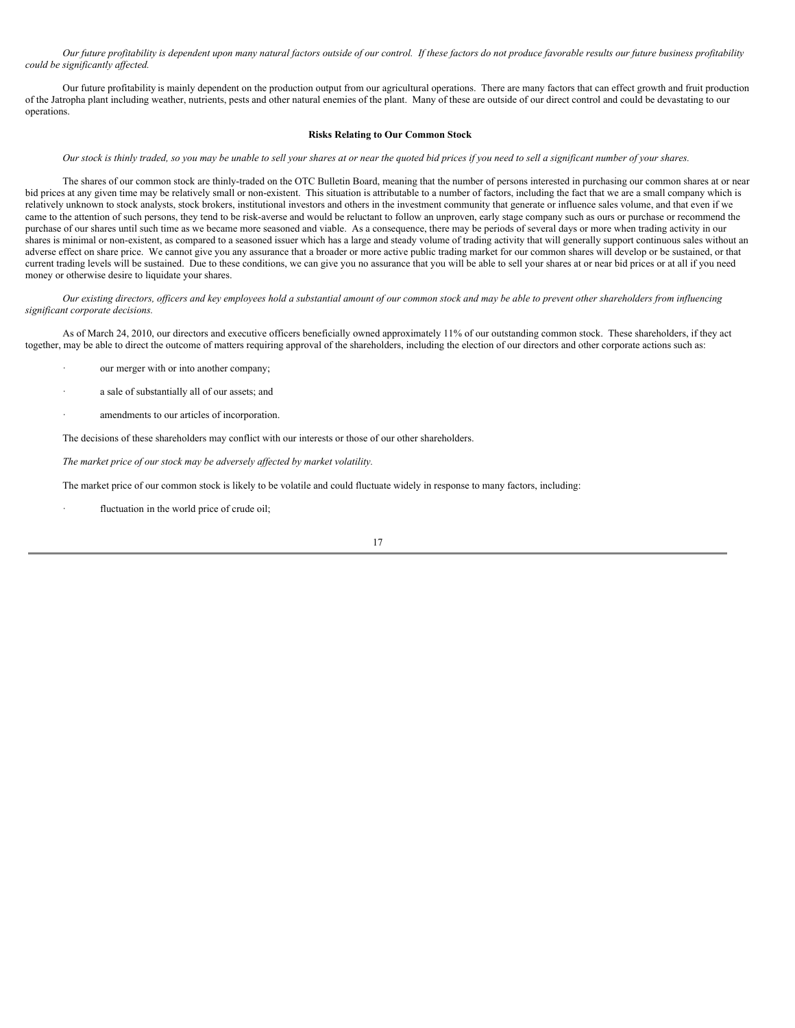Our future profitability is dependent upon many natural factors outside of our control. If these factors do not produce favorable results our future business profitability *could be significantly af ected.*

Our future profitability is mainly dependent on the production output from our agricultural operations. There are many factors that can effect growth and fruit production of the Jatropha plant including weather, nutrients, pests and other natural enemies of the plant. Many of these are outside of our direct control and could be devastating to our operations.

#### **Risks Relating to Our Common Stock**

Our stock is thinly traded, so you may be unable to sell your shares at or near the quoted bid prices if you need to sell a significant number of your shares.

The shares of our common stock are thinly-traded on the OTC Bulletin Board, meaning that the number of persons interested in purchasing our common shares at or near bid prices at any given time may be relatively small or non-existent. This situation is attributable to a number of factors, including the fact that we are a small company which is relatively unknown to stock analysts, stock brokers, institutional investors and others in the investment community that generate or influence sales volume, and that even if we came to the attention of such persons, they tend to be risk-averse and would be reluctant to follow an unproven, early stage company such as ours or purchase or recommend the purchase of our shares until such time as we became more seasoned and viable. As a consequence, there may be periods of several days or more when trading activity in our shares is minimal or non-existent, as compared to a seasoned issuer which has a large and steady volume of trading activity that will generally support continuous sales without an adverse effect on share price. We cannot give you any assurance that a broader or more active public trading market for our common shares will develop or be sustained, or that current trading levels will be sustained. Due to these conditions, we can give you no assurance that you will be able to sell your shares at or near bid prices or at all if you need money or otherwise desire to liquidate your shares.

Our existing directors, officers and key employees hold a substantial amount of our common stock and may be able to prevent other shareholders from influencing *significant corporate decisions.*

As of March 24, 2010, our directors and executive officers beneficially owned approximately 11% of our outstanding common stock. These shareholders, if they act together, may be able to direct the outcome of matters requiring approval of the shareholders, including the election of our directors and other corporate actions such as:

our merger with or into another company;

a sale of substantially all of our assets; and

amendments to our articles of incorporation.

The decisions of these shareholders may conflict with our interests or those of our other shareholders.

*The market price of our stock may be adversely af ected by market volatility.*

The market price of our common stock is likely to be volatile and could fluctuate widely in response to many factors, including:

fluctuation in the world price of crude oil;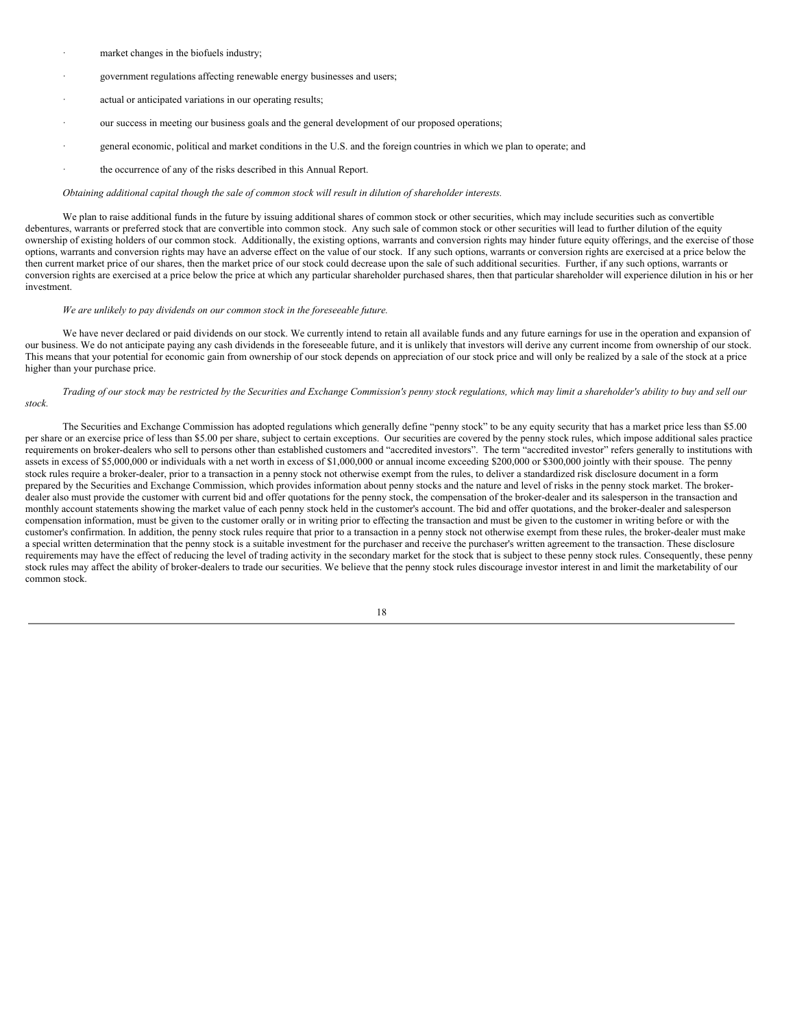- market changes in the biofuels industry;
- government regulations affecting renewable energy businesses and users;
- actual or anticipated variations in our operating results;
- our success in meeting our business goals and the general development of our proposed operations;
- · general economic, political and market conditions in the U.S. and the foreign countries in which we plan to operate; and
- the occurrence of any of the risks described in this Annual Report.

#### *Obtaining additional capital though the sale of common stock will result in dilution of shareholder interests.*

We plan to raise additional funds in the future by issuing additional shares of common stock or other securities, which may include securities such as convertible debentures, warrants or preferred stock that are convertible into common stock. Any such sale of common stock or other securities will lead to further dilution of the equity ownership of existing holders of our common stock. Additionally, the existing options, warrants and conversion rights may hinder future equity offerings, and the exercise of those options, warrants and conversion rights may have an adverse effect on the value of our stock. If any such options, warrants or conversion rights are exercised at a price below the then current market price of our shares, then the market price of our stock could decrease upon the sale of such additional securities. Further, if any such options, warrants or conversion rights are exercised at a price below the price at which any particular shareholder purchased shares, then that particular shareholder will experience dilution in his or her investment.

#### *We are unlikely to pay dividends on our common stock in the foreseeable future.*

We have never declared or paid dividends on our stock. We currently intend to retain all available funds and any future earnings for use in the operation and expansion of our business. We do not anticipate paying any cash dividends in the foreseeable future, and it is unlikely that investors will derive any current income from ownership of our stock. This means that your potential for economic gain from ownership of our stock depends on appreciation of our stock price and will only be realized by a sale of the stock at a price higher than your purchase price.

#### Trading of our stock may be restricted by the Securities and Exchange Commission's penny stock regulations, which may limit a shareholder's ability to buy and sell our *stock.*

The Securities and Exchange Commission has adopted regulations which generally define "penny stock" to be any equity security that has a market price less than \$5.00 per share or an exercise price of less than \$5.00 per share, subject to certain exceptions. Our securities are covered by the penny stock rules, which impose additional sales practice requirements on broker-dealers who sell to persons other than established customers and "accredited investors". The term "accredited investors" refers generally to institutions with assets in excess of \$5,000,000 or individuals with a net worth in excess of \$1,000,000 or annual income exceeding \$200,000 or \$300,000 jointly with their spouse. The penny stock rules require a broker-dealer, prior to a transaction in a penny stock not otherwise exempt from the rules, to deliver a standardized risk disclosure document in a form prepared by the Securities and Exchange Commission, which provides information about penny stocks and the nature and level of risks in the penny stock market. The brokerdealer also must provide the customer with current bid and offer quotations for the penny stock, the compensation of the broker-dealer and its salesperson in the transaction and monthly account statements showing the market value of each penny stock held in the customer's account. The bid and offer quotations, and the broker-dealer and salesperson compensation information, must be given to the customer orally or in writing prior to effecting the transaction and must be given to the customer in writing before or with the customer's confirmation. In addition, the penny stock rules require that prior to a transaction in a penny stock not otherwise exempt from these rules, the broker-dealer must make a special written determination that the penny stock is a suitable investment for the purchaser and receive the purchaser's written agreement to the transaction. These disclosure requirements may have the effect of reducing the level of trading activity in the secondary market for the stock that is subject to these penny stock rules. Consequently, these penny stock rules may affect the ability of broker-dealers to trade our securities. We believe that the penny stock rules discourage investor interest in and limit the marketability of our common stock.

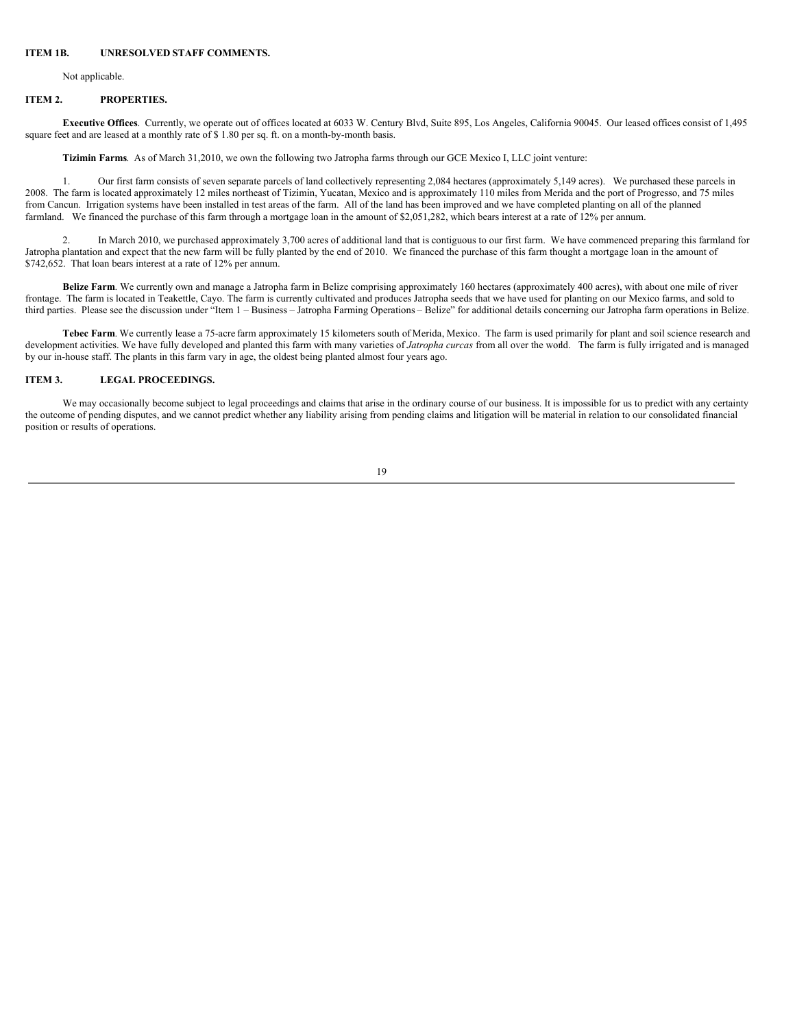### **ITEM 1B. UNRESOLVED STAFF COMMENTS.**

Not applicable.

### **ITEM 2. PROPERTIES.**

**Executive Offices**. Currently, we operate out of offices located at 6033 W. Century Blvd, Suite 895, Los Angeles, California 90045. Our leased offices consist of 1,495 square feet and are leased at a monthly rate of \$ 1.80 per sq. ft. on a month-by-month basis.

**Tizimin Farms**. As of March 31,2010, we own the following two Jatropha farms through our GCE Mexico I, LLC joint venture:

1. Our first farm consists of seven separate parcels of land collectively representing 2,084 hectares (approximately 5,149 acres). We purchased these parcels in 2008. The farm is located approximately 12 miles northeast of Tizimin, Yucatan, Mexico and is approximately 110 miles from Merida and the port of Progresso, and 75 miles from Cancun. Irrigation systems have been installed in test areas of the farm. All of the land has been improved and we have completed planting on all of the planned farmland. We financed the purchase of this farm through a mortgage loan in the amount of \$2,051,282, which bears interest at a rate of 12% per annum.

2. In March 2010, we purchased approximately 3,700 acres of additional land that is contiguous to our first farm. We have commenced preparing this farmland for Jatropha plantation and expect that the new farm will be fully planted by the end of 2010. We financed the purchase of this farm thought a mortgage loan in the amount of \$742,652. That loan bears interest at a rate of 12% per annum.

**Belize Farm**. We currently own and manage a Jatropha farm in Belize comprising approximately 160 hectares (approximately 400 acres), with about one mile of river frontage. The farm is located in Teakettle, Cayo. The farm is currently cultivated and produces Jatropha seeds that we have used for planting on our Mexico farms, and sold to third parties. Please see the discussion under "Item 1 – Business – Jatropha Farming Operations – Belize" for additional details concerning our Jatropha farm operations in Belize.

**Tebec Farm**. We currently lease a 75-acre farm approximately 15 kilometers south of Merida, Mexico. The farm is used primarily for plant and soil science research and development activities. We have fully developed and planted this farm with many varieties of *Jatropha curcas* from all over the world. The farm is fully irrigated and is managed by our in-house staff. The plants in this farm vary in age, the oldest being planted almost four years ago.

### **ITEM 3. LEGAL PROCEEDINGS.**

We may occasionally become subject to legal proceedings and claims that arise in the ordinary course of our business. It is impossible for us to predict with any certainty the outcome of pending disputes, and we cannot predict whether any liability arising from pending claims and litigation will be material in relation to our consolidated financial position or results of operations.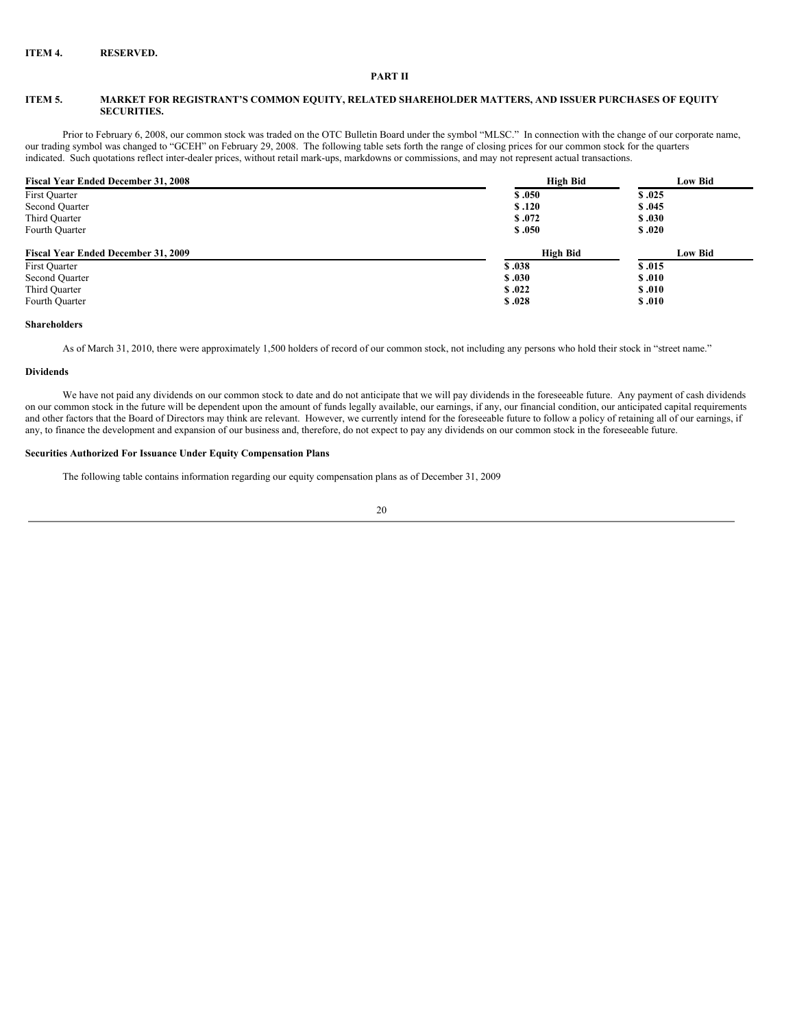### **PART II**

### **ITEM 5. MARKET FOR REGISTRANT'S COMMON EQUITY, RELATED SHAREHOLDER MATTERS, AND ISSUER PURCHASES OF EQUITY SECURITIES.**

Prior to February 6, 2008, our common stock was traded on the OTC Bulletin Board under the symbol "MLSC." In connection with the change of our corporate name, our trading symbol was changed to "GCEH" on February 29, 2008. The following table sets forth the range of closing prices for our common stock for the quarters indicated. Such quotations reflect inter-dealer prices, without retail mark-ups, markdowns or commissions, and may not represent actual transactions.

| <b>Fiscal Year Ended December 31, 2008</b> | High Bid | <b>Low Bid</b> |
|--------------------------------------------|----------|----------------|
| First Quarter                              | \$ .050  | \$.025         |
| Second Quarter                             | \$.120   | \$.045         |
| Third Quarter                              | \$ .072  | \$ .030        |
| Fourth Quarter                             | \$ .050  | \$ .020        |
| <b>Fiscal Year Ended December 31, 2009</b> | High Bid | <b>Low Bid</b> |
| First Quarter                              | \$.038   | \$.015         |
| Second Quarter                             | \$.030   | \$ .010        |
| Third Quarter                              | \$ .022  | \$ .010        |
| Fourth Quarter                             | \$.028   | \$ .010        |

#### **Shareholders**

As of March 31, 2010, there were approximately 1,500 holders of record of our common stock, not including any persons who hold their stock in "street name."

### **Dividends**

We have not paid any dividends on our common stock to date and do not anticipate that we will pay dividends in the foreseeable future. Any payment of cash dividends on our common stock in the future will be dependent upon the amount of funds legally available, our earnings, if any, our financial condition, our anticipated capital requirements and other factors that the Board of Directors may think are relevant. However, we currently intend for the foreseeable future to follow a policy of retaining all of our earnings, if any, to finance the development and expansion of our business and, therefore, do not expect to pay any dividends on our common stock in the foreseeable future.

### **Securities Authorized For Issuance Under Equity Compensation Plans**

The following table contains information regarding our equity compensation plans as of December 31, 2009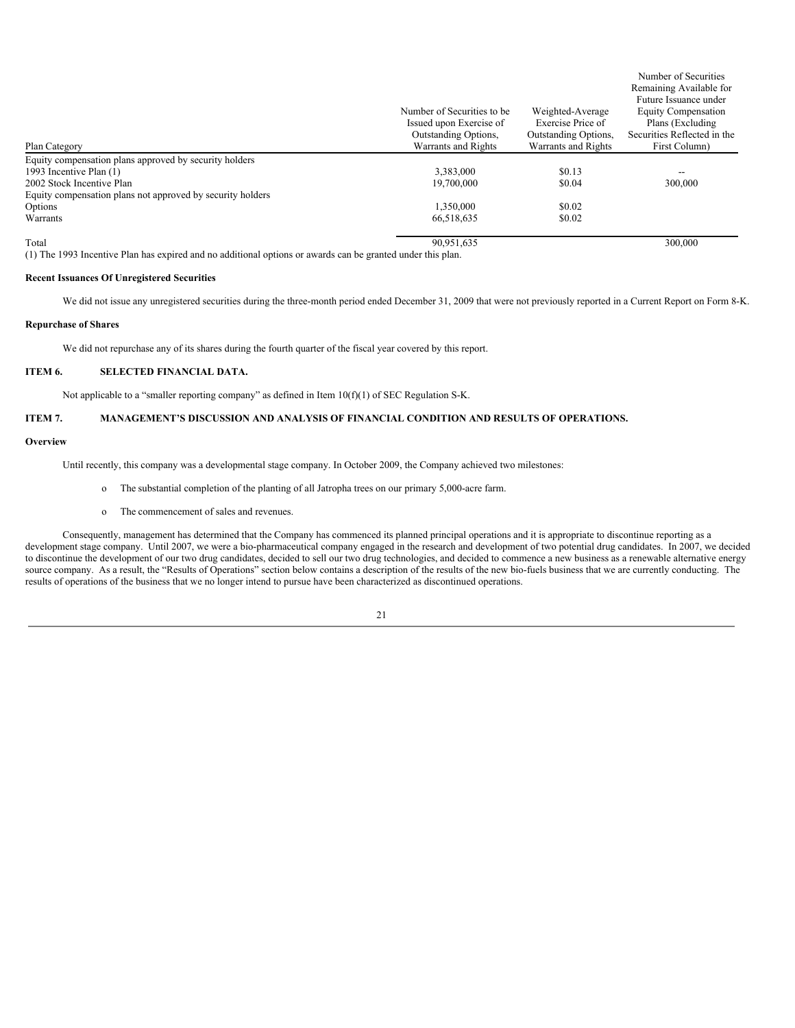| Plan Category                                              | Number of Securities to be.<br>Issued upon Exercise of<br>Outstanding Options,<br>Warrants and Rights | Weighted-Average<br>Exercise Price of<br>Outstanding Options,<br>Warrants and Rights | Number of Securities<br>Remaining Available for<br>Future Issuance under<br>Equity Compensation<br>Plans (Excluding)<br>Securities Reflected in the<br>First Column) |
|------------------------------------------------------------|-------------------------------------------------------------------------------------------------------|--------------------------------------------------------------------------------------|----------------------------------------------------------------------------------------------------------------------------------------------------------------------|
| Equity compensation plans approved by security holders     |                                                                                                       |                                                                                      |                                                                                                                                                                      |
| 1993 Incentive Plan (1)                                    | 3.383.000                                                                                             | \$0.13                                                                               | $-$                                                                                                                                                                  |
| 2002 Stock Incentive Plan                                  | 19,700,000                                                                                            | \$0.04                                                                               | 300,000                                                                                                                                                              |
| Equity compensation plans not approved by security holders |                                                                                                       |                                                                                      |                                                                                                                                                                      |
| Options                                                    | 1,350,000                                                                                             | \$0.02                                                                               |                                                                                                                                                                      |
| Warrants                                                   | 66,518,635                                                                                            | \$0.02                                                                               |                                                                                                                                                                      |
| Total                                                      | 90,951,635                                                                                            |                                                                                      | 300,000                                                                                                                                                              |

(1) The 1993 Incentive Plan has expired and no additional options or awards can be granted under this plan.

### **Recent Issuances Of Unregistered Securities**

We did not issue any unregistered securities during the three-month period ended December 31, 2009 that were not previously reported in a Current Report on Form 8-K.

### **Repurchase of Shares**

We did not repurchase any of its shares during the fourth quarter of the fiscal year covered by this report.

### **ITEM 6. SELECTED FINANCIAL DATA.**

Not applicable to a "smaller reporting company" as defined in Item 10(f)(1) of SEC Regulation S-K.

### **ITEM 7. MANAGEMENT'S DISCUSSION AND ANALYSIS OF FINANCIAL CONDITION AND RESULTS OF OPERATIONS.**

#### **Overview**

Until recently, this company was a developmental stage company. In October 2009, the Company achieved two milestones:

- o The substantial completion of the planting of all Jatropha trees on our primary 5,000-acre farm.
- o The commencement of sales and revenues.

Consequently, management has determined that the Company has commenced its planned principal operations and it is appropriate to discontinue reporting as a development stage company. Until 2007, we were a bio-pharmaceutical company engaged in the research and development of two potential drug candidates. In 2007, we decided to discontinue the development of our two drug candidates, decided to sell our two drug technologies, and decided to commence a new business as a renewable alternative energy source company. As a result, the "Results of Operations" section below contains a description of the results of the new bio-fuels business that we are currently conducting. The results of operations of the business that we no longer intend to pursue have been characterized as discontinued operations.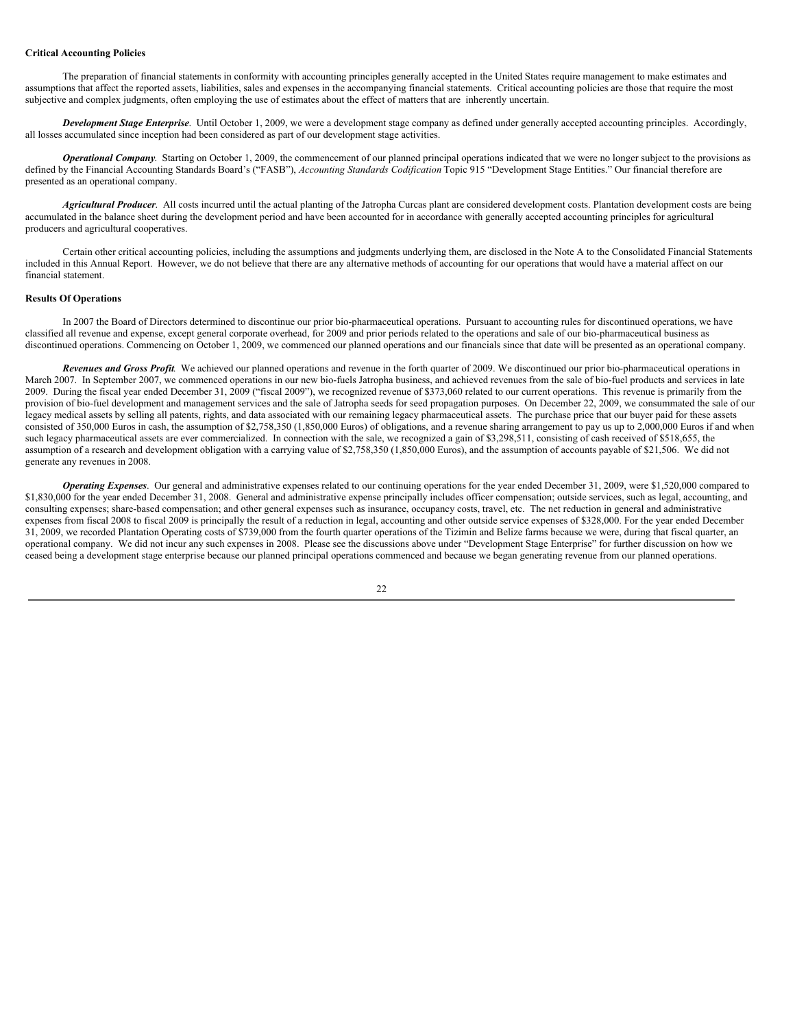#### **Critical Accounting Policies**

The preparation of financial statements in conformity with accounting principles generally accepted in the United States require management to make estimates and assumptions that affect the reported assets, liabilities, sales and expenses in the accompanying financial statements. Critical accounting policies are those that require the most subjective and complex judgments, often employing the use of estimates about the effect of matters that are inherently uncertain.

*Development Stage Enterprise*. Until October 1, 2009, we were a development stage company as defined under generally accepted accounting principles. Accordingly, all losses accumulated since inception had been considered as part of our development stage activities.

*Operational Company*. Starting on October 1, 2009, the commencement of our planned principal operations indicated that we were no longer subject to the provisions as defined by the Financial Accounting Standards Board's ("FASB"), *Accounting Standards Codification* Topic 915 "Development Stage Entities." Our financial therefore are presented as an operational company.

*Agricultural Producer*. All costs incurred until the actual planting of the Jatropha Curcas plant are considered development costs. Plantation development costs are being accumulated in the balance sheet during the development period and have been accounted for in accordance with generally accepted accounting principles for agricultural producers and agricultural cooperatives.

Certain other critical accounting policies, including the assumptions and judgments underlying them, are disclosed in the Note A to the Consolidated Financial Statements included in this Annual Report. However, we do not believe that there are any alternative methods of accounting for our operations that would have a material affect on our financial statement.

#### **Results Of Operations**

In 2007 the Board of Directors determined to discontinue our prior bio-pharmaceutical operations. Pursuant to accounting rules for discontinued operations, we have classified all revenue and expense, except general corporate overhead, for 2009 and prior periods related to the operations and sale of our bio-pharmaceutical business as discontinued operations. Commencing on October 1, 2009, we commenced our planned operations and our financials since that date will be presented as an operational company.

*Revenues and Gross Profit*. We achieved our planned operations and revenue in the forth quarter of 2009. We discontinued our prior bio-pharmaceutical operations in March 2007. In September 2007, we commenced operations in our new bio-fuels Jatropha business, and achieved revenues from the sale of bio-fuel products and services in late 2009. During the fiscal year ended December 31, 2009 ("fiscal 2009"), we recognized revenue of \$373,060 related to our current operations. This revenue is primarily from the provision of bio-fuel development and management services and the sale of Jatropha seeds for seed propagation purposes. On December 22, 2009, we consummated the sale of our legacy medical assets by selling all patents, rights, and data associated with our remaining legacy pharmaceutical assets. The purchase price that our buyer paid for these assets consisted of 350,000 Euros in cash, the assumption of \$2,758,350 (1,850,000 Euros) of obligations, and a revenue sharing arrangement to pay us up to 2,000,000 Euros if and when such legacy pharmaceutical assets are ever commercialized. In connection with the sale, we recognized a gain of \$3,298,511, consisting of cash received of \$518,655, the assumption of a research and development obligation with a carrying value of \$2,758,350 (1,850,000 Euros), and the assumption of accounts payable of \$21,506. We did not generate any revenues in 2008.

*Operating Expenses*. Our general and administrative expenses related to our continuing operations for the year ended December 31, 2009, were \$1,520,000 compared to \$1,830,000 for the year ended December 31, 2008. General and administrative expense principally includes officer compensation; outside services, such as legal, accounting, and consulting expenses; share-based compensation; and other general expenses such as insurance, occupancy costs, travel, etc. The net reduction in general and administrative expenses from fiscal 2008 to fiscal 2009 is principally the result of a reduction in legal, accounting and other outside service expenses of \$328,000. For the year ended December 31, 2009, we recorded Plantation Operating costs of \$739,000 from the fourth quarter operations of the Tizimin and Belize farms because we were, during that fiscal quarter, an operational company. We did not incur any such expenses in 2008. Please see the discussions above under "Development Stage Enterprise" for further discussion on how we ceased being a development stage enterprise because our planned principal operations commenced and because we began generating revenue from our planned operations.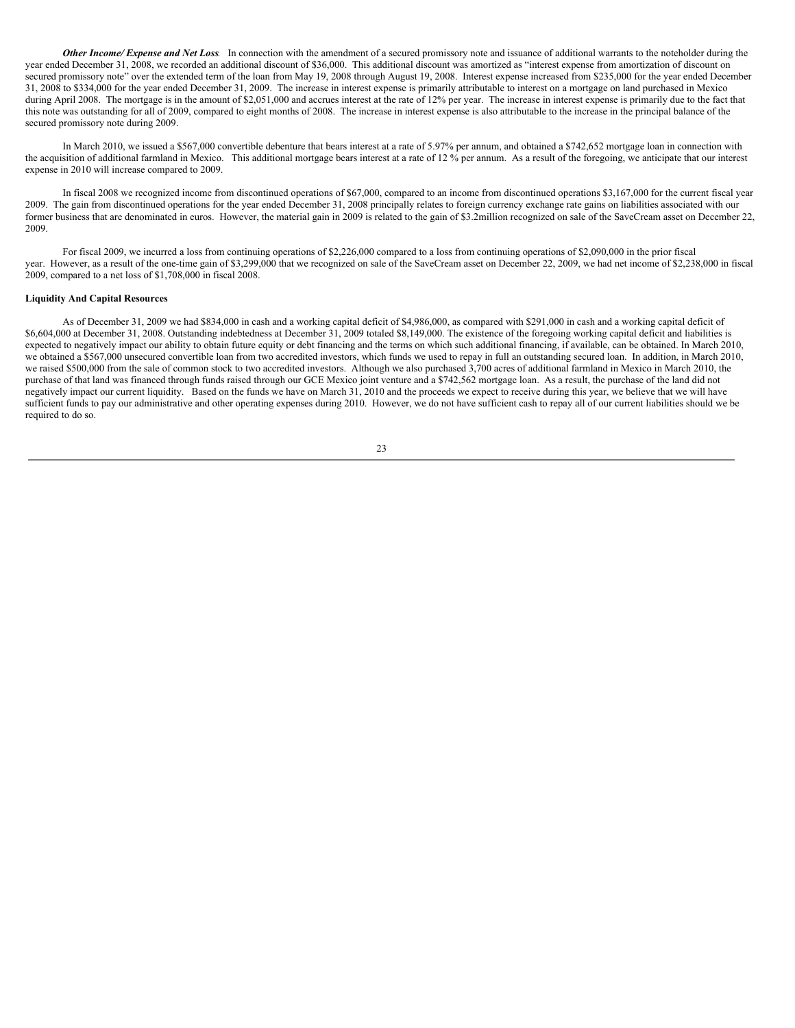*Other Income/ Expense and Net Loss*. In connection with the amendment of a secured promissory note and issuance of additional warrants to the noteholder during the year ended December 31, 2008, we recorded an additional discount of \$36,000. This additional discount was amortized as "interest expense from amortization of discount on secured promissory note" over the extended term of the loan from May 19, 2008 through August 19, 2008. Interest expense increased from \$235,000 for the year ended December 31, 2008 to \$334,000 for the year ended December 31, 2009. The increase in interest expense is primarily attributable to interest on a mortgage on land purchased in Mexico during April 2008. The mortgage is in the amount of \$2,051,000 and accrues interest at the rate of 12% per year. The increase in interest expense is primarily due to the fact that this note was outstanding for all of 2009, compared to eight months of 2008. The increase in interest expense is also attributable to the increase in the principal balance of the secured promissory note during 2009.

In March 2010, we issued a \$567,000 convertible debenture that bears interest at a rate of 5.97% per annum, and obtained a \$742,652 mortgage loan in connection with the acquisition of additional farmland in Mexico. This additional mortgage bears interest at a rate of 12 % per annum. As a result of the foregoing, we anticipate that our interest expense in 2010 will increase compared to 2009.

In fiscal 2008 we recognized income from discontinued operations of \$67,000, compared to an income from discontinued operations \$3,167,000 for the current fiscal year 2009. The gain from discontinued operations for the year ended December 31, 2008 principally relates to foreign currency exchange rate gains on liabilities associated with our former business that are denominated in euros. However, the material gain in 2009 is related to the gain of \$3.2million recognized on sale of the SaveCream asset on December 22, 2009.

For fiscal 2009, we incurred a loss from continuing operations of \$2,226,000 compared to a loss from continuing operations of \$2,090,000 in the prior fiscal year. However, as a result of the one-time gain of \$3,299,000 that we recognized on sale of the SaveCream asset on December 22, 2009, we had net income of \$2,238,000 in fiscal 2009, compared to a net loss of \$1,708,000 in fiscal 2008.

### **Liquidity And Capital Resources**

As of December 31, 2009 we had \$834,000 in cash and a working capital deficit of \$4,986,000, as compared with \$291,000 in cash and a working capital deficit of \$6,604,000 at December 31, 2008. Outstanding indebtedness at December 31, 2009 totaled \$8,149,000. The existence of the foregoing working capital deficit and liabilities is expected to negatively impact our ability to obtain future equity or debt financing and the terms on which such additional financing, if available, can be obtained. In March 2010, we obtained a \$567,000 unsecured convertible loan from two accredited investors, which funds we used to repay in full an outstanding secured loan. In addition, in March 2010, we raised \$500,000 from the sale of common stock to two accredited investors. Although we also purchased 3,700 acres of additional farmland in Mexico in March 2010, the purchase of that land was financed through funds raised through our GCE Mexico joint venture and a \$742,562 mortgage loan. As a result, the purchase of the land did not negatively impact our current liquidity. Based on the funds we have on March 31, 2010 and the proceeds we expect to receive during this year, we believe that we will have sufficient funds to pay our administrative and other operating expenses during 2010. However, we do not have sufficient cash to repay all of our current liabilities should we be required to do so.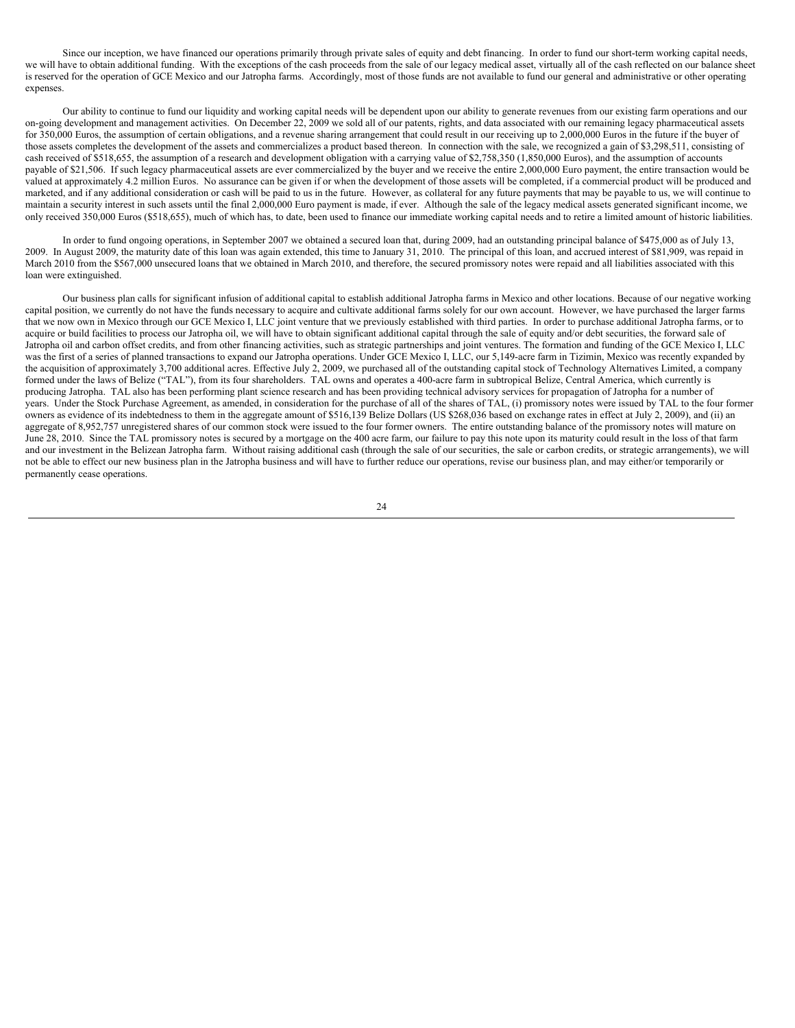Since our inception, we have financed our operations primarily through private sales of equity and debt financing. In order to fund our short-term working capital needs, we will have to obtain additional funding. With the exceptions of the cash proceeds from the sale of our legacy medical asset, virtually all of the cash reflected on our balance sheet is reserved for the operation of GCE Mexico and our Jatropha farms. Accordingly, most of those funds are not available to fund our general and administrative or other operating expenses.

Our ability to continue to fund our liquidity and working capital needs will be dependent upon our ability to generate revenues from our existing farm operations and our on-going development and management activities. On December 22, 2009 we sold all of our patents, rights, and data associated with our remaining legacy pharmaceutical assets for 350,000 Euros, the assumption of certain obligations, and a revenue sharing arrangement that could result in our receiving up to 2,000,000 Euros in the future if the buyer of those assets completes the development of the assets and commercializes a product based thereon. In connection with the sale, we recognized a gain of \$3,298,511, consisting of cash received of \$518,655, the assumption of a research and development obligation with a carrying value of \$2,758,350 (1,850,000 Euros), and the assumption of accounts payable of \$21,506. If such legacy pharmaceutical assets are ever commercialized by the buyer and we receive the entire 2,000,000 Euro payment, the entire transaction would be valued at approximately 4.2 million Euros. No assurance can be given if or when the development of those assets will be completed, if a commercial product will be produced and marketed, and if any additional consideration or cash will be paid to us in the future. However, as collateral for any future payments that may be payable to us, we will continue to maintain a security interest in such assets until the final 2,000,000 Euro payment is made, if ever. Although the sale of the legacy medical assets generated significant income, we only received 350,000 Euros (\$518,655), much of which has, to date, been used to finance our immediate working capital needs and to retire a limited amount of historic liabilities.

In order to fund ongoing operations, in September 2007 we obtained a secured loan that, during 2009, had an outstanding principal balance of \$475,000 as of July 13, 2009. In August 2009, the maturity date of this loan was again extended, this time to January 31, 2010. The principal of this loan, and accrued interest of \$81,909, was repaid in March 2010 from the \$567,000 unsecured loans that we obtained in March 2010, and therefore, the secured promissory notes were repaid and all liabilities associated with this loan were extinguished.

Our business plan calls for significant infusion of additional capital to establish additional Jatropha farms in Mexico and other locations. Because of our negative working capital position, we currently do not have the funds necessary to acquire and cultivate additional farms solely for our own account. However, we have purchased the larger farms that we now own in Mexico through our GCE Mexico I, LLC joint venture that we previously established with third parties. In order to purchase additional Jatropha farms, or to acquire or build facilities to process our Jatropha oil, we will have to obtain significant additional capital through the sale of equity and/or debt securities, the forward sale of Jatropha oil and carbon offset credits, and from other financing activities, such as strategic partnerships and joint ventures. The formation and funding of the GCE Mexico I, LLC was the first of a series of planned transactions to expand our Jatropha operations. Under GCE Mexico I, LLC, our 5,149-acre farm in Tizimin, Mexico was recently expanded by the acquisition of approximately 3,700 additional acres. Effective July 2, 2009, we purchased all of the outstanding capital stock of Technology Alternatives Limited, a company formed under the laws of Belize ("TAL"), from its four shareholders. TAL owns and operates a 400-acre farm in subtropical Belize, Central America, which currently is producing Jatropha. TAL also has been performing plant science research and has been providing technical advisory services for propagation of Jatropha for a number of years. Under the Stock Purchase Agreement, as amended, in consideration for the purchase of all of the shares of TAL, (i) promissory notes were issued by TAL to the four former owners as evidence of its indebtedness to them in the aggregate amount of \$516,139 Belize Dollars (US \$268,036 based on exchange rates in effect at July 2, 2009), and (ii) an aggregate of 8,952,757 unregistered shares of our common stock were issued to the four former owners. The entire outstanding balance of the promissory notes will mature on June 28, 2010. Since the TAL promissory notes is secured by a mortgage on the 400 acre farm, our failure to pay this note upon its maturity could result in the loss of that farm and our investment in the Belizean Jatropha farm. Without raising additional cash (through the sale of our securities, the sale or carbon credits, or strategic arrangements), we will not be able to effect our new business plan in the Jatropha business and will have to further reduce our operations, revise our business plan, and may either/or temporarily or permanently cease operations.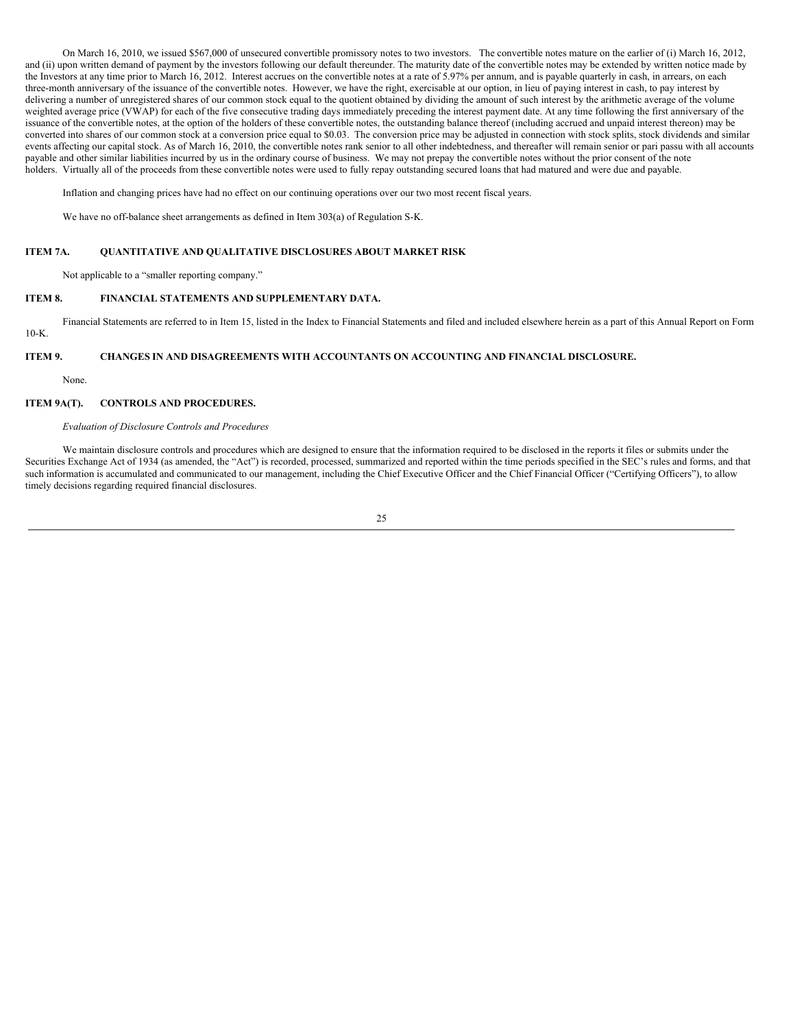On March 16, 2010, we issued \$567,000 of unsecured convertible promissory notes to two investors. The convertible notes mature on the earlier of (i) March 16, 2012, and (ii) upon written demand of payment by the investors following our default thereunder. The maturity date of the convertible notes may be extended by written notice made by the Investors at any time prior to March 16, 2012. Interest accrues on the convertible notes at a rate of 5.97% per annum, and is payable quarterly in cash, in arrears, on each three-month anniversary of the issuance of the convertible notes. However, we have the right, exercisable at our option, in lieu of paying interest in cash, to pay interest by delivering a number of unregistered shares of our common stock equal to the quotient obtained by dividing the amount of such interest by the arithmetic average of the volume weighted average price (VWAP) for each of the five consecutive trading days immediately preceding the interest payment date. At any time following the first anniversary of the issuance of the convertible notes, at the option of the holders of these convertible notes, the outstanding balance thereof (including accrued and unpaid interest thereon) may be converted into shares of our common stock at a conversion price equal to \$0.03. The conversion price may be adjusted in connection with stock splits, stock dividends and similar events affecting our capital stock. As of March 16, 2010, the convertible notes rank senior to all other indebtedness, and thereafter will remain senior or pari passu with all accounts payable and other similar liabilities incurred by us in the ordinary course of business. We may not prepay the convertible notes without the prior consent of the note holders. Virtually all of the proceeds from these convertible notes were used to fully repay outstanding secured loans that had matured and were due and payable.

Inflation and changing prices have had no effect on our continuing operations over our two most recent fiscal years.

We have no off-balance sheet arrangements as defined in Item 303(a) of Regulation S-K.

#### **ITEM 7A. QUANTITATIVE AND QUALITATIVE DISCLOSURES ABOUT MARKET RISK**

Not applicable to a "smaller reporting company."

### **ITEM 8. FINANCIAL STATEMENTS AND SUPPLEMENTARY DATA.**

Financial Statements are referred to in Item 15, listed in the Index to Financial Statements and filed and included elsewhere herein as a part of this Annual Report on Form 10-K.

### **ITEM 9. CHANGES IN AND DISAGREEMENTS WITH ACCOUNTANTS ON ACCOUNTING AND FINANCIAL DISCLOSURE.**

None.

#### **ITEM 9A(T). CONTROLS AND PROCEDURES.**

#### *Evaluation of Disclosure Controls and Procedures*

We maintain disclosure controls and procedures which are designed to ensure that the information required to be disclosed in the reports it files or submits under the Securities Exchange Act of 1934 (as amended, the "Act") is recorded, processed, summarized and reported within the time periods specified in the SEC's rules and forms, and that such information is accumulated and communicated to our management, including the Chief Executive Officer and the Chief Financial Officer ("Certifying Officers"), to allow timely decisions regarding required financial disclosures.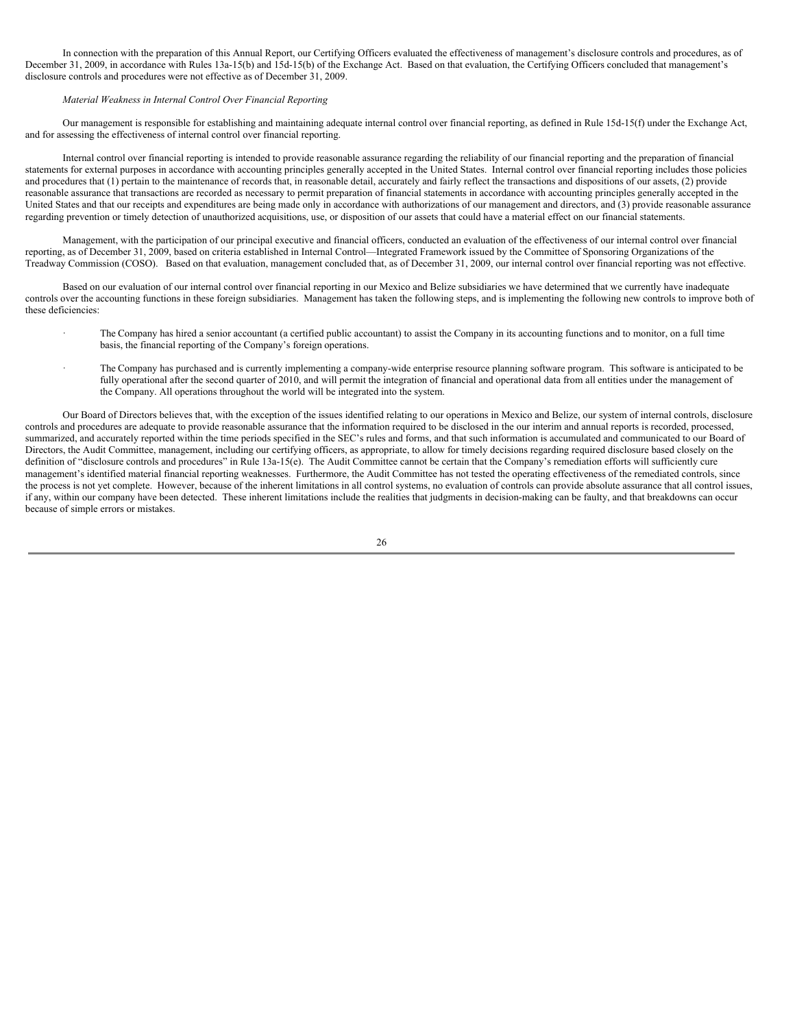In connection with the preparation of this Annual Report, our Certifying Officers evaluated the effectiveness of management's disclosure controls and procedures, as of December 31, 2009, in accordance with Rules 13a-15(b) and 15d-15(b) of the Exchange Act. Based on that evaluation, the Certifying Officers concluded that management's disclosure controls and procedures were not effective as of December 31, 2009.

### *Material Weakness in Internal Control Over Financial Reporting*

Our management is responsible for establishing and maintaining adequate internal control over financial reporting, as defined in Rule 15d-15(f) under the Exchange Act, and for assessing the effectiveness of internal control over financial reporting.

Internal control over financial reporting is intended to provide reasonable assurance regarding the reliability of our financial reporting and the preparation of financial statements for external purposes in accordance with accounting principles generally accepted in the United States. Internal control over financial reporting includes those policies and procedures that (1) pertain to the maintenance of records that, in reasonable detail, accurately and fairly reflect the transactions and dispositions of our assets, (2) provide reasonable assurance that transactions are recorded as necessary to permit preparation of financial statements in accordance with accounting principles generally accepted in the United States and that our receipts and expenditures are being made only in accordance with authorizations of our management and directors, and (3) provide reasonable assurance regarding prevention or timely detection of unauthorized acquisitions, use, or disposition of our assets that could have a material effect on our financial statements.

Management, with the participation of our principal executive and financial officers, conducted an evaluation of the effectiveness of our internal control over financial reporting, as of December 31, 2009, based on criteria established in Internal Control—Integrated Framework issued by the Committee of Sponsoring Organizations of the Treadway Commission (COSO). Based on that evaluation, management concluded that, as of December 31, 2009, our internal control over financial reporting was not effective.

Based on our evaluation of our internal control over financial reporting in our Mexico and Belize subsidiaries we have determined that we currently have inadequate controls over the accounting functions in these foreign subsidiaries. Management has taken the following steps, and is implementing the following new controls to improve both of these deficiencies:

- The Company has hired a senior accountant (a certified public accountant) to assist the Company in its accounting functions and to monitor, on a full time basis, the financial reporting of the Company's foreign operations.
- The Company has purchased and is currently implementing a company-wide enterprise resource planning software program. This software is anticipated to be fully operational after the second quarter of 2010, and will permit the integration of financial and operational data from all entities under the management of the Company. All operations throughout the world will be integrated into the system.

Our Board of Directors believes that, with the exception of the issues identified relating to our operations in Mexico and Belize, our system of internal controls, disclosure controls and procedures are adequate to provide reasonable assurance that the information required to be disclosed in the our interim and annual reports is recorded, processed, summarized, and accurately reported within the time periods specified in the SEC's rules and forms, and that such information is accumulated and communicated to our Board of Directors, the Audit Committee, management, including our certifying officers, as appropriate, to allow for timely decisions regarding required disclosure based closely on the definition of "disclosure controls and procedures" in Rule 13a-15(e). The Audit Committee cannot be certain that the Company's remediation efforts will sufficiently cure management's identified material financial reporting weaknesses. Furthermore, the Audit Committee has not tested the operating effectiveness of the remediated controls, since the process is not yet complete. However, because of the inherent limitations in all control systems, no evaluation of controls can provide absolute assurance that all control issues, if any, within our company have been detected. These inherent limitations include the realities that judgments in decision-making can be faulty, and that breakdowns can occur because of simple errors or mistakes.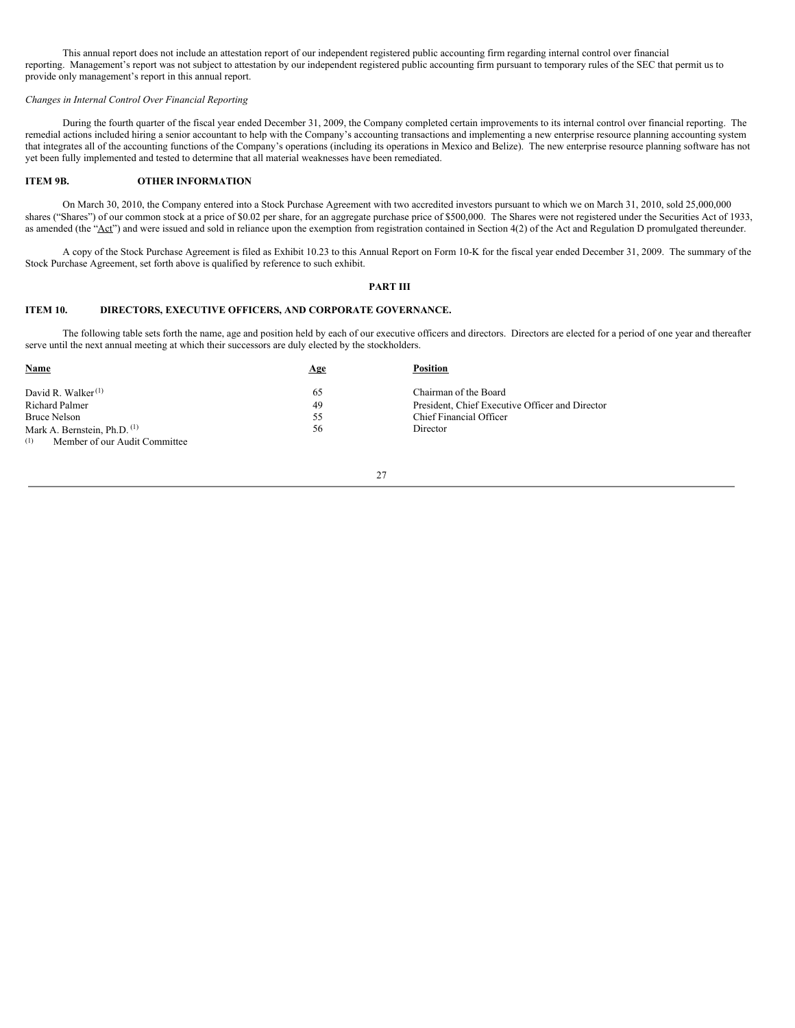This annual report does not include an attestation report of our independent registered public accounting firm regarding internal control over financial reporting. Management's report was not subject to attestation by our independent registered public accounting firm pursuant to temporary rules of the SEC that permit us to provide only management's report in this annual report.

### *Changes in Internal Control Over Financial Reporting*

During the fourth quarter of the fiscal year ended December 31, 2009, the Company completed certain improvements to its internal control over financial reporting. The remedial actions included hiring a senior accountant to help with the Company's accounting transactions and implementing a new enterprise resource planning accounting system that integrates all of the accounting functions of the Company's operations (including its operations in Mexico and Belize). The new enterprise resource planning software has not yet been fully implemented and tested to determine that all material weaknesses have been remediated.

#### **ITEM 9B. OTHER INFORMATION**

On March 30, 2010, the Company entered into a Stock Purchase Agreement with two accredited investors pursuant to which we on March 31, 2010, sold 25,000,000 shares ("Shares") of our common stock at a price of \$0.02 per share, for an aggregate purchase price of \$500,000. The Shares were not registered under the Securities Act of 1933, as amended (the "Act") and were issued and sold in reliance upon the exemption from registration contained in Section 4(2) of the Act and Regulation D promulgated thereunder.

A copy of the Stock Purchase Agreement is filed as Exhibit 10.23 to this Annual Report on Form 10-K for the fiscal year ended December 31, 2009. The summary of the Stock Purchase Agreement, set forth above is qualified by reference to such exhibit.

### **PART III**

### **ITEM 10. DIRECTORS, EXECUTIVE OFFICERS, AND CORPORATE GOVERNANCE.**

The following table sets forth the name, age and position held by each of our executive officers and directors. Directors are elected for a period of one year and thereafter serve until the next annual meeting at which their successors are duly elected by the stockholders.

| Name                                                                            | Age | <b>Position</b>                                 |
|---------------------------------------------------------------------------------|-----|-------------------------------------------------|
| David R. Walker <sup>(1)</sup>                                                  | 65  | Chairman of the Board                           |
| <b>Richard Palmer</b>                                                           | 49  | President, Chief Executive Officer and Director |
| Bruce Nelson                                                                    | 55  | Chief Financial Officer                         |
| Mark A. Bernstein, Ph.D. <sup>(1)</sup><br>Member of our Audit Committee<br>(1) | 56  | Director                                        |
|                                                                                 |     |                                                 |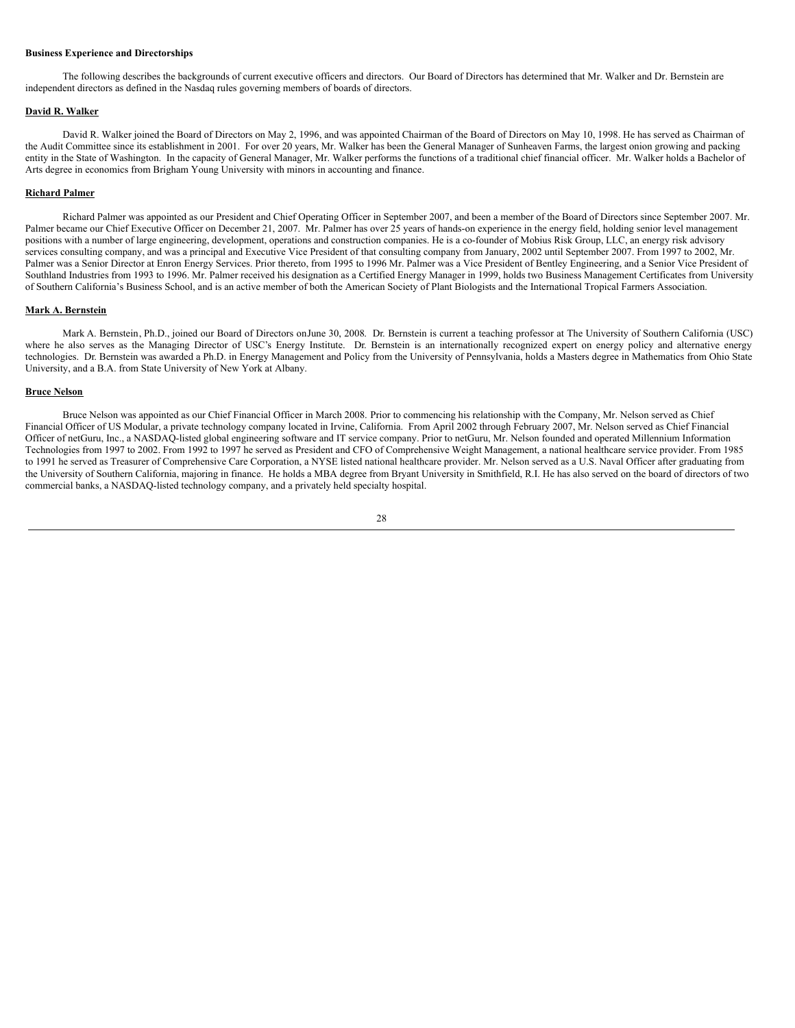#### **Business Experience and Directorships**

The following describes the backgrounds of current executive officers and directors. Our Board of Directors has determined that Mr. Walker and Dr. Bernstein are independent directors as defined in the Nasdaq rules governing members of boards of directors.

#### **David R. Walker**

David R. Walker joined the Board of Directors on May 2, 1996, and was appointed Chairman of the Board of Directors on May 10, 1998. He has served as Chairman of the Audit Committee since its establishment in 2001. For over 20 years, Mr. Walker has been the General Manager of Sunheaven Farms, the largest onion growing and packing entity in the State of Washington. In the capacity of General Manager, Mr. Walker performs the functions of a traditional chief financial officer. Mr. Walker holds a Bachelor of Arts degree in economics from Brigham Young University with minors in accounting and finance.

#### **Richard Palmer**

Richard Palmer was appointed as our President and Chief Operating Officer in September 2007, and been a member of the Board of Directors since September 2007. Mr. Palmer became our Chief Executive Officer on December 21, 2007. Mr. Palmer has over 25 years of hands-on experience in the energy field, holding senior level management positions with a number of large engineering, development, operations and construction companies. He is a co-founder of Mobius Risk Group, LLC, an energy risk advisory services consulting company, and was a principal and Executive Vice President of that consulting company from January, 2002 until September 2007. From 1997 to 2002, Mr. Palmer was a Senior Director at Enron Energy Services. Prior thereto, from 1995 to 1996 Mr. Palmer was a Vice President of Bentley Engineering, and a Senior Vice President of Southland Industries from 1993 to 1996. Mr. Palmer received his designation as a Certified Energy Manager in 1999, holds two Business Management Certificates from University of Southern California's Business School, and is an active member of both the American Society of Plant Biologists and the International Tropical Farmers Association.

#### **Mark A. Bernstein**

Mark A. Bernstein, Ph.D., joined our Board of Directors onJune 30, 2008. Dr. Bernstein is current a teaching professor at The University of Southern California (USC) where he also serves as the Managing Director of USC's Energy Institute. Dr. Bernstein is an internationally recognized expert on energy policy and alternative energy technologies. Dr. Bernstein was awarded a Ph.D. in Energy Management and Policy from the University of Pennsylvania, holds a Masters degree in Mathematics from Ohio State University, and a B.A. from State University of New York at Albany.

### **Bruce Nelson**

Bruce Nelson was appointed as our Chief Financial Officer in March 2008. Prior to commencing his relationship with the Company, Mr. Nelson served as Chief Financial Officer of US Modular, a private technology company located in Irvine, California. From April 2002 through February 2007, Mr. Nelson served as Chief Financial Officer of netGuru, Inc., a NASDAQ-listed global engineering software and IT service company. Prior to netGuru, Mr. Nelson founded and operated Millennium Information Technologies from 1997 to 2002. From 1992 to 1997 he served as President and CFO of Comprehensive Weight Management, a national healthcare service provider. From 1985 to 1991 he served as Treasurer of Comprehensive Care Corporation, a NYSE listed national healthcare provider. Mr. Nelson served as a U.S. Naval Officer after graduating from the University of Southern California, majoring in finance. He holds a MBA degree from Bryant University in Smithfield, R.I. He has also served on the board of directors of two commercial banks, a NASDAQ-listed technology company, and a privately held specialty hospital.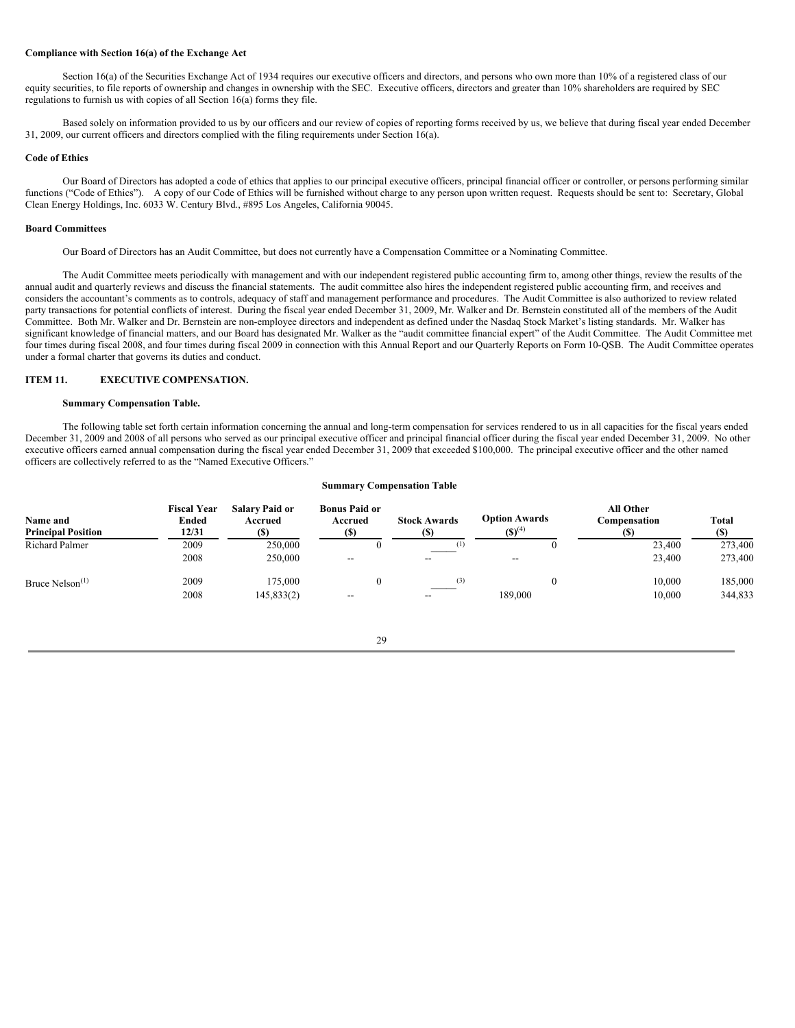#### **Compliance with Section 16(a) of the Exchange Act**

Section 16(a) of the Securities Exchange Act of 1934 requires our executive officers and directors, and persons who own more than 10% of a registered class of our equity securities, to file reports of ownership and changes in ownership with the SEC. Executive officers, directors and greater than 10% shareholders are required by SEC regulations to furnish us with copies of all Section 16(a) forms they file.

Based solely on information provided to us by our officers and our review of copies of reporting forms received by us, we believe that during fiscal year ended December 31, 2009, our current officers and directors complied with the filing requirements under Section 16(a).

### **Code of Ethics**

Our Board of Directors has adopted a code of ethics that applies to our principal executive officers, principal financial officer or controller, or persons performing similar functions ("Code of Ethics"). A copy of our Code of Ethics will be furnished without charge to any person upon written request. Requests should be sent to: Secretary, Global Clean Energy Holdings, Inc. 6033 W. Century Blvd., #895 Los Angeles, California 90045.

### **Board Committees**

Our Board of Directors has an Audit Committee, but does not currently have a Compensation Committee or a Nominating Committee.

The Audit Committee meets periodically with management and with our independent registered public accounting firm to, among other things, review the results of the annual audit and quarterly reviews and discuss the financial statements. The audit committee also hires the independent registered public accounting firm, and receives and considers the accountant's comments as to controls, adequacy of staff and management performance and procedures. The Audit Committee is also authorized to review related party transactions for potential conflicts of interest. During the fiscal year ended December 31, 2009, Mr. Walker and Dr. Bernstein constituted all of the members of the Audit Committee. Both Mr. Walker and Dr. Bernstein are non-employee directors and independent as defined under the Nasdaq Stock Market's listing standards. Mr. Walker has significant knowledge of financial matters, and our Board has designated Mr. Walker as the "audit committee financial expert" of the Audit Committee. The Audit Committee met four times during fiscal 2008, and four times during fiscal 2009 in connection with this Annual Report and our Quarterly Reports on Form 10-QSB. The Audit Committee operates under a formal charter that governs its duties and conduct.

### **ITEM 11. EXECUTIVE COMPENSATION.**

#### **Summary Compensation Table.**

The following table set forth certain information concerning the annual and long-term compensation for services rendered to us in all capacities for the fiscal years ended December 31, 2009 and 2008 of all persons who served as our principal executive officer and principal financial officer during the fiscal year ended December 31, 2009. No other executive officers earned annual compensation during the fiscal year ended December 31, 2009 that exceeded \$100,000. The principal executive officer and the other named officers are collectively referred to as the "Named Executive Officers."

| Name and<br><b>Principal Position</b> | <b>Fiscal Year</b><br><b>Ended</b><br>12/31 | <b>Salary Paid or</b><br>Accrued<br><b>(S)</b> | <b>Bonus Paid or</b><br>Accrued<br>(S) | <b>Stock Awards</b> | <b>Option Awards</b><br>$(S)$ <sup>(4)</sup> | <b>All Other</b><br>Compensation<br>(S) | <b>Total</b>       |  |
|---------------------------------------|---------------------------------------------|------------------------------------------------|----------------------------------------|---------------------|----------------------------------------------|-----------------------------------------|--------------------|--|
| Richard Palmer                        | 2009<br>2008                                | 250,000<br>250,000                             | O<br>$\overline{\phantom{m}}$          | (1)<br>$- -$        | --                                           | 23,400<br>23,400                        | 273,400<br>273,400 |  |
| Bruce $Nelson^{(1)}$                  | 2009<br>2008                                | 175,000<br>145,833(2)                          | 0<br>$- -$                             | (3)                 | 189,000                                      | 10.000<br>10.000                        | 185,000<br>344,833 |  |

29

### **Summary Compensation Table**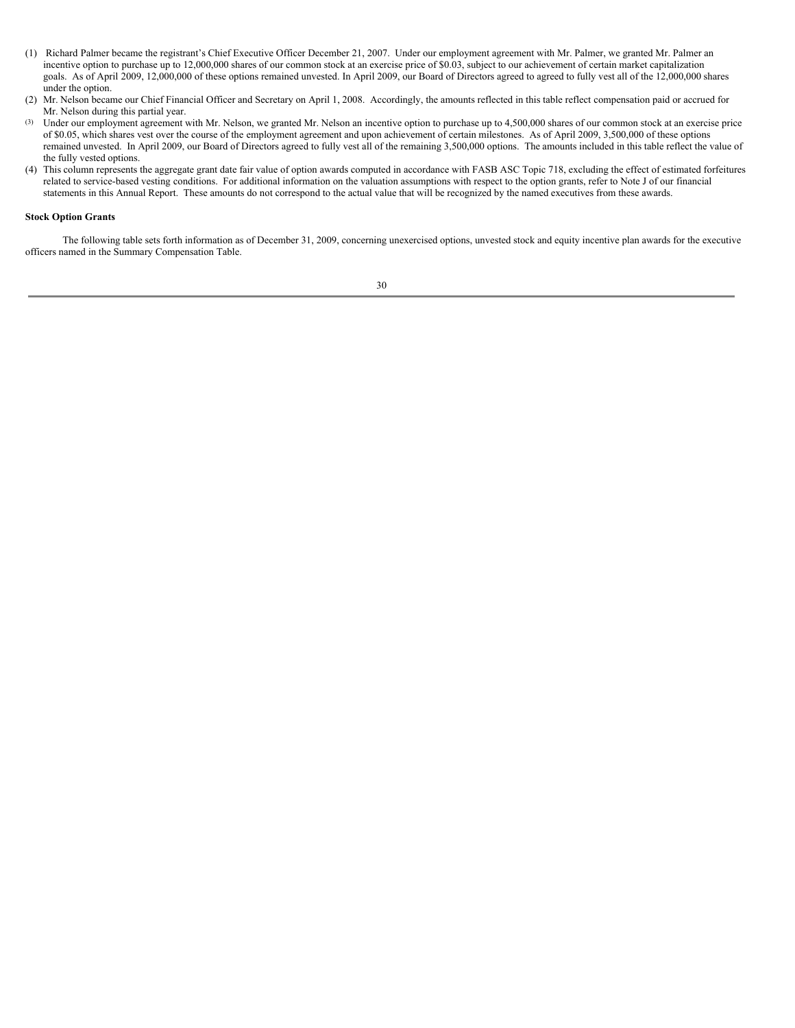- (1) Richard Palmer became the registrant's Chief Executive Officer December 21, 2007. Under our employment agreement with Mr. Palmer, we granted Mr. Palmer an incentive option to purchase up to 12,000,000 shares of our common stock at an exercise price of \$0.03, subject to our achievement of certain market capitalization goals. As of April 2009, 12,000,000 of these options remained unvested. In April 2009, our Board of Directors agreed to agreed to fully vest all of the 12,000,000 shares under the option.
- (2) Mr. Nelson became our Chief Financial Officer and Secretary on April 1, 2008. Accordingly, the amounts reflected in this table reflect compensation paid or accrued for Mr. Nelson during this partial year.
- (3) Under our employment agreement with Mr. Nelson, we granted Mr. Nelson an incentive option to purchase up to 4,500,000 shares of our common stock at an exercise price of \$0.05, which shares vest over the course of the employment agreement and upon achievement of certain milestones. As of April 2009, 3,500,000 of these options remained unvested. In April 2009, our Board of Directors agreed to fully vest all of the remaining 3,500,000 options. The amounts included in this table reflect the value of the fully vested options.
- (4) This column represents the aggregate grant date fair value of option awards computed in accordance with FASB ASC Topic 718, excluding the effect of estimated forfeitures related to service-based vesting conditions. For additional information on the valuation assumptions with respect to the option grants, refer to Note J of our financial statements in this Annual Report. These amounts do not correspond to the actual value that will be recognized by the named executives from these awards.

### **Stock Option Grants**

The following table sets forth information as of December 31, 2009, concerning unexercised options, unvested stock and equity incentive plan awards for the executive officers named in the Summary Compensation Table.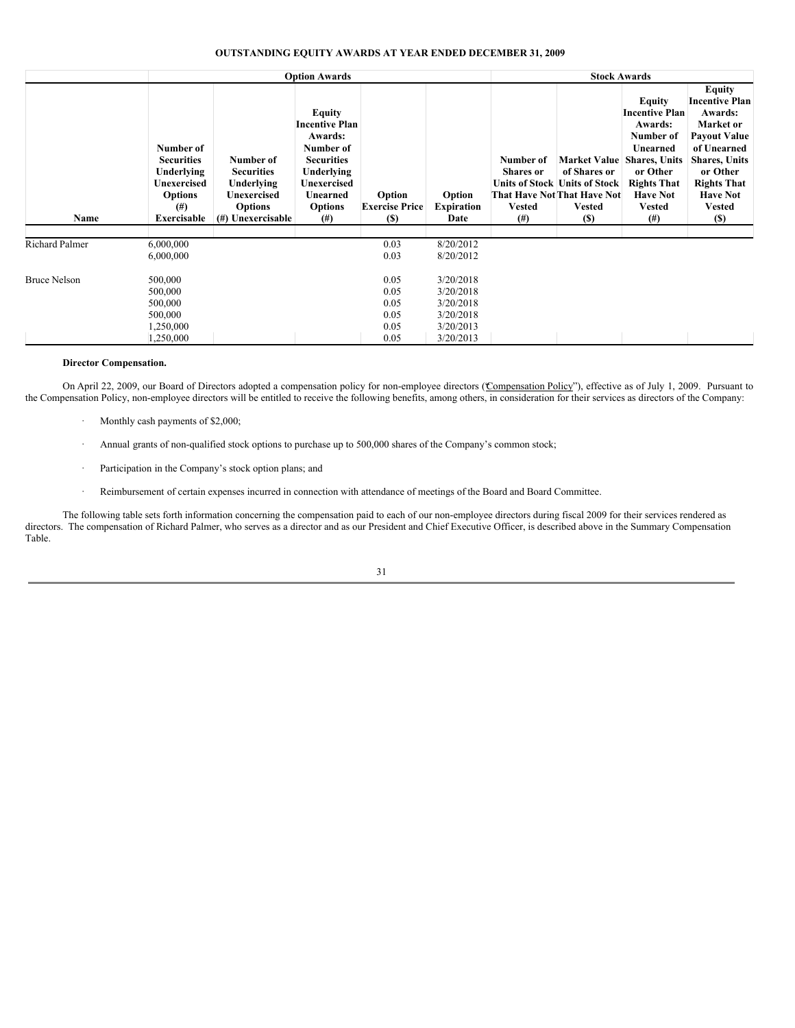### **OUTSTANDING EQUITY AWARDS AT YEAR ENDED DECEMBER 31, 2009**

|                       |                                                                                                          |                                                                                                    | <b>Option Awards</b>                                                                                                                                              |                                                |                                                               |                                                     |                                                                                                                                              | <b>Stock Awards</b>                                                                                                                                                                         |                                                                                                                                                                                                      |
|-----------------------|----------------------------------------------------------------------------------------------------------|----------------------------------------------------------------------------------------------------|-------------------------------------------------------------------------------------------------------------------------------------------------------------------|------------------------------------------------|---------------------------------------------------------------|-----------------------------------------------------|----------------------------------------------------------------------------------------------------------------------------------------------|---------------------------------------------------------------------------------------------------------------------------------------------------------------------------------------------|------------------------------------------------------------------------------------------------------------------------------------------------------------------------------------------------------|
| Name                  | Number of<br><b>Securities</b><br>Underlying<br>Unexercised<br><b>Options</b><br>$^{(#)}$<br>Exercisable | Number of<br><b>Securities</b><br>Underlying<br>Unexercised<br><b>Options</b><br>(#) Unexercisable | <b>Equity</b><br><b>Incentive Plan</b><br>Awards:<br>Number of<br><b>Securities</b><br>Underlying<br>Unexercised<br><b>Unearned</b><br><b>Options</b><br>$^{(#)}$ | Option<br><b>Exercise Price</b><br><b>(\$)</b> | Option<br><b>Expiration</b><br>Date                           | Number of<br><b>Shares</b> or<br>Vested<br>$^{(#)}$ | <b>Market Value</b><br>of Shares or<br><b>Units of Stock   Units of Stock</b><br>That Have Not That Have Not<br><b>Vested</b><br><b>(\$)</b> | <b>Equity</b><br><b>Incentive Plan</b><br>Awards:<br>Number of<br><b>Unearned</b><br><b>Shares, Units</b><br>or Other<br><b>Rights That</b><br><b>Have Not</b><br><b>Vested</b><br>$^{(#)}$ | Equity<br><b>Incentive Plan</b><br>Awards:<br>Market or<br><b>Payout Value</b><br>of Unearned<br><b>Shares, Units</b><br>or Other<br><b>Rights That</b><br><b>Have Not</b><br><b>Vested</b><br>$(S)$ |
|                       |                                                                                                          |                                                                                                    |                                                                                                                                                                   |                                                |                                                               |                                                     |                                                                                                                                              |                                                                                                                                                                                             |                                                                                                                                                                                                      |
| <b>Richard Palmer</b> | 6,000,000<br>6,000,000                                                                                   |                                                                                                    |                                                                                                                                                                   | 0.03<br>0.03                                   | 8/20/2012<br>8/20/2012                                        |                                                     |                                                                                                                                              |                                                                                                                                                                                             |                                                                                                                                                                                                      |
| <b>Bruce Nelson</b>   | 500,000<br>500,000<br>500,000<br>500,000<br>1,250,000                                                    |                                                                                                    |                                                                                                                                                                   | 0.05<br>0.05<br>0.05<br>0.05<br>0.05           | 3/20/2018<br>3/20/2018<br>3/20/2018<br>3/20/2018<br>3/20/2013 |                                                     |                                                                                                                                              |                                                                                                                                                                                             |                                                                                                                                                                                                      |
|                       | 1,250,000                                                                                                |                                                                                                    |                                                                                                                                                                   | 0.05                                           | 3/20/2013                                                     |                                                     |                                                                                                                                              |                                                                                                                                                                                             |                                                                                                                                                                                                      |

#### **Director Compensation.**

On April 22, 2009, our Board of Directors adopted a compensation policy for non-employee directors (Compensation Policy"), effective as of July 1, 2009. Pursuant to the Compensation Policy, non-employee directors will be entitled to receive the following benefits, among others, in consideration for their services as directors of the Company:

- Monthly cash payments of \$2,000;
- · Annual grants of non-qualified stock options to purchase up to 500,000 shares of the Company's common stock;
- · Participation in the Company's stock option plans; and
- · Reimbursement of certain expenses incurred in connection with attendance of meetings of the Board and Board Committee.

The following table sets forth information concerning the compensation paid to each of our non-employee directors during fiscal 2009 for their services rendered as directors. The compensation of Richard Palmer, who serves as a director and as our President and Chief Executive Officer, is described above in the Summary Compensation Table.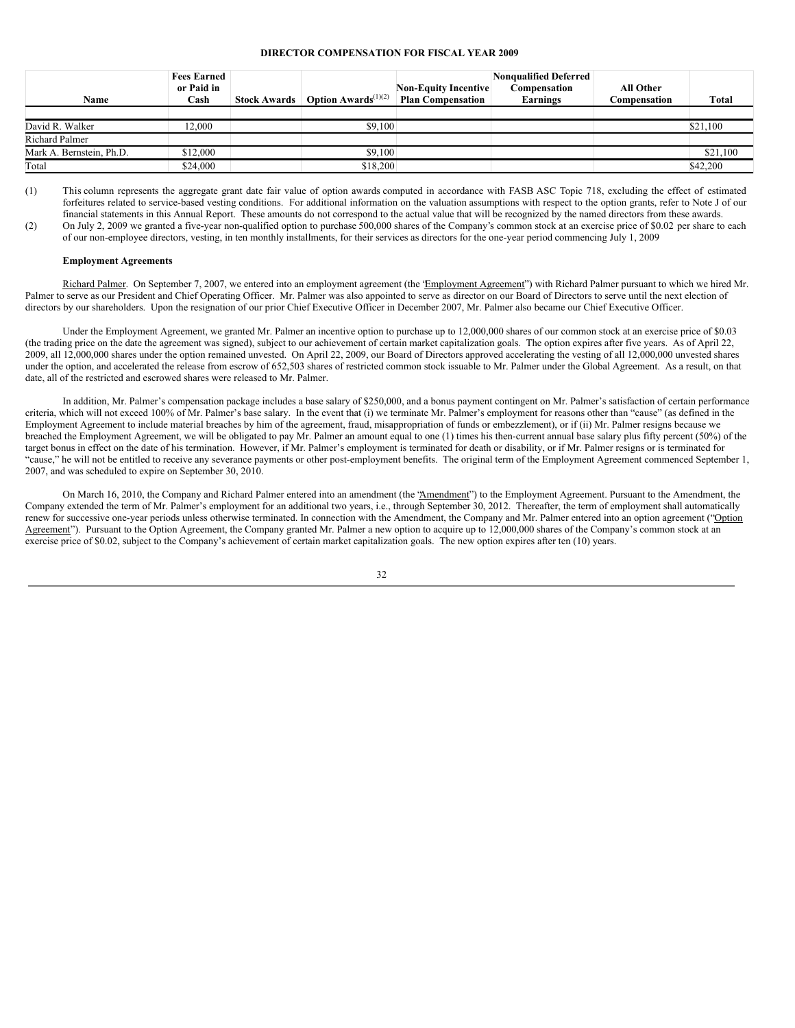### **DIRECTOR COMPENSATION FOR FISCAL YEAR 2009**

|                          | <b>Fees Earned</b><br>or Paid in |                     |                                                     | <b>Non-Equity Incentive</b> | <b>Nonqualified Deferred</b><br>Compensation | All Other    |          |
|--------------------------|----------------------------------|---------------------|-----------------------------------------------------|-----------------------------|----------------------------------------------|--------------|----------|
| Name                     | Cash                             | <b>Stock Awards</b> | <b>Option Awards</b> <sup><math>(1)(2)</math></sup> | <b>Plan Compensation</b>    | Earnings                                     | Compensation | Total    |
|                          |                                  |                     |                                                     |                             |                                              |              |          |
| David R. Walker          | 12.000                           |                     | \$9,100                                             |                             |                                              |              | \$21,100 |
| Richard Palmer           |                                  |                     |                                                     |                             |                                              |              |          |
| Mark A. Bernstein, Ph.D. | \$12,000                         |                     | \$9,100                                             |                             |                                              |              | \$21,100 |
| Total                    | \$24,000                         |                     | \$18,200                                            |                             |                                              |              | \$42,200 |

(1) This column represents the aggregate grant date fair value of option awards computed in accordance with FASB ASC Topic 718, excluding the effect of estimated forfeitures related to service-based vesting conditions. For additional information on the valuation assumptions with respect to the option grants, refer to Note J of our financial statements in this Annual Report. These amounts do not correspond to the actual value that will be recognized by the named directors from these awards. (2) On July 2, 2009 we granted a five-year non-qualified option to purchase 500,000 shares of the Company's common stock at an exercise price of \$0.02 per share to each

of our non-employee directors, vesting, in ten monthly installments, for their services as directors for the one-year period commencing July 1, 2009

#### **Employment Agreements**

Richard Palmer. On September 7, 2007, we entered into an employment agreement (the 'Employment Agreement') with Richard Palmer pursuant to which we hired Mr. Palmer to serve as our President and Chief Operating Officer. Mr. Palmer was also appointed to serve as director on our Board of Directors to serve until the next election of directors by our shareholders. Upon the resignation of our prior Chief Executive Officer in December 2007, Mr. Palmer also became our Chief Executive Officer.

Under the Employment Agreement, we granted Mr. Palmer an incentive option to purchase up to 12,000,000 shares of our common stock at an exercise price of \$0.03 (the trading price on the date the agreement was signed), subject to our achievement of certain market capitalization goals. The option expires after five years. As of April 22, 2009, all 12,000,000 shares under the option remained unvested. On April 22, 2009, our Board of Directors approved accelerating the vesting of all 12,000,000 unvested shares under the option, and accelerated the release from escrow of 652,503 shares of restricted common stock issuable to Mr. Palmer under the Global Agreement. As a result, on that date, all of the restricted and escrowed shares were released to Mr. Palmer.

In addition, Mr. Palmer's compensation package includes a base salary of \$250,000, and a bonus payment contingent on Mr. Palmer's satisfaction of certain performance criteria, which will not exceed 100% of Mr. Palmer's base salary. In the event that (i) we terminate Mr. Palmer's employment for reasons other than "cause" (as defined in the Employment Agreement to include material breaches by him of the agreement, fraud, misappropriation of funds or embezzlement), or if (ii) Mr. Palmer resigns because we breached the Employment Agreement, we will be obligated to pay Mr. Palmer an amount equal to one (1) times his then-current annual base salary plus fifty percent (50%) of the target bonus in effect on the date of his termination. However, if Mr. Palmer's employment is terminated for death or disability, or if Mr. Palmer resigns or is terminated for "cause," he will not be entitled to receive any severance payments or other post-employment benefits. The original term of the Employment Agreement commenced September 1, 2007, and was scheduled to expire on September 30, 2010.

On March 16, 2010, the Company and Richard Palmer entered into an amendment (the "Amendment") to the Employment Agreement. Pursuant to the Amendment, the Company extended the term of Mr. Palmer's employment for an additional two years, i.e., through September 30, 2012. Thereafter, the term of employment shall automatically renew for successive one-year periods unless otherwise terminated. In connection with the Amendment, the Company and Mr. Palmer entered into an option agreement ("Option Agreement"). Pursuant to the Option Agreement, the Company granted Mr. Palmer a new option to acquire up to 12,000,000 shares of the Company's common stock at an exercise price of \$0.02, subject to the Company's achievement of certain market capitalization goals. The new option expires after ten (10) years.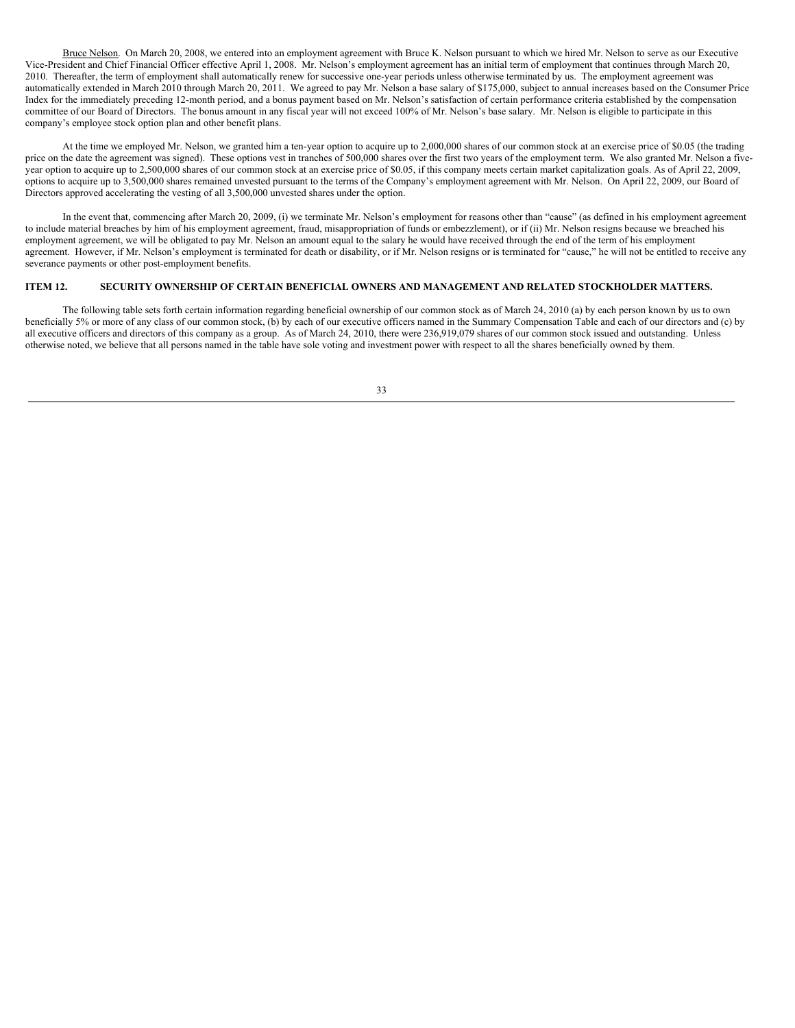Bruce Nelson. On March 20, 2008, we entered into an employment agreement with Bruce K. Nelson pursuant to which we hired Mr. Nelson to serve as our Executive Vice-President and Chief Financial Officer effective April 1, 2008. Mr. Nelson's employment agreement has an initial term of employment that continues through March 20, 2010. Thereafter, the term of employment shall automatically renew for successive one-year periods unless otherwise terminated by us. The employment agreement was automatically extended in March 2010 through March 20, 2011. We agreed to pay Mr. Nelson a base salary of \$175,000, subject to annual increases based on the Consumer Price Index for the immediately preceding 12-month period, and a bonus payment based on Mr. Nelson's satisfaction of certain performance criteria established by the compensation committee of our Board of Directors. The bonus amount in any fiscal year will not exceed 100% of Mr. Nelson's base salary. Mr. Nelson is eligible to participate in this company's employee stock option plan and other benefit plans.

At the time we employed Mr. Nelson, we granted him a ten-year option to acquire up to 2,000,000 shares of our common stock at an exercise price of \$0.05 (the trading price on the date the agreement was signed). These options vest in tranches of 500,000 shares over the first two years of the employment term. We also granted Mr. Nelson a fiveyear option to acquire up to 2,500,000 shares of our common stock at an exercise price of \$0.05, if this company meets certain market capitalization goals. As of April 22, 2009, options to acquire up to 3,500,000 shares remained unvested pursuant to the terms of the Company's employment agreement with Mr. Nelson. On April 22, 2009, our Board of Directors approved accelerating the vesting of all 3,500,000 unvested shares under the option.

In the event that, commencing after March 20, 2009, (i) we terminate Mr. Nelson's employment for reasons other than "cause" (as defined in his employment agreement to include material breaches by him of his employment agreement, fraud, misappropriation of funds or embezzlement), or if (ii) Mr. Nelson resigns because we breached his employment agreement, we will be obligated to pay Mr. Nelson an amount equal to the salary he would have received through the end of the term of his employment agreement. However, if Mr. Nelson's employment is terminated for death or disability, or if Mr. Nelson resigns or is terminated for "cause," he will not be entitled to receive any severance payments or other post-employment benefits.

# **ITEM 12. SECURITY OWNERSHIP OF CERTAIN BENEFICIAL OWNERS AND MANAGEMENT AND RELATED STOCKHOLDER MATTERS.**

The following table sets forth certain information regarding beneficial ownership of our common stock as of March 24, 2010 (a) by each person known by us to own beneficially 5% or more of any class of our common stock, (b) by each of our executive officers named in the Summary Compensation Table and each of our directors and (c) by all executive officers and directors of this company as a group. As of March 24, 2010, there were 236,919,079 shares of our common stock issued and outstanding. Unless otherwise noted, we believe that all persons named in the table have sole voting and investment power with respect to all the shares beneficially owned by them.

33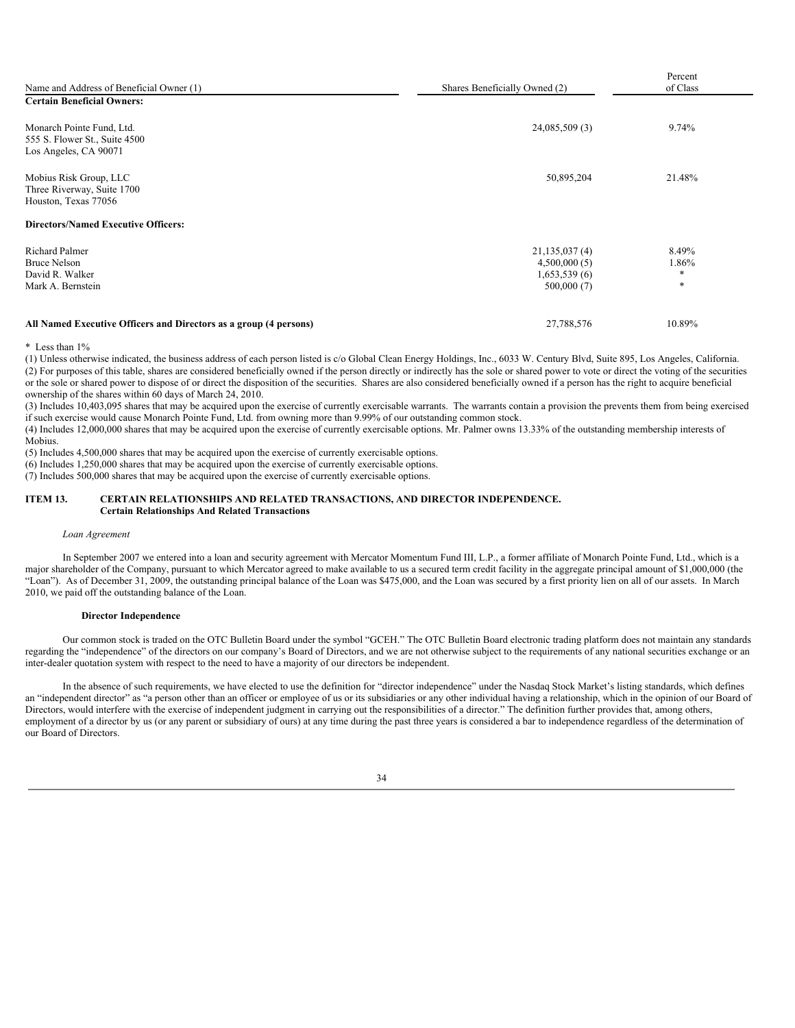| Name and Address of Beneficial Owner (1)                                             | Shares Beneficially Owned (2)                                | Percent<br>of Class                |
|--------------------------------------------------------------------------------------|--------------------------------------------------------------|------------------------------------|
| <b>Certain Beneficial Owners:</b>                                                    |                                                              |                                    |
| Monarch Pointe Fund, Ltd.<br>555 S. Flower St., Suite 4500<br>Los Angeles, CA 90071  | 24,085,509 (3)                                               | 9.74%                              |
| Mobius Risk Group, LLC<br>Three Riverway, Suite 1700<br>Houston, Texas 77056         | 50,895,204                                                   | 21.48%                             |
| <b>Directors/Named Executive Officers:</b>                                           |                                                              |                                    |
| <b>Richard Palmer</b><br><b>Bruce Nelson</b><br>David R. Walker<br>Mark A. Bernstein | 21,135,037 (4)<br>4,500,000(5)<br>1,653,539(6)<br>500,000(7) | 8.49%<br>1.86%<br>$\ast$<br>$\ast$ |
| All Named Executive Officers and Directors as a group (4 persons)                    | 27,788,576                                                   | 10.89%                             |

\* Less than 1%

(1) Unless otherwise indicated, the business address of each person listed is c/o Global Clean Energy Holdings, Inc., 6033 W. Century Blvd, Suite 895, Los Angeles, California.  $(2)$  For purposes of this table, shares are considered beneficially owned if the person directly or indirectly has the sole or shared power to vote or direct the voting of the securities or the sole or shared power to dispose of or direct the disposition of the securities. Shares are also considered beneficially owned if a person has the right to acquire beneficial ownership of the shares within 60 days of March 24, 2010.

(3) Includes 10,403,095 shares that may be acquired upon the exercise of currently exercisable warrants. The warrants contain a provision the prevents them from being exercised if such exercise would cause Monarch Pointe Fund, Ltd. from owning more than 9.99% of our outstanding common stock.

(4) Includes 12,000,000 shares that may be acquired upon the exercise of currently exercisable options. Mr. Palmer owns 13.33% of the outstanding membership interests of Mobius.

(5) Includes 4,500,000 shares that may be acquired upon the exercise of currently exercisable options.

(6) Includes 1,250,000 shares that may be acquired upon the exercise of currently exercisable options.

(7) Includes 500,000 shares that may be acquired upon the exercise of currently exercisable options.

# **ITEM 13. CERTAIN RELATIONSHIPS AND RELATED TRANSACTIONS, AND DIRECTOR INDEPENDENCE. Certain Relationships And Related Transactions**

*Loan Agreement*

In September 2007 we entered into a loan and security agreement with Mercator Momentum Fund III, L.P., a former affiliate of Monarch Pointe Fund, Ltd., which is a major shareholder of the Company, pursuant to which Mercator agreed to make available to us a secured term credit facility in the aggregate principal amount of \$1,000,000 (the "Loan"). As of December 31, 2009, the outstanding principal balance of the Loan was \$475,000, and the Loan was secured by a first priority lien on all of our assets. In March 2010, we paid off the outstanding balance of the Loan.

#### **Director Independence**

Our common stock is traded on the OTC Bulletin Board under the symbol "GCEH." The OTC Bulletin Board electronic trading platform does not maintain any standards regarding the "independence" of the directors on our company's Board of Directors, and we are not otherwise subject to the requirements of any national securities exchange or an inter-dealer quotation system with respect to the need to have a majority of our directors be independent.

In the absence of such requirements, we have elected to use the definition for "director independence" under the Nasdaq Stock Market's listing standards, which defines an "independent director" as "a person other than an officer or employee of us or its subsidiaries or any other individual having a relationship, which in the opinion of our Board of Directors, would interfere with the exercise of independent judgment in carrying out the responsibilities of a director." The definition further provides that, among others, employment of a director by us (or any parent or subsidiary of ours) at any time during the past three years is considered a bar to independence regardless of the determination of our Board of Directors.

34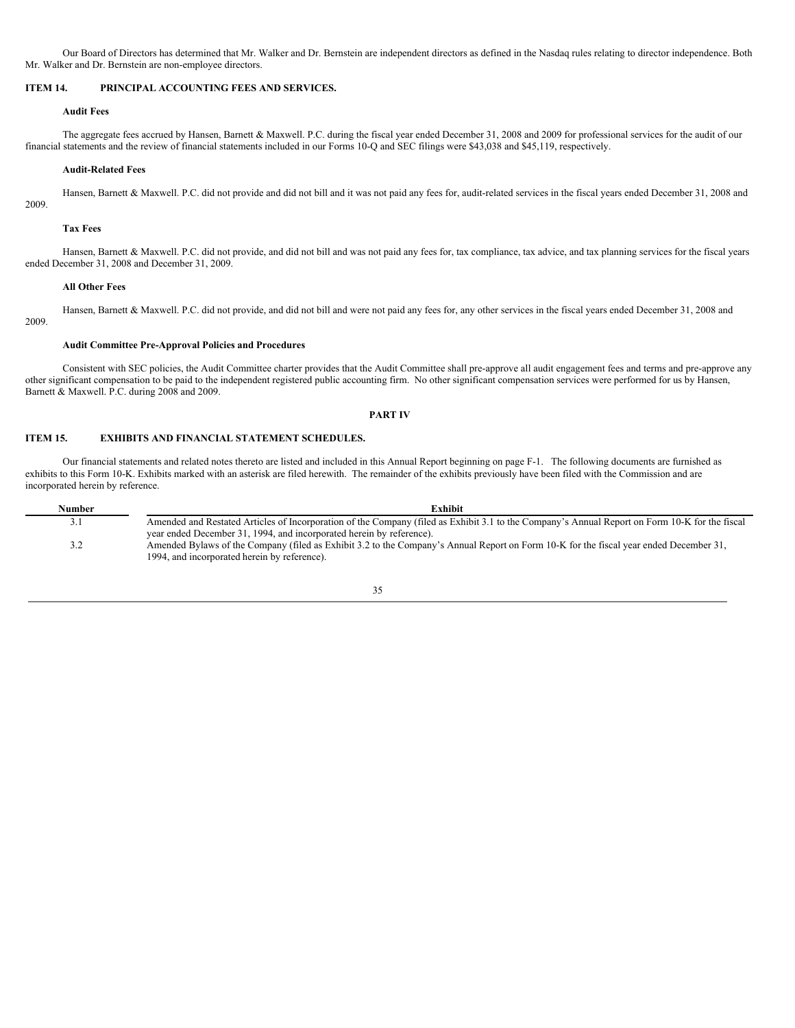Our Board of Directors has determined that Mr. Walker and Dr. Bernstein are independent directors as defined in the Nasdaq rules relating to director independence. Both Mr. Walker and Dr. Bernstein are non-employee directors.

# **ITEM 14. PRINCIPAL ACCOUNTING FEES AND SERVICES.**

# **Audit Fees**

The aggregate fees accrued by Hansen, Barnett & Maxwell. P.C. during the fiscal year ended December 31, 2008 and 2009 for professional services for the audit of our financial statements and the review of financial statements included in our Forms 10-Q and SEC filings were \$43,038 and \$45,119, respectively.

#### **Audit-Related Fees**

Hansen, Barnett & Maxwell. P.C. did not provide and did not bill and it was not paid any fees for, audit-related services in the fiscal years ended December 31, 2008 and

# 2009.

#### **Tax Fees**

Hansen, Barnett & Maxwell. P.C. did not provide, and did not bill and was not paid any fees for, tax compliance, tax advice, and tax planning services for the fiscal years ended December 31, 2008 and December 31, 2009.

#### **All Other Fees**

Hansen, Barnett & Maxwell. P.C. did not provide, and did not bill and were not paid any fees for, any other services in the fiscal years ended December 31, 2008 and 2009.

#### **Audit Committee Pre-Approval Policies and Procedures**

Consistent with SEC policies, the Audit Committee charter provides that the Audit Committee shall pre-approve all audit engagement fees and terms and pre-approve any other significant compensation to be paid to the independent registered public accounting firm. No other significant compensation services were performed for us by Hansen, Barnett & Maxwell. P.C. during 2008 and 2009.

# **PART IV**

#### **ITEM 15. EXHIBITS AND FINANCIAL STATEMENT SCHEDULES.**

Our financial statements and related notes thereto are listed and included in this Annual Report beginning on page F-1. The following documents are furnished as exhibits to this Form 10-K. Exhibits marked with an asterisk are filed herewith. The remainder of the exhibits previously have been filed with the Commission and are incorporated herein by reference.

| Number | Exhibit                                                                                                                                        |
|--------|------------------------------------------------------------------------------------------------------------------------------------------------|
| 3.1    | Amended and Restated Articles of Incorporation of the Company (filed as Exhibit 3.1 to the Company's Annual Report on Form 10-K for the fiscal |
|        | year ended December 31, 1994, and incorporated herein by reference).                                                                           |
| 3.2    | Amended Bylaws of the Company (filed as Exhibit 3.2 to the Company's Annual Report on Form 10-K for the fiscal year ended December 31,         |
|        | 1994, and incorporated herein by reference).                                                                                                   |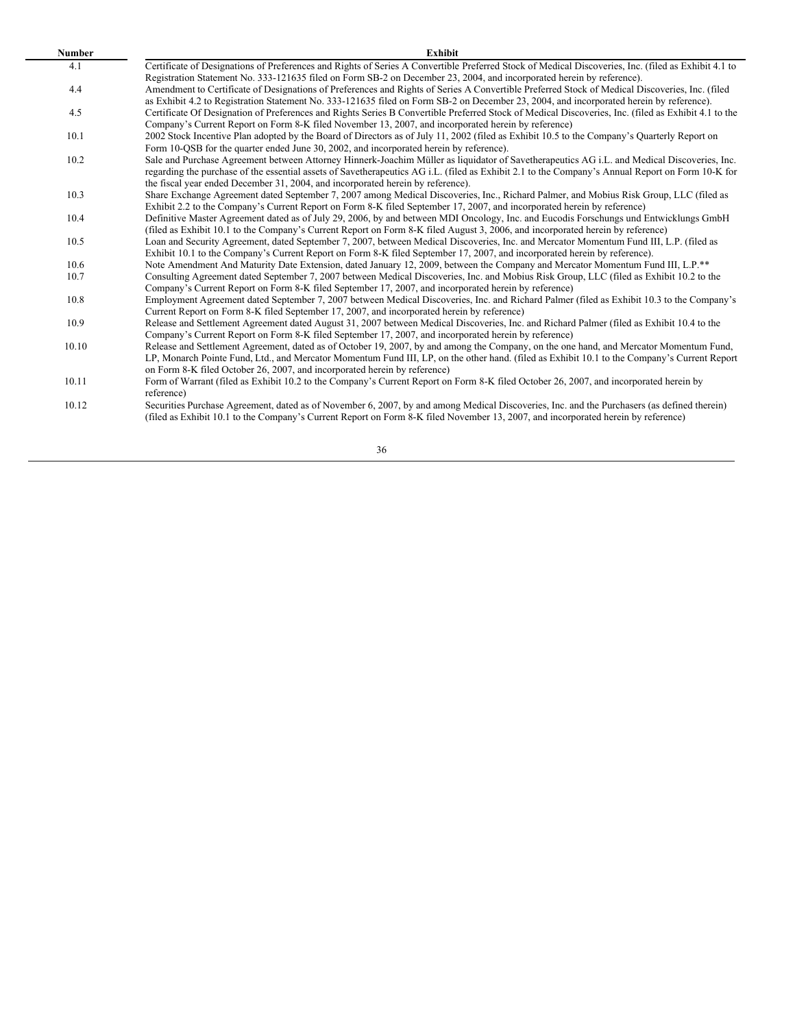| <b>Number</b> | <b>Exhibit</b>                                                                                                                                      |
|---------------|-----------------------------------------------------------------------------------------------------------------------------------------------------|
| 4.1           | Certificate of Designations of Preferences and Rights of Series A Convertible Preferred Stock of Medical Discoveries, Inc. (filed as Exhibit 4.1 to |
|               | Registration Statement No. 333-121635 filed on Form SB-2 on December 23, 2004, and incorporated herein by reference).                               |
| 4.4           | Amendment to Certificate of Designations of Preferences and Rights of Series A Convertible Preferred Stock of Medical Discoveries, Inc. (filed      |
|               | as Exhibit 4.2 to Registration Statement No. 333-121635 filed on Form SB-2 on December 23, 2004, and incorporated herein by reference).             |
| 4.5           | Certificate Of Designation of Preferences and Rights Series B Convertible Preferred Stock of Medical Discoveries, Inc. (filed as Exhibit 4.1 to the |
|               | Company's Current Report on Form 8-K filed November 13, 2007, and incorporated herein by reference)                                                 |
| 10.1          | 2002 Stock Incentive Plan adopted by the Board of Directors as of July 11, 2002 (filed as Exhibit 10.5 to the Company's Quarterly Report on         |
|               | Form 10-QSB for the quarter ended June 30, 2002, and incorporated herein by reference).                                                             |
| 10.2          | Sale and Purchase Agreement between Attorney Hinnerk-Joachim Müller as liquidator of Savetherapeutics AG i.L. and Medical Discoveries, Inc.         |
|               | regarding the purchase of the essential assets of Savetherapeutics AG i.L. (filed as Exhibit 2.1 to the Company's Annual Report on Form 10-K for    |
|               | the fiscal year ended December 31, 2004, and incorporated herein by reference).                                                                     |
| 10.3          | Share Exchange Agreement dated September 7, 2007 among Medical Discoveries, Inc., Richard Palmer, and Mobius Risk Group, LLC (filed as              |
|               | Exhibit 2.2 to the Company's Current Report on Form 8-K filed September 17, 2007, and incorporated herein by reference)                             |
| 10.4          | Definitive Master Agreement dated as of July 29, 2006, by and between MDI Oncology, Inc. and Eucodis Forschungs und Entwicklungs GmbH               |
|               | (filed as Exhibit 10.1 to the Company's Current Report on Form 8-K filed August 3, 2006, and incorporated herein by reference)                      |
| 10.5          | Loan and Security Agreement, dated September 7, 2007, between Medical Discoveries, Inc. and Mercator Momentum Fund III, L.P. (filed as              |
|               | Exhibit 10.1 to the Company's Current Report on Form 8-K filed September 17, 2007, and incorporated herein by reference).                           |
| 10.6          | Note Amendment And Maturity Date Extension, dated January 12, 2009, between the Company and Mercator Momentum Fund III, L.P.**                      |
| 10.7          | Consulting Agreement dated September 7, 2007 between Medical Discoveries, Inc. and Mobius Risk Group, LLC (filed as Exhibit 10.2 to the             |
|               | Company's Current Report on Form 8-K filed September 17, 2007, and incorporated herein by reference)                                                |
| 10.8          | Employment Agreement dated September 7, 2007 between Medical Discoveries, Inc. and Richard Palmer (filed as Exhibit 10.3 to the Company's           |
|               | Current Report on Form 8-K filed September 17, 2007, and incorporated herein by reference)                                                          |
| 10.9          | Release and Settlement Agreement dated August 31, 2007 between Medical Discoveries, Inc. and Richard Palmer (filed as Exhibit 10.4 to the           |
|               | Company's Current Report on Form 8-K filed September 17, 2007, and incorporated herein by reference)                                                |
| 10.10         | Release and Settlement Agreement, dated as of October 19, 2007, by and among the Company, on the one hand, and Mercator Momentum Fund,              |
|               | LP, Monarch Pointe Fund, Ltd., and Mercator Momentum Fund III, LP, on the other hand. (filed as Exhibit 10.1 to the Company's Current Report        |
|               | on Form 8-K filed October 26, 2007, and incorporated herein by reference)                                                                           |
| 10.11         | Form of Warrant (filed as Exhibit 10.2 to the Company's Current Report on Form 8-K filed October 26, 2007, and incorporated herein by               |
|               | reference)                                                                                                                                          |
| 10.12         | Securities Purchase Agreement, dated as of November 6, 2007, by and among Medical Discoveries, Inc. and the Purchasers (as defined therein)         |
|               | (filed as Exhibit 10.1 to the Company's Current Report on Form 8-K filed November 13, 2007, and incorporated herein by reference)                   |

36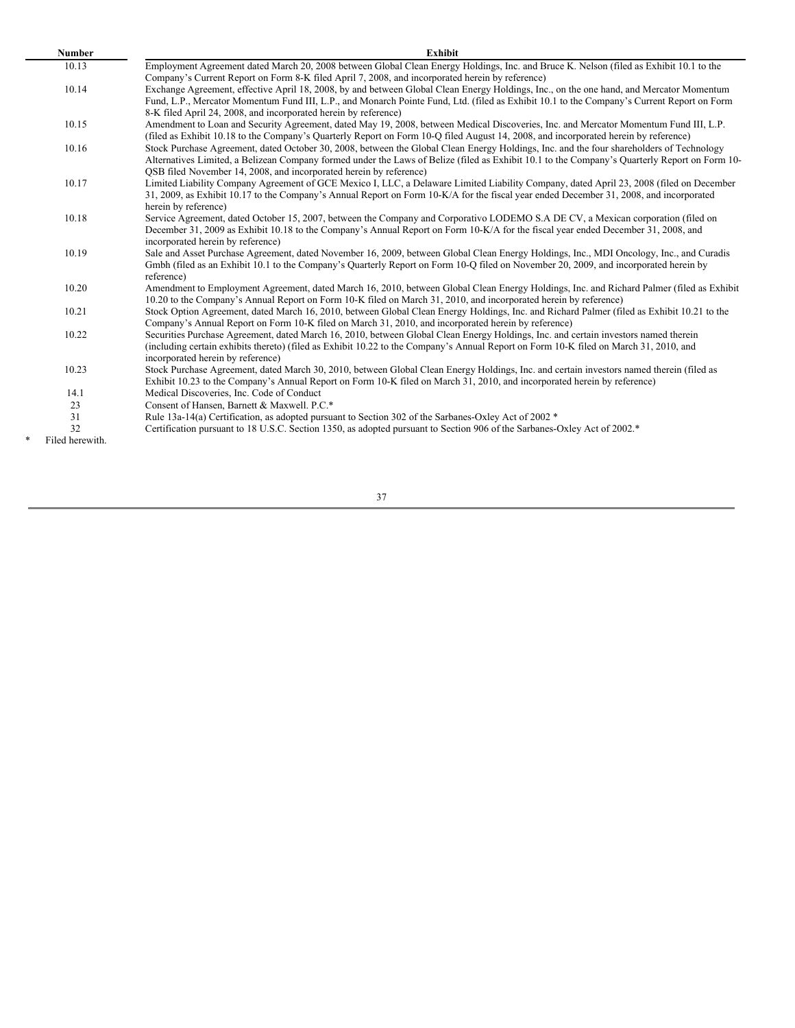| <b>Number</b>   | <b>Exhibit</b>                                                                                                                                                                                                                                                               |
|-----------------|------------------------------------------------------------------------------------------------------------------------------------------------------------------------------------------------------------------------------------------------------------------------------|
| 10.13           | Employment Agreement dated March 20, 2008 between Global Clean Energy Holdings, Inc. and Bruce K. Nelson (filed as Exhibit 10.1 to the                                                                                                                                       |
|                 | Company's Current Report on Form 8-K filed April 7, 2008, and incorporated herein by reference)                                                                                                                                                                              |
| 10.14           | Exchange Agreement, effective April 18, 2008, by and between Global Clean Energy Holdings, Inc., on the one hand, and Mercator Momentum                                                                                                                                      |
|                 | Fund, L.P., Mercator Momentum Fund III, L.P., and Monarch Pointe Fund, Ltd. (filed as Exhibit 10.1 to the Company's Current Report on Form                                                                                                                                   |
|                 | 8-K filed April 24, 2008, and incorporated herein by reference)                                                                                                                                                                                                              |
| 10.15           | Amendment to Loan and Security Agreement, dated May 19, 2008, between Medical Discoveries, Inc. and Mercator Momentum Fund III, L.P.                                                                                                                                         |
|                 | (filed as Exhibit 10.18 to the Company's Quarterly Report on Form 10-Q filed August 14, 2008, and incorporated herein by reference)                                                                                                                                          |
| 10.16           | Stock Purchase Agreement, dated October 30, 2008, between the Global Clean Energy Holdings, Inc. and the four shareholders of Technology                                                                                                                                     |
|                 | Alternatives Limited, a Belizean Company formed under the Laws of Belize (filed as Exhibit 10.1 to the Company's Quarterly Report on Form 10-                                                                                                                                |
|                 | QSB filed November 14, 2008, and incorporated herein by reference)                                                                                                                                                                                                           |
| 10.17           | Limited Liability Company Agreement of GCE Mexico I, LLC, a Delaware Limited Liability Company, dated April 23, 2008 (filed on December                                                                                                                                      |
|                 | 31, 2009, as Exhibit 10.17 to the Company's Annual Report on Form 10-K/A for the fiscal year ended December 31, 2008, and incorporated                                                                                                                                       |
|                 | herein by reference)                                                                                                                                                                                                                                                         |
| 10.18           | Service Agreement, dated October 15, 2007, between the Company and Corporativo LODEMO S.A DE CV, a Mexican corporation (filed on                                                                                                                                             |
|                 | December 31, 2009 as Exhibit 10.18 to the Company's Annual Report on Form 10-K/A for the fiscal year ended December 31, 2008, and                                                                                                                                            |
|                 | incorporated herein by reference)                                                                                                                                                                                                                                            |
| 10.19           | Sale and Asset Purchase Agreement, dated November 16, 2009, between Global Clean Energy Holdings, Inc., MDI Oncology, Inc., and Curadis                                                                                                                                      |
|                 | Gmbh (filed as an Exhibit 10.1 to the Company's Quarterly Report on Form 10-Q filed on November 20, 2009, and incorporated herein by                                                                                                                                         |
|                 | reference)                                                                                                                                                                                                                                                                   |
| 10.20           | Amendment to Employment Agreement, dated March 16, 2010, between Global Clean Energy Holdings, Inc. and Richard Palmer (filed as Exhibit                                                                                                                                     |
|                 | 10.20 to the Company's Annual Report on Form 10-K filed on March 31, 2010, and incorporated herein by reference)                                                                                                                                                             |
| 10.21           | Stock Option Agreement, dated March 16, 2010, between Global Clean Energy Holdings, Inc. and Richard Palmer (filed as Exhibit 10.21 to the                                                                                                                                   |
|                 | Company's Annual Report on Form 10-K filed on March 31, 2010, and incorporated herein by reference)                                                                                                                                                                          |
| 10.22           | Securities Purchase Agreement, dated March 16, 2010, between Global Clean Energy Holdings, Inc. and certain investors named therein<br>(including certain exhibits thereto) (filed as Exhibit 10.22 to the Company's Annual Report on Form 10-K filed on March 31, 2010, and |
|                 | incorporated herein by reference)                                                                                                                                                                                                                                            |
| 10.23           | Stock Purchase Agreement, dated March 30, 2010, between Global Clean Energy Holdings, Inc. and certain investors named therein (filed as                                                                                                                                     |
|                 | Exhibit 10.23 to the Company's Annual Report on Form 10-K filed on March 31, 2010, and incorporated herein by reference)                                                                                                                                                     |
| 14.1            | Medical Discoveries, Inc. Code of Conduct                                                                                                                                                                                                                                    |
| 23              | Consent of Hansen, Barnett & Maxwell. P.C.*                                                                                                                                                                                                                                  |
| 31              | Rule 13a-14(a) Certification, as adopted pursuant to Section 302 of the Sarbanes-Oxley Act of 2002 $*$                                                                                                                                                                       |
| 32              | Certification pursuant to 18 U.S.C. Section 1350, as adopted pursuant to Section 906 of the Sarbanes-Oxley Act of 2002.*                                                                                                                                                     |
| Filed herewith. |                                                                                                                                                                                                                                                                              |
|                 |                                                                                                                                                                                                                                                                              |

37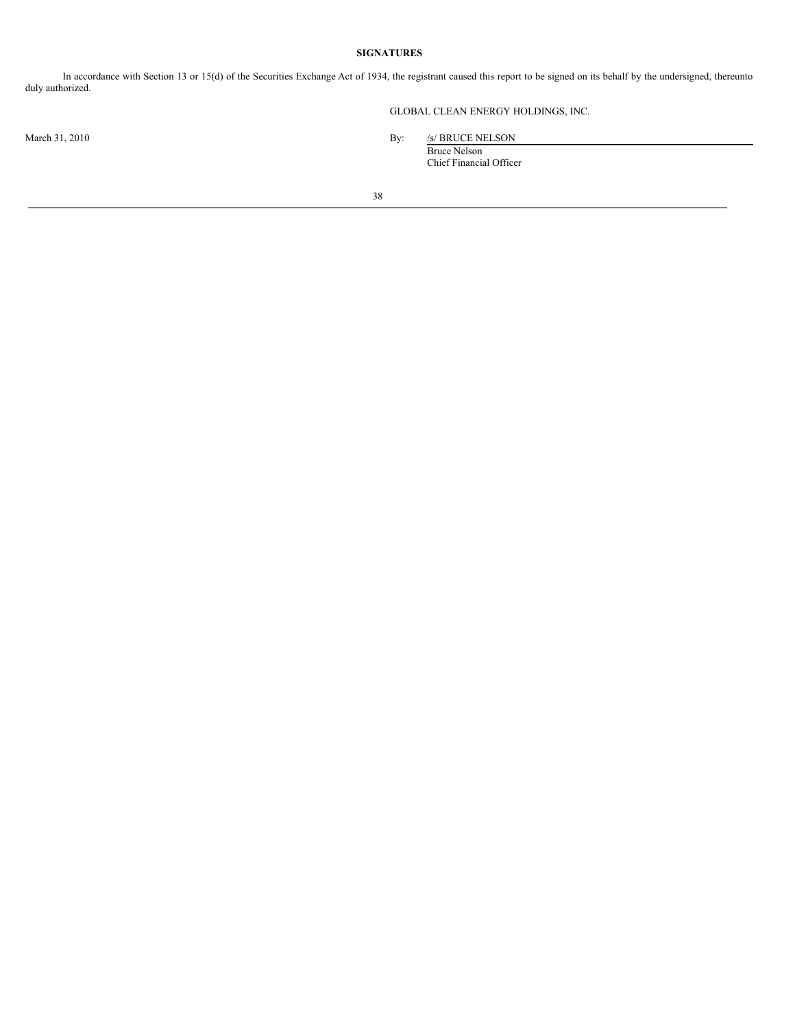# **SIGNATURES**

In accordance with Section 13 or 15(d) of the Securities Exchange Act of 1934, the registrant caused this report to be signed on its behalf by the undersigned, thereunto duly authorized.

# GLOBAL CLEAN ENERGY HOLDINGS, INC.

March 31, 2010 By: /s/ BRUCE NELSON

Bruce Nelson Chief Financial Officer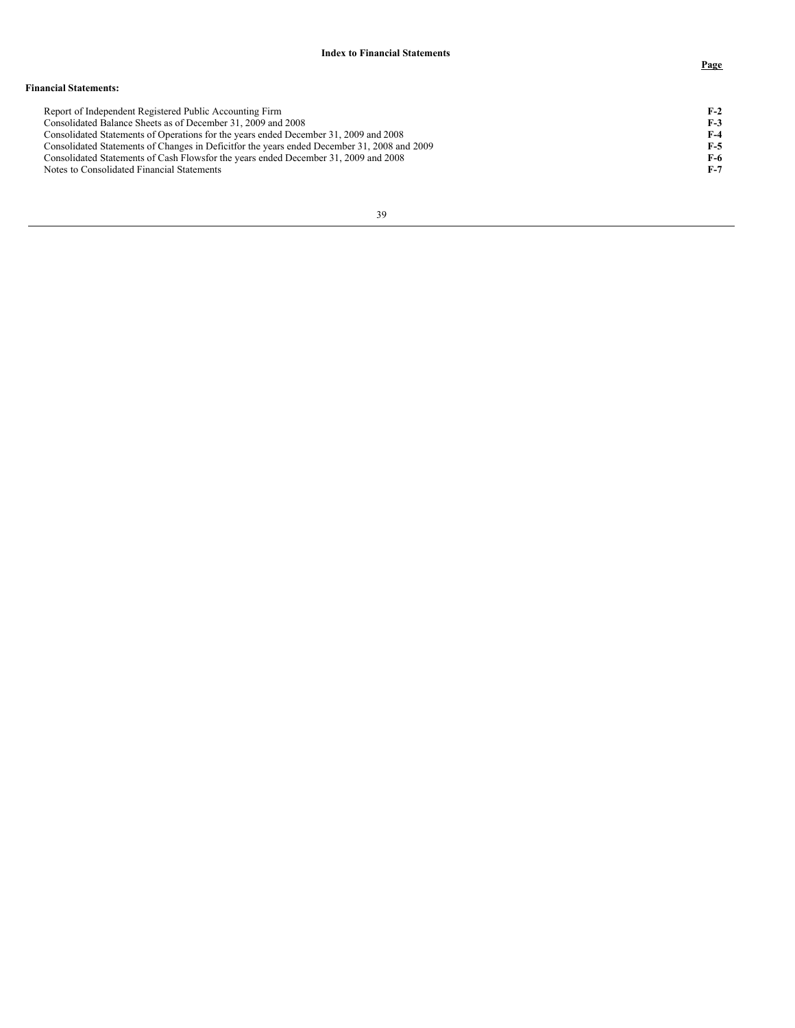# **Financial Statements:**

| Report of Independent Registered Public Accounting Firm                                      | $F-2$ |
|----------------------------------------------------------------------------------------------|-------|
| Consolidated Balance Sheets as of December 31, 2009 and 2008                                 | $F-3$ |
| Consolidated Statements of Operations for the years ended December 31, 2009 and 2008         | F-4   |
| Consolidated Statements of Changes in Deficit for the years ended December 31, 2008 and 2009 | F-5   |
| Consolidated Statements of Cash Flowsfor the years ended December 31, 2009 and 2008          | F-6   |
| Notes to Consolidated Financial Statements                                                   | $F-7$ |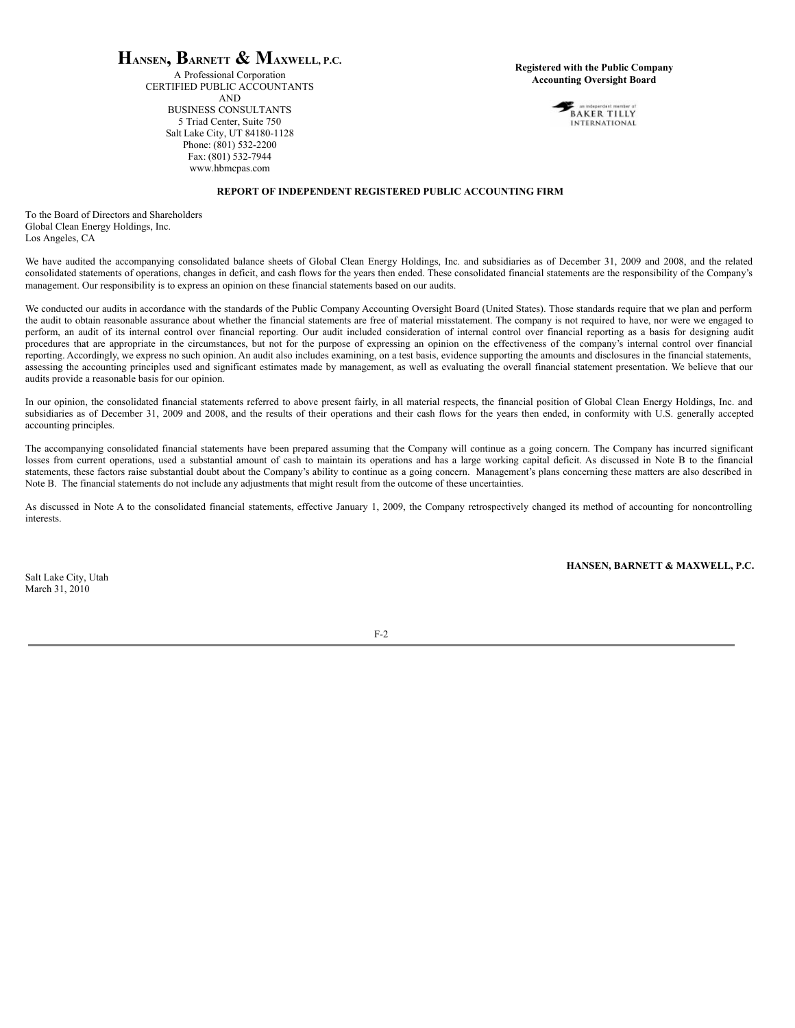# **HANSEN, BARNETT & MAXWELL, P.C.**

A Professional Corporation CERTIFIED PUBLIC ACCOUNTANTS AND BUSINESS CONSULTANTS 5 Triad Center, Suite 750 Salt Lake City, UT 84180-1128 Phone: (801) 532-2200 Fax: (801) 532-7944 www.hbmcpas.com

**Registered with the Public Company Accounting Oversight Board**



#### **REPORT OF INDEPENDENT REGISTERED PUBLIC ACCOUNTING FIRM**

To the Board of Directors and Shareholders Global Clean Energy Holdings, Inc. Los Angeles, CA

We have audited the accompanying consolidated balance sheets of Global Clean Energy Holdings, Inc. and subsidiaries as of December 31, 2009 and 2008, and the related consolidated statements of operations, changes in deficit, and cash flows for the years then ended. These consolidated financial statements are the responsibility of the Company's management. Our responsibility is to express an opinion on these financial statements based on our audits.

We conducted our audits in accordance with the standards of the Public Company Accounting Oversight Board (United States). Those standards require that we plan and perform the audit to obtain reasonable assurance about whether the financial statements are free of material misstatement. The company is not required to have, nor were we engaged to perform, an audit of its internal control over financial reporting. Our audit included consideration of internal control over financial reporting as a basis for designing audit procedures that are appropriate in the circumstances, but not for the purpose of expressing an opinion on the effectiveness of the company's internal control over financial reporting. Accordingly, we express no such opinion. An audit also includes examining, on a test basis, evidence supporting the amounts and disclosures in the financial statements, assessing the accounting principles used and significant estimates made by management, as well as evaluating the overall financial statement presentation. We believe that our audits provide a reasonable basis for our opinion.

In our opinion, the consolidated financial statements referred to above present fairly, in all material respects, the financial position of Global Clean Energy Holdings, Inc. and subsidiaries as of December 31, 2009 and 2008, and the results of their operations and their cash flows for the years then ended, in conformity with U.S. generally accepted accounting principles.

The accompanying consolidated financial statements have been prepared assuming that the Company will continue as a going concern. The Company has incurred significant losses from current operations, used a substantial amount of cash to maintain its operations and has a large working capital deficit. As discussed in Note B to the financial statements, these factors raise substantial doubt about the Company's ability to continue as a going concern. Management's plans concerning these matters are also described in Note B. The financial statements do not include any adjustments that might result from the outcome of these uncertainties.

As discussed in Note A to the consolidated financial statements, effective January 1, 2009, the Company retrospectively changed its method of accounting for noncontrolling interests.

**HANSEN, BARNETT & MAXWELL, P.C.**

Salt Lake City, Utah March 31, 2010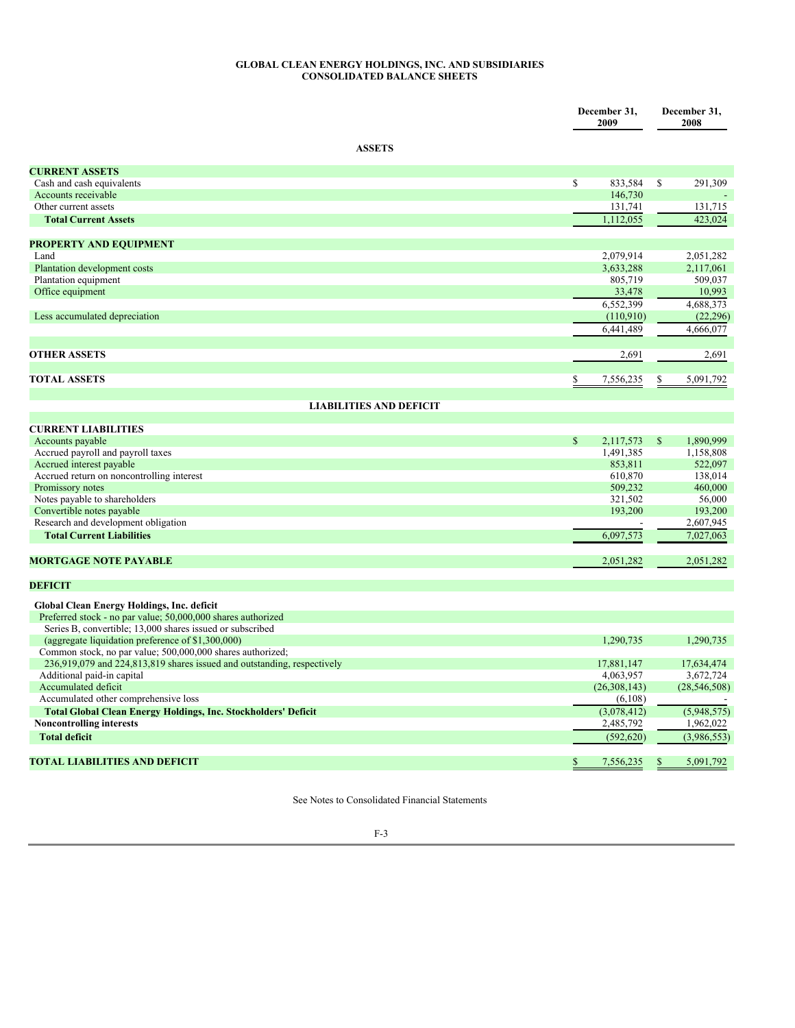# **GLOBAL CLEAN ENERGY HOLDINGS, INC. AND SUBSIDIARIES CONSOLIDATED BALANCE SHEETS**

|                                                                         | December 31,<br>2009 |    | December 31,<br>2008   |  |
|-------------------------------------------------------------------------|----------------------|----|------------------------|--|
| <b>ASSETS</b>                                                           |                      |    |                        |  |
| <b>CURRENT ASSETS</b>                                                   |                      |    |                        |  |
| Cash and cash equivalents                                               | \$<br>833,584        | \$ | 291,309                |  |
| Accounts receivable                                                     | 146,730              |    |                        |  |
| Other current assets                                                    | 131,741              |    | 131,715                |  |
| <b>Total Current Assets</b>                                             | 1,112,055            |    | 423,024                |  |
| <b>PROPERTY AND EQUIPMENT</b>                                           |                      |    |                        |  |
| Land                                                                    | 2,079,914            |    | 2,051,282              |  |
| Plantation development costs                                            | 3,633,288            |    | 2,117,061              |  |
| Plantation equipment                                                    | 805,719              |    | 509,037                |  |
| Office equipment                                                        | 33,478               |    | 10,993                 |  |
|                                                                         | 6,552,399            |    | 4,688,373              |  |
| Less accumulated depreciation                                           | (110,910)            |    | (22, 296)              |  |
|                                                                         | 6,441,489            |    | 4,666,077              |  |
| <b>OTHER ASSETS</b>                                                     | 2,691                |    | 2,691                  |  |
|                                                                         |                      |    |                        |  |
| <b>TOTAL ASSETS</b>                                                     | \$<br>7,556,235      | \$ | 5,091,792              |  |
| <b>LIABILITIES AND DEFICIT</b>                                          |                      |    |                        |  |
| <b>CURRENT LIABILITIES</b>                                              |                      |    |                        |  |
| Accounts payable                                                        | \$<br>2,117,573      | \$ | 1,890,999              |  |
| Accrued payroll and payroll taxes                                       | 1,491,385            |    | 1,158,808              |  |
| Accrued interest payable                                                | 853,811              |    | 522,097                |  |
| Accrued return on noncontrolling interest                               | 610,870              |    | 138,014                |  |
| Promissory notes                                                        | 509,232              |    | 460,000                |  |
| Notes payable to shareholders                                           | 321,502              |    | 56,000                 |  |
| Convertible notes payable                                               | 193,200              |    | 193,200                |  |
| Research and development obligation<br><b>Total Current Liabilities</b> | 6,097,573            |    | 2,607,945<br>7,027,063 |  |
|                                                                         |                      |    |                        |  |
| <b>MORTGAGE NOTE PAYABLE</b>                                            | 2,051,282            |    | 2,051,282              |  |
| <b>DEFICIT</b>                                                          |                      |    |                        |  |
| <b>Global Clean Energy Holdings, Inc. deficit</b>                       |                      |    |                        |  |
| Preferred stock - no par value; 50,000,000 shares authorized            |                      |    |                        |  |
| Series B, convertible; 13,000 shares issued or subscribed               |                      |    |                        |  |
| (aggregate liquidation preference of \$1,300,000)                       | 1,290,735            |    | 1,290,735              |  |
| Common stock, no par value; 500,000,000 shares authorized;              |                      |    |                        |  |
| 236,919,079 and 224,813,819 shares issued and outstanding, respectively | 17,881,147           |    | 17,634,474             |  |
| Additional paid-in capital                                              | 4,063,957            |    | 3,672,724              |  |
| Accumulated deficit                                                     | (26, 308, 143)       |    | (28, 546, 508)         |  |
| Accumulated other comprehensive loss                                    | (6,108)              |    |                        |  |
| <b>Total Global Clean Energy Holdings, Inc. Stockholders' Deficit</b>   | (3,078,412)          |    | (5,948,575)            |  |
| <b>Noncontrolling interests</b>                                         | 2,485,792            |    | 1,962,022              |  |
| <b>Total deficit</b>                                                    | (592, 620)           |    | (3,986,553)            |  |
| <b>TOTAL LIABILITIES AND DEFICIT</b>                                    | \$<br>7,556,235      | \$ | 5,091,792              |  |
|                                                                         |                      |    |                        |  |

See Notes to Consolidated Financial Statements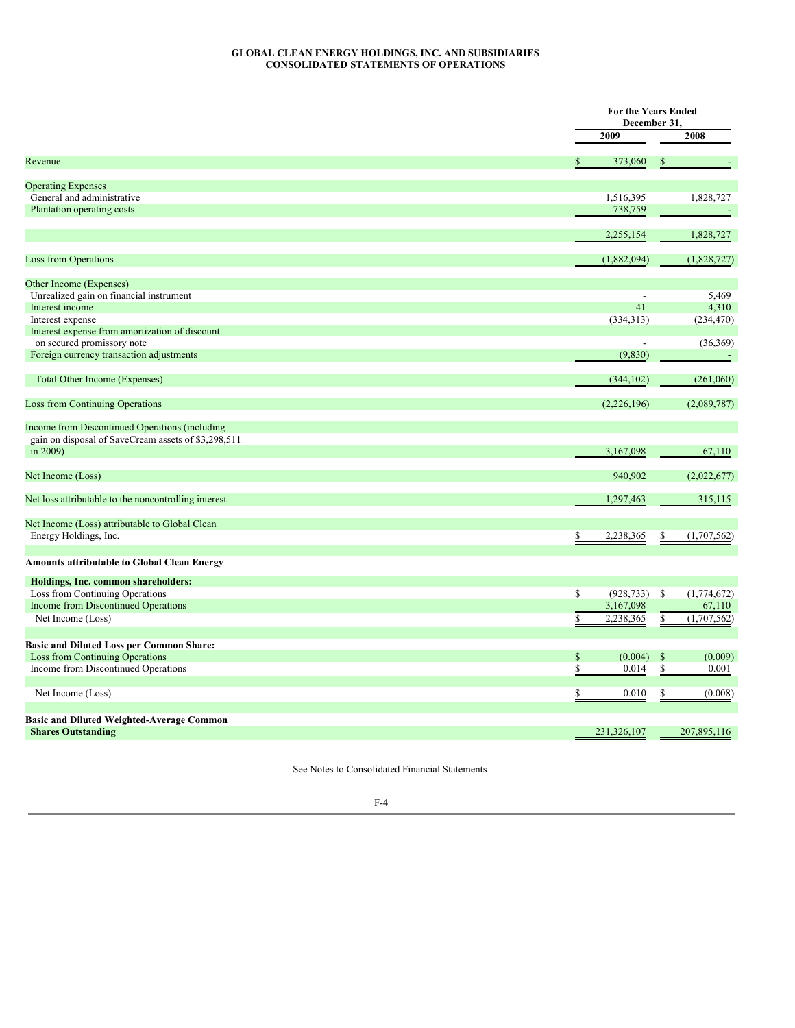# **GLOBAL CLEAN ENERGY HOLDINGS, INC. AND SUBSIDIARIES CONSOLIDATED STATEMENTS OF OPERATIONS**

|                                                      | For the Years Ended<br>December 31. |                         |
|------------------------------------------------------|-------------------------------------|-------------------------|
|                                                      | 2009                                | 2008                    |
| Revenue                                              | 373,060<br>\$                       | \$                      |
| <b>Operating Expenses</b>                            |                                     |                         |
| General and administrative                           | 1,516,395                           | 1,828,727               |
| Plantation operating costs                           | 738,759                             |                         |
|                                                      | 2,255,154                           | 1,828,727               |
|                                                      |                                     |                         |
| <b>Loss from Operations</b>                          | (1,882,094)                         | (1,828,727)             |
| Other Income (Expenses)                              |                                     |                         |
| Unrealized gain on financial instrument              | ÷                                   | 5,469                   |
| Interest income                                      | 41                                  | 4,310                   |
| Interest expense                                     | (334,313)                           | (234, 470)              |
| Interest expense from amortization of discount       |                                     |                         |
| on secured promissory note                           | $\overline{a}$                      | (36,369)                |
| Foreign currency transaction adjustments             | (9, 830)                            |                         |
| Total Other Income (Expenses)                        | (344, 102)                          | (261,060)               |
|                                                      |                                     |                         |
| Loss from Continuing Operations                      | (2,226,196)                         | (2,089,787)             |
| Income from Discontinued Operations (including       |                                     |                         |
| gain on disposal of SaveCream assets of \$3,298,511  |                                     |                         |
| in $2009$ )                                          | 3,167,098                           | 67,110                  |
|                                                      |                                     |                         |
| Net Income (Loss)                                    | 940,902                             | (2,022,677)             |
| Net loss attributable to the noncontrolling interest | 1,297,463                           | 315,115                 |
|                                                      |                                     |                         |
| Net Income (Loss) attributable to Global Clean       |                                     |                         |
| Energy Holdings, Inc.                                | \$<br>2,238,365                     | S<br>(1,707,562)        |
| <b>Amounts attributable to Global Clean Energy</b>   |                                     |                         |
| Holdings, Inc. common shareholders:                  |                                     |                         |
| Loss from Continuing Operations                      | \$<br>(928, 733)                    | -S<br>(1,774,672)       |
| Income from Discontinued Operations                  | 3,167,098                           | 67,110                  |
| Net Income (Loss)                                    | \$<br>2,238,365                     | \$<br>(1,707,562)       |
| <b>Basic and Diluted Loss per Common Share:</b>      |                                     |                         |
| <b>Loss from Continuing Operations</b>               | \$<br>(0.004)                       | $\mathbb{S}$<br>(0.009) |
| Income from Discontinued Operations                  | \$<br>0.014                         | \$<br>0.001             |
|                                                      |                                     |                         |
| Net Income (Loss)                                    | \$<br>0.010                         | \$<br>(0.008)           |
| <b>Basic and Diluted Weighted-Average Common</b>     |                                     |                         |
| <b>Shares Outstanding</b>                            | 231,326,107                         | 207,895,116             |

See Notes to Consolidated Financial Statements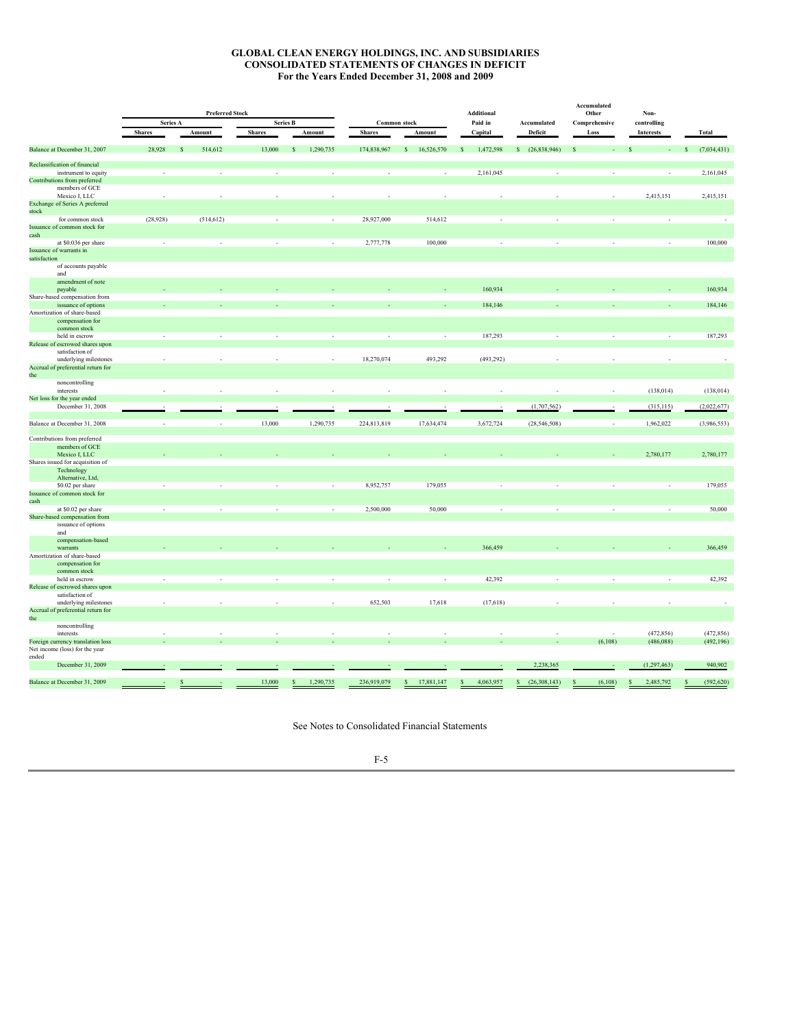# **GLOBAL CLEAN ENERGY HOLDINGS, INC. AND SUBSIDIARIES CONSOLIDATED STATEMENTS OF CHANGES IN DEFICIT For the Years Ended December 31, 2008 and 2009**

|                                                             |                           | <b>Preferred Stock</b>   |                                  |                           |                          |                          | Additional               |                                | Accumulated<br>Other     | Non-                            |                            |
|-------------------------------------------------------------|---------------------------|--------------------------|----------------------------------|---------------------------|--------------------------|--------------------------|--------------------------|--------------------------------|--------------------------|---------------------------------|----------------------------|
|                                                             | Series A<br><b>Shares</b> | Amount                   | <b>Series B</b><br><b>Shares</b> | Amount                    | <b>Shares</b>            | Common stock<br>Amount   | Paid in<br>Capital       | Accumulated<br>Deficit         | Comprehensive<br>Loss    | controlling<br><b>Interests</b> | Total                      |
| Balance at December 31, 2007                                | 28,928                    | 514,612<br>S             | 13,000                           | 1,290,735<br>$\mathbf{s}$ | 174,838,967              | S<br>16,526,570          | 1,472,598<br>S           | \$ (26,838,946)                | -S                       | S                               | (7,034,431)<br>$\mathbb S$ |
| Reclassification of financial                               |                           |                          |                                  |                           |                          |                          |                          |                                |                          |                                 |                            |
| instrument to equity                                        | $\sim$                    | $\sim$                   | $\sim$                           | $\overline{\phantom{a}}$  | $\overline{\phantom{a}}$ | $\sim$                   | 2,161,045                | $\overline{\phantom{a}}$       | $\overline{\phantom{a}}$ | $\overline{\phantom{a}}$        | 2,161,045                  |
| Contributions from preferred                                |                           |                          |                                  |                           |                          |                          |                          |                                |                          |                                 |                            |
| members of GCE                                              |                           |                          |                                  |                           |                          |                          |                          |                                |                          |                                 |                            |
| Mexico I, LLC                                               |                           |                          |                                  | $\overline{a}$            | ÷,                       |                          |                          |                                | J.                       | 2,415,151                       | 2,415,151                  |
| Exchange of Series A preferred                              |                           |                          |                                  |                           |                          |                          |                          |                                |                          |                                 |                            |
| stock<br>for common stock                                   | (28,928)                  | (514, 612)               | ×.                               | ÷.                        | 28,927,000               | 514,612                  | ×.                       | ×,                             | $\sim$                   | $\overline{\phantom{a}}$        | $\sim$                     |
| Issuance of common stock for                                |                           |                          |                                  |                           |                          |                          |                          |                                |                          |                                 |                            |
| cash                                                        |                           |                          |                                  |                           |                          |                          |                          |                                |                          |                                 |                            |
| at \$0.036 per share                                        | $\sim$                    | ٠                        | $\sim$                           | $\overline{\phantom{a}}$  | 2,777,778                | 100,000                  | $\sim$                   | ٠                              | $\overline{\phantom{a}}$ | $\overline{\phantom{a}}$        | 100,000                    |
| Issuance of warrants in                                     |                           |                          |                                  |                           |                          |                          |                          |                                |                          |                                 |                            |
| satisfaction                                                |                           |                          |                                  |                           |                          |                          |                          |                                |                          |                                 |                            |
| of accounts payable                                         |                           |                          |                                  |                           |                          |                          |                          |                                |                          |                                 |                            |
| and                                                         |                           |                          |                                  |                           |                          |                          |                          |                                |                          |                                 |                            |
| amendment of note                                           |                           |                          |                                  |                           |                          |                          |                          |                                |                          |                                 |                            |
| payable                                                     |                           |                          |                                  |                           |                          |                          | 160,934                  |                                |                          |                                 | 160,934                    |
| Share-based compensation from<br>issuance of options        |                           |                          |                                  |                           |                          |                          | 184,146                  |                                |                          |                                 | 184,146                    |
| Amortization of share-based                                 |                           |                          |                                  |                           |                          |                          |                          |                                |                          |                                 |                            |
| compensation for                                            |                           |                          |                                  |                           |                          |                          |                          |                                |                          |                                 |                            |
| common stock                                                |                           |                          |                                  |                           |                          |                          |                          |                                |                          |                                 |                            |
| held in escrow                                              | ٠                         | $\overline{\phantom{a}}$ | ×.                               | $\overline{\phantom{a}}$  | ä,                       | ä,                       | 187,293                  | ×,                             | ä,                       | $\overline{\phantom{a}}$        | 187,293                    |
| Release of escrowed shares upon                             |                           |                          |                                  |                           |                          |                          |                          |                                |                          |                                 |                            |
| satisfaction of                                             |                           |                          |                                  |                           |                          |                          |                          |                                |                          |                                 |                            |
| underlying milestones                                       |                           |                          |                                  | ÷                         | 18,270,074               | 493,292                  | (493, 292)               |                                |                          |                                 |                            |
| Accrual of preferential return for                          |                           |                          |                                  |                           |                          |                          |                          |                                |                          |                                 |                            |
| the                                                         |                           |                          |                                  |                           |                          |                          |                          |                                |                          |                                 |                            |
| noncontrolling<br>interests                                 | ÷                         | ÷.                       | $\overline{a}$                   | $\overline{a}$            | ÷,                       |                          | $\overline{a}$           | $\overline{\phantom{a}}$       | $\overline{\phantom{a}}$ | (138, 014)                      | (138, 014)                 |
| Net loss for the year ended                                 |                           |                          |                                  |                           |                          |                          |                          |                                |                          |                                 |                            |
| December 31, 2008                                           |                           |                          |                                  |                           |                          |                          |                          | (1,707,562)                    |                          | (315, 115)                      | (2,022,677)                |
|                                                             |                           |                          |                                  |                           |                          |                          |                          |                                |                          |                                 |                            |
| Balance at December 31, 2008                                | $\overline{a}$            |                          | 13,000                           | 1,290,735                 | 224,813,819              | 17,634,474               | 3,672,724                | (28, 546, 508)                 | $\overline{\phantom{a}}$ | 1,962,022                       | (3,986,553)                |
|                                                             |                           |                          |                                  |                           |                          |                          |                          |                                |                          |                                 |                            |
| Contributions from preferred                                |                           |                          |                                  |                           |                          |                          |                          |                                |                          |                                 |                            |
| members of GCE                                              |                           |                          |                                  |                           |                          |                          |                          |                                |                          |                                 |                            |
| Mexico I, LLC<br>Shares issued for acquisition of           |                           |                          |                                  |                           |                          |                          |                          |                                |                          | 2,780,177                       | 2,780,177                  |
| Technology                                                  |                           |                          |                                  |                           |                          |                          |                          |                                |                          |                                 |                            |
| Alternative, Ltd,                                           |                           |                          |                                  |                           |                          |                          |                          |                                |                          |                                 |                            |
| \$0.02 per share                                            | ÷.                        | ×.                       | ÷                                | $\overline{\phantom{a}}$  | 8,952,757                | 179,055                  | ×,                       | ÷,                             | ÷,                       | $\mathcal{L}_{\mathcal{A}}$     | 179,055                    |
| Issuance of common stock for                                |                           |                          |                                  |                           |                          |                          |                          |                                |                          |                                 |                            |
| cash                                                        |                           |                          |                                  |                           |                          |                          |                          |                                |                          |                                 |                            |
| at \$0.02 per share                                         | ×,                        | ÷,                       | $\overline{\phantom{a}}$         | $\overline{\phantom{a}}$  | 2,500,000                | 50,000                   | $\overline{\phantom{a}}$ | ä,                             | ä,                       | $\overline{\phantom{a}}$        | 50,000                     |
| Share-based compensation from                               |                           |                          |                                  |                           |                          |                          |                          |                                |                          |                                 |                            |
| issuance of options<br>and                                  |                           |                          |                                  |                           |                          |                          |                          |                                |                          |                                 |                            |
| compensation-based                                          |                           |                          |                                  |                           |                          |                          |                          |                                |                          |                                 |                            |
| warrants                                                    |                           |                          |                                  |                           |                          |                          | 366,459                  |                                |                          |                                 | 366,459                    |
| Amortization of share-based                                 |                           |                          |                                  |                           |                          |                          |                          |                                |                          |                                 |                            |
| compensation for                                            |                           |                          |                                  |                           |                          |                          |                          |                                |                          |                                 |                            |
| common stock                                                |                           |                          |                                  |                           |                          |                          |                          |                                |                          |                                 |                            |
| held in escrow                                              | ×.                        | $\overline{\phantom{a}}$ | ×.                               | ×.                        | $\overline{\phantom{a}}$ | $\overline{\phantom{a}}$ | 42,392                   | ٠                              | $\overline{\phantom{a}}$ | $\overline{\phantom{a}}$        | 42,392                     |
| Release of escrowed shares upon                             |                           |                          |                                  |                           |                          |                          |                          |                                |                          |                                 |                            |
| satisfaction of                                             |                           |                          |                                  |                           |                          |                          |                          |                                |                          |                                 |                            |
| underlying milestones<br>Accrual of preferential return for |                           |                          |                                  | $\sim$                    | 652,503                  | 17,618                   | (17, 618)                | ÷.                             |                          |                                 | ÷.                         |
| the                                                         |                           |                          |                                  |                           |                          |                          |                          |                                |                          |                                 |                            |
| noncontrolling                                              |                           |                          |                                  |                           |                          |                          |                          |                                |                          |                                 |                            |
| interests                                                   |                           |                          |                                  |                           |                          |                          |                          |                                | $\overline{a}$           | (472, 856)                      | (472, 856)                 |
| Foreign currency translation loss                           |                           |                          |                                  |                           |                          |                          |                          |                                | (6,108)                  | (486, 088)                      | (492, 196)                 |
| Net income (loss) for the year                              |                           |                          |                                  |                           |                          |                          |                          |                                |                          |                                 |                            |
| ended                                                       |                           |                          |                                  |                           |                          |                          |                          |                                |                          |                                 |                            |
| December 31, 2009                                           |                           |                          |                                  |                           |                          |                          |                          | 2,238,365                      |                          | (1, 297, 463)                   | 940,902                    |
| Balance at December 31, 2009                                |                           |                          | 13,000                           |                           |                          |                          | $\hat{\mathbf{x}}$       |                                |                          |                                 |                            |
|                                                             |                           |                          |                                  | 1,290,735                 | 236,919,079              | 17,881,147<br>S          | 4,063,957                | (26, 308, 143)<br>$\mathbf{s}$ | (6, 108)                 | 2,485,792                       | (592, 620)                 |

See Notes to Consolidated Financial Statements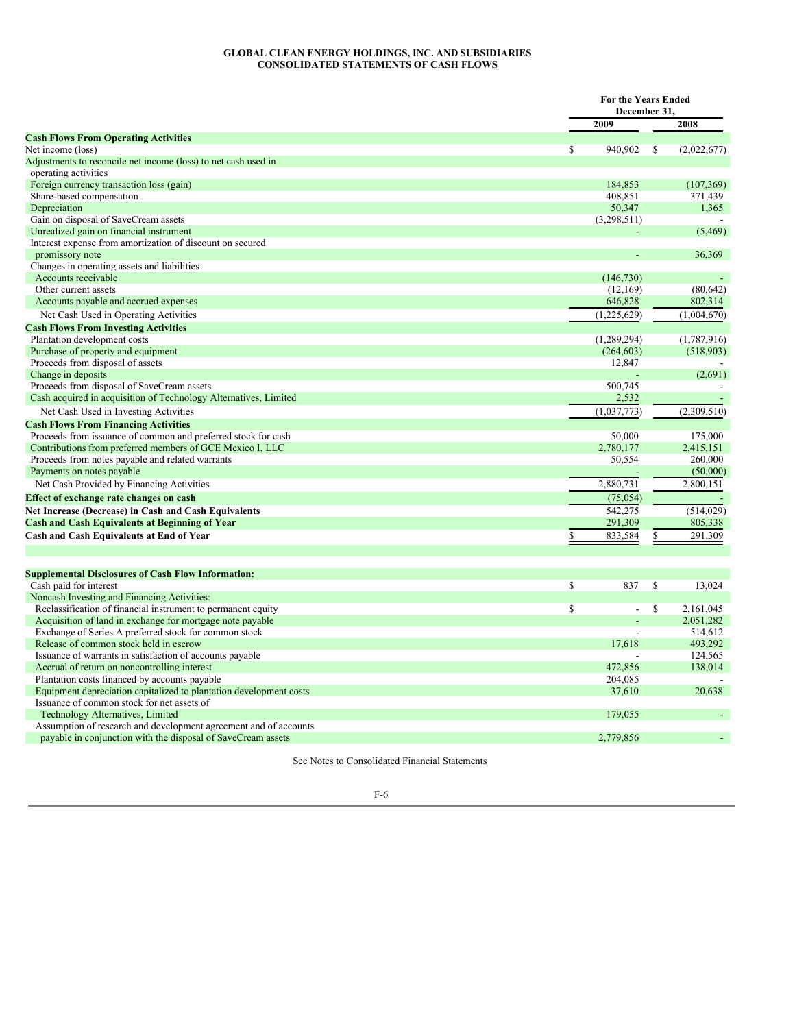# **GLOBAL CLEAN ENERGY HOLDINGS, INC. AND SUBSIDIARIES CONSOLIDATED STATEMENTS OF CASH FLOWS**

|                                                                    |                    | <b>For the Years Ended</b><br>December 31. |             |  |
|--------------------------------------------------------------------|--------------------|--------------------------------------------|-------------|--|
|                                                                    | 2009               |                                            | 2008        |  |
| <b>Cash Flows From Operating Activities</b>                        |                    |                                            |             |  |
| Net income (loss)                                                  | \$<br>940,902      | \$                                         | (2,022,677) |  |
| Adjustments to reconcile net income (loss) to net cash used in     |                    |                                            |             |  |
| operating activities                                               |                    |                                            |             |  |
| Foreign currency transaction loss (gain)                           | 184,853            |                                            | (107, 369)  |  |
| Share-based compensation                                           | 408,851            |                                            | 371,439     |  |
| Depreciation                                                       | 50,347             |                                            | 1,365       |  |
| Gain on disposal of SaveCream assets                               | (3,298,511)        |                                            |             |  |
| Unrealized gain on financial instrument                            |                    |                                            | (5,469)     |  |
| Interest expense from amortization of discount on secured          |                    |                                            |             |  |
| promissory note                                                    |                    |                                            | 36,369      |  |
| Changes in operating assets and liabilities                        |                    |                                            |             |  |
| Accounts receivable                                                | (146, 730)         |                                            |             |  |
| Other current assets                                               | (12, 169)          |                                            | (80, 642)   |  |
| Accounts payable and accrued expenses                              | 646,828            |                                            | 802,314     |  |
| Net Cash Used in Operating Activities                              | (1,225,629)        |                                            | (1,004,670) |  |
| <b>Cash Flows From Investing Activities</b>                        |                    |                                            |             |  |
| Plantation development costs                                       | (1, 289, 294)      |                                            | (1,787,916) |  |
| Purchase of property and equipment                                 | (264, 603)         |                                            | (518,903)   |  |
| Proceeds from disposal of assets                                   | 12,847             |                                            |             |  |
| Change in deposits                                                 |                    |                                            | (2,691)     |  |
| Proceeds from disposal of SaveCream assets                         | 500,745            |                                            |             |  |
| Cash acquired in acquisition of Technology Alternatives, Limited   | 2,532              |                                            |             |  |
| Net Cash Used in Investing Activities                              | (1,037,773)        |                                            | (2,309,510) |  |
| <b>Cash Flows From Financing Activities</b>                        |                    |                                            |             |  |
| Proceeds from issuance of common and preferred stock for cash      | 50,000             |                                            | 175,000     |  |
| Contributions from preferred members of GCE Mexico I, LLC          | 2,780,177          |                                            | 2,415,151   |  |
| Proceeds from notes payable and related warrants                   | 50,554             |                                            | 260,000     |  |
| Payments on notes payable                                          |                    |                                            | (50,000)    |  |
| Net Cash Provided by Financing Activities                          | 2,880,731          |                                            | 2,800,151   |  |
| Effect of exchange rate changes on cash                            | (75, 054)          |                                            |             |  |
| Net Increase (Decrease) in Cash and Cash Equivalents               | 542.275            |                                            | (514, 029)  |  |
| <b>Cash and Cash Equivalents at Beginning of Year</b>              | 291,309            |                                            | 805,338     |  |
| Cash and Cash Equivalents at End of Year                           | 833,584<br>\$      | \$                                         | 291,309     |  |
|                                                                    |                    |                                            |             |  |
| <b>Supplemental Disclosures of Cash Flow Information:</b>          |                    |                                            |             |  |
| Cash paid for interest                                             | $\mathbf S$<br>837 | \$                                         | 13,024      |  |
| Noncash Investing and Financing Activities:                        |                    |                                            |             |  |
| Reclassification of financial instrument to permanent equity       | \$                 | <sup>\$</sup><br>$\sim$                    | 2.161.045   |  |
| Acquisition of land in exchange for mortgage note payable          |                    | L,                                         | 2,051,282   |  |
| Exchange of Series A preferred stock for common stock              |                    |                                            | 514,612     |  |
| Release of common stock held in escrow                             | 17.618             |                                            | 493,292     |  |
| Issuance of warrants in satisfaction of accounts payable           |                    |                                            | 124,565     |  |
| Accrual of return on noncontrolling interest                       | 472,856            |                                            | 138,014     |  |
| Plantation costs financed by accounts payable                      | 204,085            |                                            |             |  |
| Equipment depreciation capitalized to plantation development costs | 37,610             |                                            | 20,638      |  |
| Issuance of common stock for net assets of                         |                    |                                            |             |  |
| Technology Alternatives, Limited                                   | 179,055            |                                            |             |  |
| Assumption of research and development agreement and of accounts   |                    |                                            |             |  |
| payable in conjunction with the disposal of SaveCream assets       | 2.779.856          |                                            |             |  |

See Notes to Consolidated Financial Statements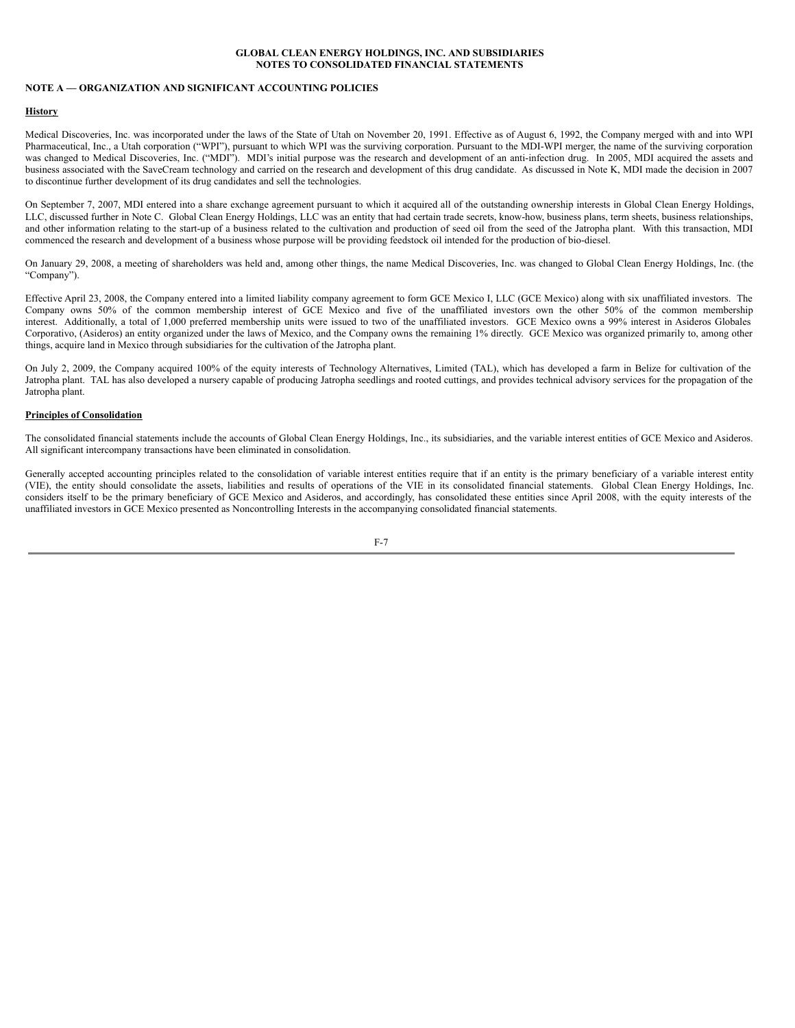# **NOTE A — ORGANIZATION AND SIGNIFICANT ACCOUNTING POLICIES**

# **History**

Medical Discoveries, Inc. was incorporated under the laws of the State of Utah on November 20, 1991. Effective as of August 6, 1992, the Company merged with and into WPI Pharmaceutical, Inc., a Utah corporation ("WPI"), pursuant to which WPI was the surviving corporation. Pursuant to the MDI-WPI merger, the name of the surviving corporation was changed to Medical Discoveries, Inc. ("MDI"). MDI's initial purpose was the research and development of an anti-infection drug. In 2005, MDI acquired the assets and business associated with the SaveCream technology and carried on the research and development of this drug candidate. As discussed in Note K, MDI made the decision in 2007 to discontinue further development of its drug candidates and sell the technologies.

On September 7, 2007, MDI entered into a share exchange agreement pursuant to which it acquired all of the outstanding ownership interests in Global Clean Energy Holdings, LLC, discussed further in Note C. Global Clean Energy Holdings, LLC was an entity that had certain trade secrets, know-how, business plans, term sheets, business relationships, and other information relating to the start-up of a business related to the cultivation and production of seed oil from the seed of the Jatropha plant. With this transaction, MDI commenced the research and development of a business whose purpose will be providing feedstock oil intended for the production of bio-diesel.

On January 29, 2008, a meeting of shareholders was held and, among other things, the name Medical Discoveries, Inc. was changed to Global Clean Energy Holdings, Inc. (the "Company").

Effective April 23, 2008, the Company entered into a limited liability company agreement to form GCE Mexico I, LLC (GCE Mexico) along with six unaffiliated investors. The Company owns 50% of the common membership interest of GCE Mexico and five of the unaffiliated investors own the other 50% of the common membership interest. Additionally, a total of 1,000 preferred membership units were issued to two of the unaffiliated investors. GCE Mexico owns a 99% interest in Asideros Globales Corporativo, (Asideros) an entity organized under the laws of Mexico, and the Company owns the remaining 1% directly. GCE Mexico was organized primarily to, among other things, acquire land in Mexico through subsidiaries for the cultivation of the Jatropha plant.

On July 2, 2009, the Company acquired 100% of the equity interests of Technology Alternatives, Limited (TAL), which has developed a farm in Belize for cultivation of the Jatropha plant. TAL has also developed a nursery capable of producing Jatropha seedlings and rooted cuttings, and provides technical advisory services for the propagation of the Jatropha plant.

# **Principles of Consolidation**

The consolidated financial statements include the accounts of Global Clean Energy Holdings, Inc., its subsidiaries, and the variable interest entities of GCE Mexico and Asideros. All significant intercompany transactions have been eliminated in consolidation.

Generally accepted accounting principles related to the consolidation of variable interest entities require that if an entity is the primary beneficiary of a variable interest entity (VIE), the entity should consolidate the assets, liabilities and results of operations of the VIE in its consolidated financial statements. Global Clean Energy Holdings, Inc. considers itself to be the primary beneficiary of GCE Mexico and Asideros, and accordingly, has consolidated these entities since April 2008, with the equity interests of the unaffiliated investors in GCE Mexico presented as Noncontrolling Interests in the accompanying consolidated financial statements.

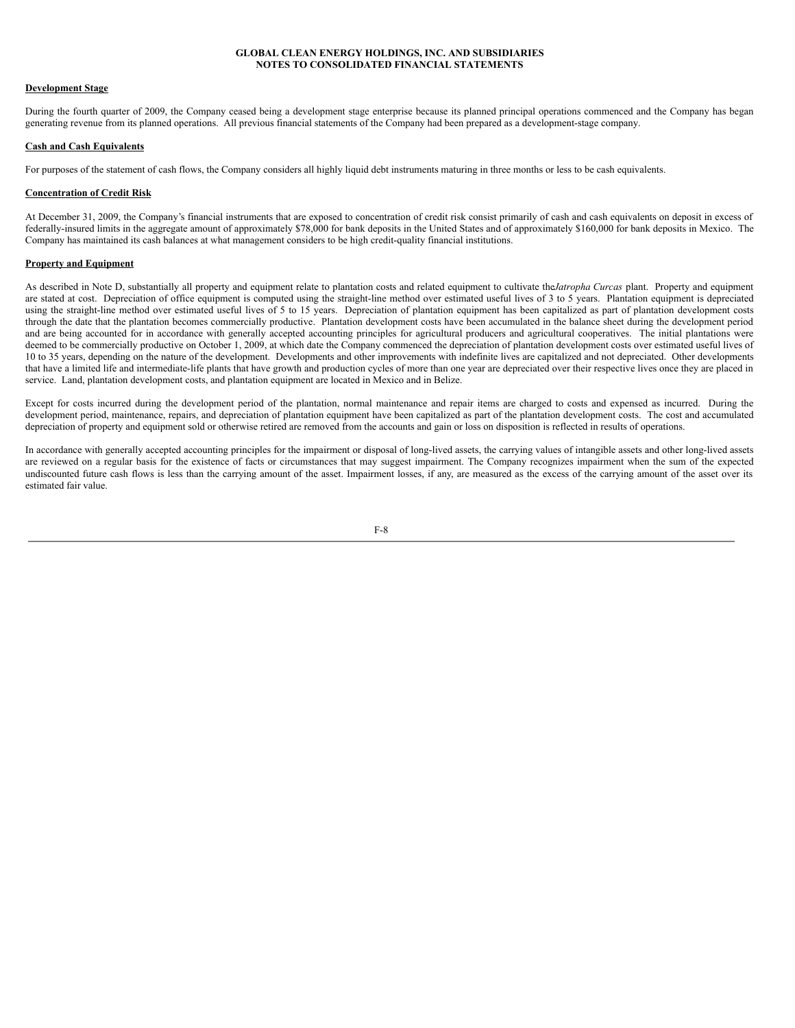# **Development Stage**

During the fourth quarter of 2009, the Company ceased being a development stage enterprise because its planned principal operations commenced and the Company has began generating revenue from its planned operations. All previous financial statements of the Company had been prepared as a development-stage company.

#### **Cash and Cash Equivalents**

For purposes of the statement of cash flows, the Company considers all highly liquid debt instruments maturing in three months or less to be cash equivalents.

#### **Concentration of Credit Risk**

At December 31, 2009, the Company's financial instruments that are exposed to concentration of credit risk consist primarily of cash and cash equivalents on deposit in excess of federally-insured limits in the aggregate amount of approximately \$78,000 for bank deposits in the United States and of approximately \$160,000 for bank deposits in Mexico. The Company has maintained its cash balances at what management considers to be high credit-quality financial institutions.

#### **Property and Equipment**

As described in Note D, substantially all property and equipment relate to plantation costs and related equipment to cultivate the*Jatropha Curcas* plant. Property and equipment are stated at cost. Depreciation of office equipment is computed using the straight-line method over estimated useful lives of 3 to 5 years. Plantation equipment is depreciated using the straight-line method over estimated useful lives of 5 to 15 years. Depreciation of plantation equipment has been capitalized as part of plantation development costs through the date that the plantation becomes commercially productive. Plantation development costs have been accumulated in the balance sheet during the development period and are being accounted for in accordance with generally accepted accounting principles for agricultural producers and agricultural cooperatives. The initial plantations were deemed to be commercially productive on October 1, 2009, at which date the Company commenced the depreciation of plantation development costs over estimated useful lives of 10 to 35 years, depending on the nature of the development. Developments and other improvements with indefinite lives are capitalized and not depreciated. Other developments that have a limited life and intermediate-life plants that have growth and production cycles of more than one year are depreciated over their respective lives once they are placed in service. Land, plantation development costs, and plantation equipment are located in Mexico and in Belize.

Except for costs incurred during the development period of the plantation, normal maintenance and repair items are charged to costs and expensed as incurred. During the development period, maintenance, repairs, and depreciation of plantation equipment have been capitalized as part of the plantation development costs. The cost and accumulated depreciation of property and equipment sold or otherwise retired are removed from the accounts and gain or loss on disposition is reflected in results of operations.

In accordance with generally accepted accounting principles for the impairment or disposal of long-lived assets, the carrying values of intangible assets and other long-lived assets are reviewed on a regular basis for the existence of facts or circumstances that may suggest impairment. The Company recognizes impairment when the sum of the expected undiscounted future cash flows is less than the carrying amount of the asset. Impairment losses, if any, are measured as the excess of the carrying amount of the asset over its estimated fair value.

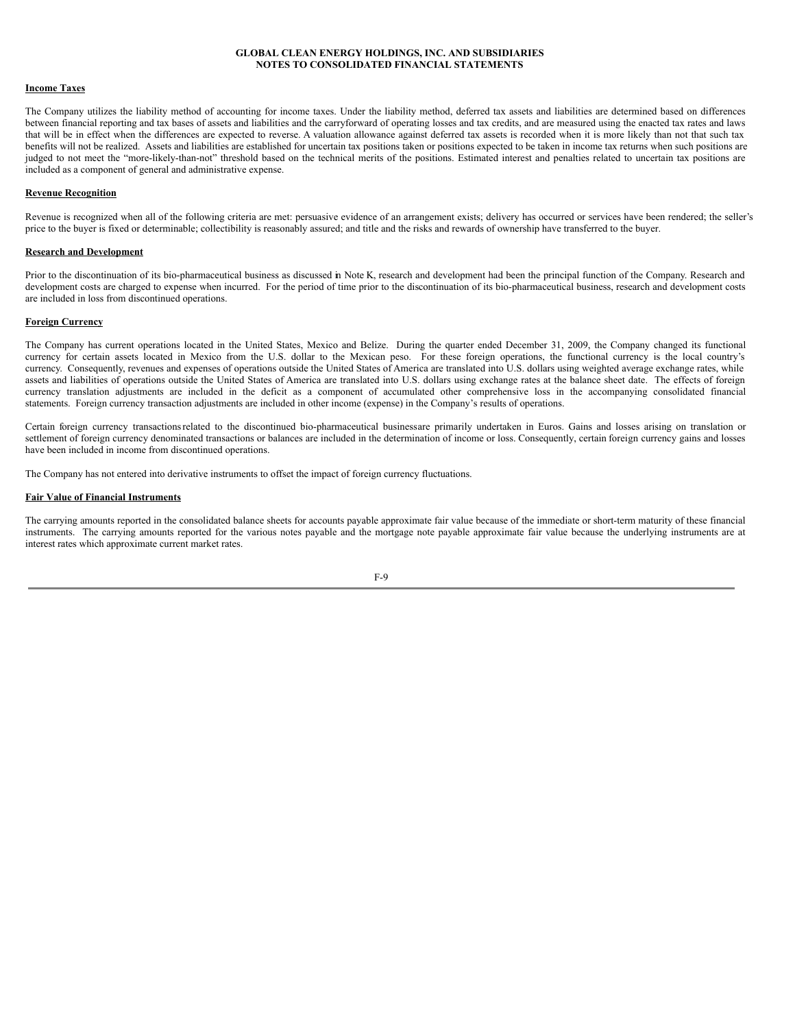#### **Income Taxes**

The Company utilizes the liability method of accounting for income taxes. Under the liability method, deferred tax assets and liabilities are determined based on differences between financial reporting and tax bases of assets and liabilities and the carryforward of operating losses and tax credits, and are measured using the enacted tax rates and laws that will be in effect when the differences are expected to reverse. A valuation allowance against deferred tax assets is recorded when it is more likely than not that such tax benefits will not be realized. Assets and liabilities are established for uncertain tax positions taken or positions expected to be taken in income tax returns when such positions are judged to not meet the "more-likely-than-not" threshold based on the technical merits of the positions. Estimated interest and penalties related to uncertain tax positions are included as a component of general and administrative expense.

#### **Revenue Recognition**

Revenue is recognized when all of the following criteria are met: persuasive evidence of an arrangement exists; delivery has occurred or services have been rendered; the seller's price to the buyer is fixed or determinable; collectibility is reasonably assured; and title and the risks and rewards of ownership have transferred to the buyer.

## **Research and Development**

Prior to the discontinuation of its bio-pharmaceutical business as discussed in Note K, research and development had been the principal function of the Company. Research and development costs are charged to expense when incurred. For the period of time prior to the discontinuation of its bio-pharmaceutical business, research and development costs are included in loss from discontinued operations.

#### **Foreign Currency**

The Company has current operations located in the United States, Mexico and Belize. During the quarter ended December 31, 2009, the Company changed its functional currency for certain assets located in Mexico from the U.S. dollar to the Mexican peso. For these foreign operations, the functional currency is the local country's currency. Consequently, revenues and expenses of operations outside the United States of America are translated into U.S. dollars using weighted average exchange rates, while assets and liabilities of operations outside the United States of America are translated into U.S. dollars using exchange rates at the balance sheet date. The effects of foreign currency translation adjustments are included in the deficit as a component of accumulated other comprehensive loss in the accompanying consolidated financial statements. Foreign currency transaction adjustments are included in other income (expense) in the Company's results of operations.

Certain foreign currency transactionsrelated to the discontinued bio-pharmaceutical businessare primarily undertaken in Euros. Gains and losses arising on translation or settlement of foreign currency denominated transactions or balances are included in the determination of income or loss. Consequently, certain foreign currency gains and losses have been included in income from discontinued operations.

The Company has not entered into derivative instruments to offset the impact of foreign currency fluctuations.

# **Fair Value of Financial Instruments**

The carrying amounts reported in the consolidated balance sheets for accounts payable approximate fair value because of the immediate or short-term maturity of these financial instruments. The carrying amounts reported for the various notes payable and the mortgage note payable approximate fair value because the underlying instruments are at interest rates which approximate current market rates.

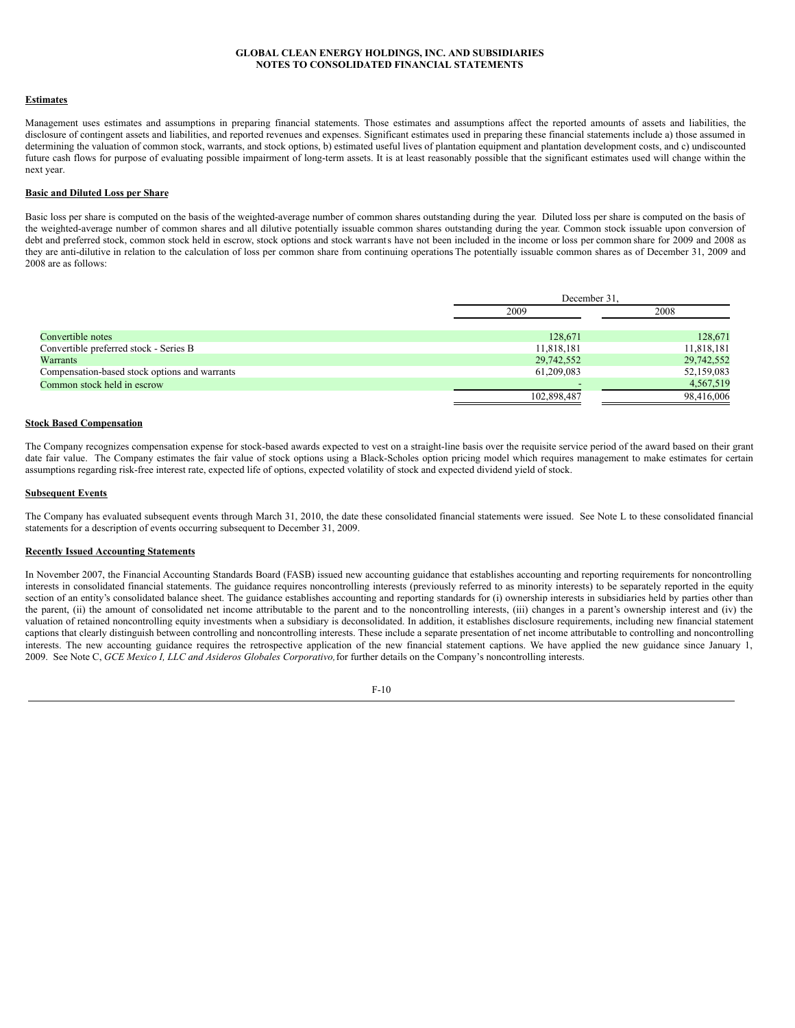# **Estimates**

Management uses estimates and assumptions in preparing financial statements. Those estimates and assumptions affect the reported amounts of assets and liabilities, the disclosure of contingent assets and liabilities, and reported revenues and expenses. Significant estimates used in preparing these financial statements include a) those assumed in determining the valuation of common stock, warrants, and stock options, b) estimated useful lives of plantation equipment and plantation development costs, and c) undiscounted future cash flows for purpose of evaluating possible impairment of long-term assets. It is at least reasonably possible that the significant estimates used will change within the next year.

# **Basic and Diluted Loss per Share**

Basic loss per share is computed on the basis of the weighted-average number of common shares outstanding during the year. Diluted loss per share is computed on the basis of the weighted-average number of common shares and all dilutive potentially issuable common shares outstanding during the year. Common stock issuable upon conversion of debt and preferred stock, common stock held in escrow, stock options and stock warrants have not been included in the income or loss per common share for 2009 and 2008 as they are anti-dilutive in relation to the calculation of loss per common share from continuing operations The potentially issuable common shares as of December 31, 2009 and 2008 are as follows:

|                                               | December 31. |            |
|-----------------------------------------------|--------------|------------|
|                                               | 2009         | 2008       |
|                                               |              |            |
| Convertible notes                             | 128,671      | 128,671    |
| Convertible preferred stock - Series B        | 11,818,181   | 11,818,181 |
| <b>Warrants</b>                               | 29,742,552   | 29,742,552 |
| Compensation-based stock options and warrants | 61,209,083   | 52,159,083 |
| Common stock held in escrow                   | -            | 4,567,519  |
|                                               | 102,898,487  | 98,416,006 |

# **Stock Based Compensation**

The Company recognizes compensation expense for stock-based awards expected to vest on a straight-line basis over the requisite service period of the award based on their grant date fair value. The Company estimates the fair value of stock options using a Black-Scholes option pricing model which requires management to make estimates for certain assumptions regarding risk-free interest rate, expected life of options, expected volatility of stock and expected dividend yield of stock.

## **Subsequent Events**

The Company has evaluated subsequent events through March 31, 2010, the date these consolidated financial statements were issued. See Note L to these consolidated financial statements for a description of events occurring subsequent to December 31, 2009.

# **Recently Issued Accounting Statements**

In November 2007, the Financial Accounting Standards Board (FASB) issued new accounting guidance that establishes accounting and reporting requirements for noncontrolling interests in consolidated financial statements. The guidance requires noncontrolling interests (previously referred to as minority interests) to be separately reported in the equity section of an entity's consolidated balance sheet. The guidance establishes accounting and reporting standards for (i) ownership interests in subsidiaries held by parties other than the parent, (ii) the amount of consolidated net income attributable to the parent and to the noncontrolling interests, (iii) changes in a parent's ownership interest and (iv) the valuation of retained noncontrolling equity investments when a subsidiary is deconsolidated. In addition, it establishes disclosure requirements, including new financial statement captions that clearly distinguish between controlling and noncontrolling interests. These include a separate presentation of net income attributable to controlling and noncontrolling interests. The new accounting guidance requires the retrospective application of the new financial statement captions. We have applied the new guidance since January 1, 2009. See Note C, *GCE Mexico I, LLC and Asideros Globales Corporativo,*for further details on the Company's noncontrolling interests.

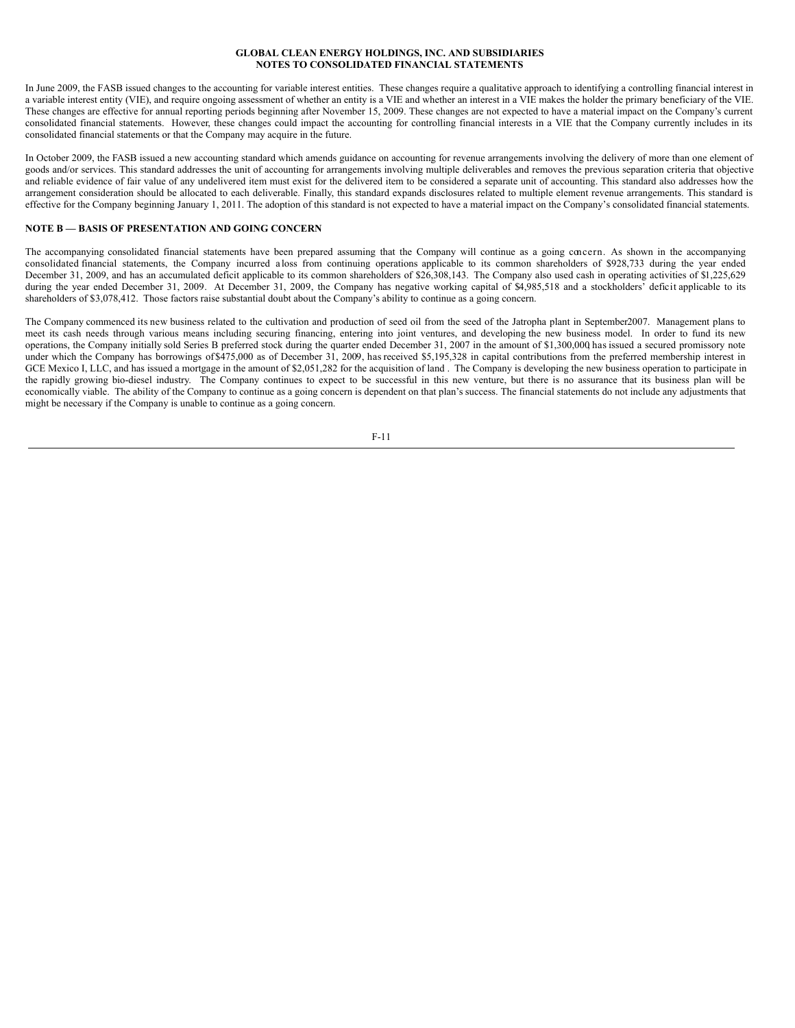In June 2009, the FASB issued changes to the accounting for variable interest entities. These changes require a qualitative approach to identifying a controlling financial interest in a variable interest entity (VIE), and require ongoing assessment of whether an entity is a VIE and whether an interest in a VIE makes the holder the primary beneficiary of the VIE. These changes are effective for annual reporting periods beginning after November 15, 2009. These changes are not expected to have a material impact on the Company's current consolidated financial statements. However, these changes could impact the accounting for controlling financial interests in a VIE that the Company currently includes in its consolidated financial statements or that the Company may acquire in the future.

In October 2009, the FASB issued a new accounting standard which amends guidance on accounting for revenue arrangements involving the delivery of more than one element of goods and/or services. This standard addresses the unit of accounting for arrangements involving multiple deliverables and removes the previous separation criteria that objective and reliable evidence of fair value of any undelivered item must exist for the delivered item to be considered a separate unit of accounting. This standard also addresses how the arrangement consideration should be allocated to each deliverable. Finally, this standard expands disclosures related to multiple element revenue arrangements. This standard is effective for the Company beginning January 1, 2011. The adoption of this standard is not expected to have a material impact on the Company's consolidated financial statements.

# **NOTE B — BASIS OF PRESENTATION AND GOING CONCERN**

The accompanying consolidated financial statements have been prepared assuming that the Company will continue as a going concern. As shown in the accompanying consolidated financial statements, the Company incurred a loss from continuing operations applicable to its common shareholders of \$928,733 during the year ended December 31, 2009, and has an accumulated deficit applicable to its common shareholders of \$26,308,143. The Company also used cash in operating activities of \$1,225,629 during the year ended December 31, 2009. At December 31, 2009, the Company has negative working capital of \$4,985,518 and a stockholders' deficit applicable to its shareholders of \$3,078,412. Those factors raise substantial doubt about the Company's ability to continue as a going concern.

The Company commenced its new business related to the cultivation and production of seed oil from the seed of the Jatropha plant in September2007. Management plans to meet its cash needs through various means including securing financing, entering into joint ventures, and developing the new business model. In order to fund its new operations, the Company initially sold Series B preferred stock during the quarter ended December 31, 2007 in the amount of \$1,300,000, has issued a secured promissory note under which the Company has borrowings of \$475,000 as of December 31, 2009, has received \$5,195,328 in capital contributions from the preferred membership interest in GCE Mexico I, LLC, and has issued a mortgage in the amount of \$2,051,282 for the acquisition of land. The Company is developing the new business operation to participate in the rapidly growing bio-diesel industry. The Company continues to expect to be successful in this new venture, but there is no assurance that its business plan will be economically viable. The ability of the Company to continue as a going concern is dependent on that plan's success. The financial statements do not include any adjustments that might be necessary if the Company is unable to continue as a going concern.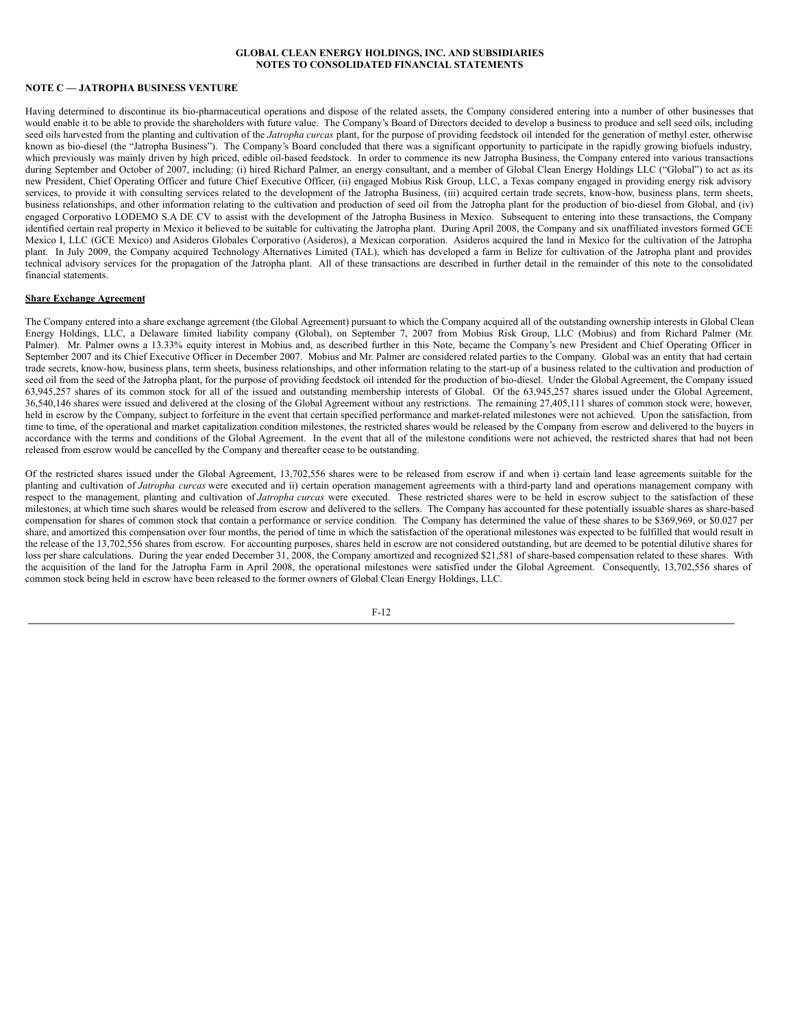# **NOTE C — JATROPHA BUSINESS VENTURE**

Having determined to discontinue its bio-pharmaceutical operations and dispose of the related assets, the Company considered entering into a number of other businesses that would enable it to be able to provide the shareholders with future value. The Company's Board of Directors decided to develop a business to produce and sell seed oils, including seed oils harvested from the planting and cultivation of the *Jatropha curcas* plant, for the purpose of providing feedstock oil intended for the generation of methyl ester, otherwise known as bio-diesel (the "Jatropha Business"). The Company's Board concluded that there was a significant opportunity to participate in the rapidly growing biofuels industry, which previously was mainly driven by high priced, edible oil-based feedstock. In order to commence its new Jatropha Business, the Company entered into various transactions during September and October of 2007, including: (i) hired Richard Palmer, an energy consultant, and a member of Global Clean Energy Holdings LLC ("Global") to act as its new President, Chief Operating Officer and future Chief Executive Officer, (ii) engaged Mobius Risk Group, LLC, a Texas company engaged in providing energy risk advisory services, to provide it with consulting services related to the development of the Jatropha Business, (iii) acquired certain trade secrets, know-how, business plans, term sheets, business relationships, and other information relating to the cultivation and production of seed oil from the Jatropha plant for the production of bio-diesel from Global, and (iv) engaged Corporativo LODEMO S.A DE CV to assist with the development of the Jatropha Business in Mexico. Subsequent to entering into these transactions, the Company identified certain real property in Mexico it believed to be suitable for cultivating the Jatropha plant. During April 2008, the Company and six unaffiliated investors formed GCE Mexico I, LLC (GCE Mexico) and Asideros Globales Corporativo (Asideros), a Mexican corporation. Asideros acquired the land in Mexico for the cultivation of the Jatropha plant. In July 2009, the Company acquired Technology Alternatives Limited (TAL), which has developed a farm in Belize for cultivation of the Jatropha plant and provides technical advisory services for the propagation of the Jatropha plant. All of these transactions are described in further detail in the remainder of this note to the consolidated financial statements.

# **Share Exchange Agreement**

The Company entered into a share exchange agreement (the Global Agreement) pursuant to which the Company acquired all of the outstanding ownership interests in Global Clean Energy Holdings, LLC, a Delaware limited liability company (Global), on September 7, 2007 from Mobius Risk Group, LLC (Mobius) and from Richard Palmer (Mr. Palmer). Mr. Palmer owns a 13.33% equity interest in Mobius and, as described further in this Note, became the Company's new President and Chief Operating Officer in September 2007 and its Chief Executive Officer in December 2007. Mobius and Mr. Palmer are considered related parties to the Company. Global was an entity that had certain trade secrets, know-how, business plans, term sheets, business relationships, and other information relating to the start-up of a business related to the cultivation and production of seed oil from the seed of the Jatropha plant, for the purpose of providing feedstock oil intended for the production of bio-diesel. Under the Global Agreement, the Company issued 63,945,257 shares of its common stock for all of the issued and outstanding membership interests of Global. Of the 63,945,257 shares issued under the Global Agreement, 36,540,146 shares were issued and delivered at the closing of the Global Agreement without any restrictions. The remaining 27,405,111 shares of common stock were, however, held in escrow by the Company, subject to forfeiture in the event that certain specified performance and market-related milestones were not achieved. Upon the satisfaction, from time to time, of the operational and market capitalization condition milestones, the restricted shares would be released by the Company from escrow and delivered to the buyers in accordance with the terms and conditions of the Global Agreement. In the event that all of the milestone conditions were not achieved, the restricted shares that had not been released from escrow would be cancelled by the Company and thereafter cease to be outstanding.

Of the restricted shares issued under the Global Agreement, 13,702,556 shares were to be released from escrow if and when i) certain land lease agreements suitable for the planting and cultivation of *Jatropha curcas* were executed and ii) certain operation management agreements with a third-party land and operations management company with respect to the management, planting and cultivation of *Jatropha curcas* were executed. These restricted shares were to be held in escrow subject to the satisfaction of these milestones, at which time such shares would be released from escrow and delivered to the sellers. The Company has accounted for these potentially issuable shares as share-based compensation for shares of common stock that contain a performance or service condition. The Company has determined the value of these shares to be \$369,969, or \$0.027 per share, and amortized this compensation over four months, the period of time in which the satisfaction of the operational milestones was expected to be fulfilled that would result in the release of the 13,702,556 shares from escrow. For accounting purposes, shares held in escrow are not considered outstanding, but are deemed to be potential dilutive shares for loss per share calculations. During the year ended December 31, 2008, the Company amortized and recognized \$21,581 of share-based compensation related to these shares. With the acquisition of the land for the Jatropha Farm in April 2008, the operational milestones were satisfied under the Global Agreement. Consequently, 13,702,556 shares of common stock being held in escrow have been released to the former owners of Global Clean Energy Holdings, LLC.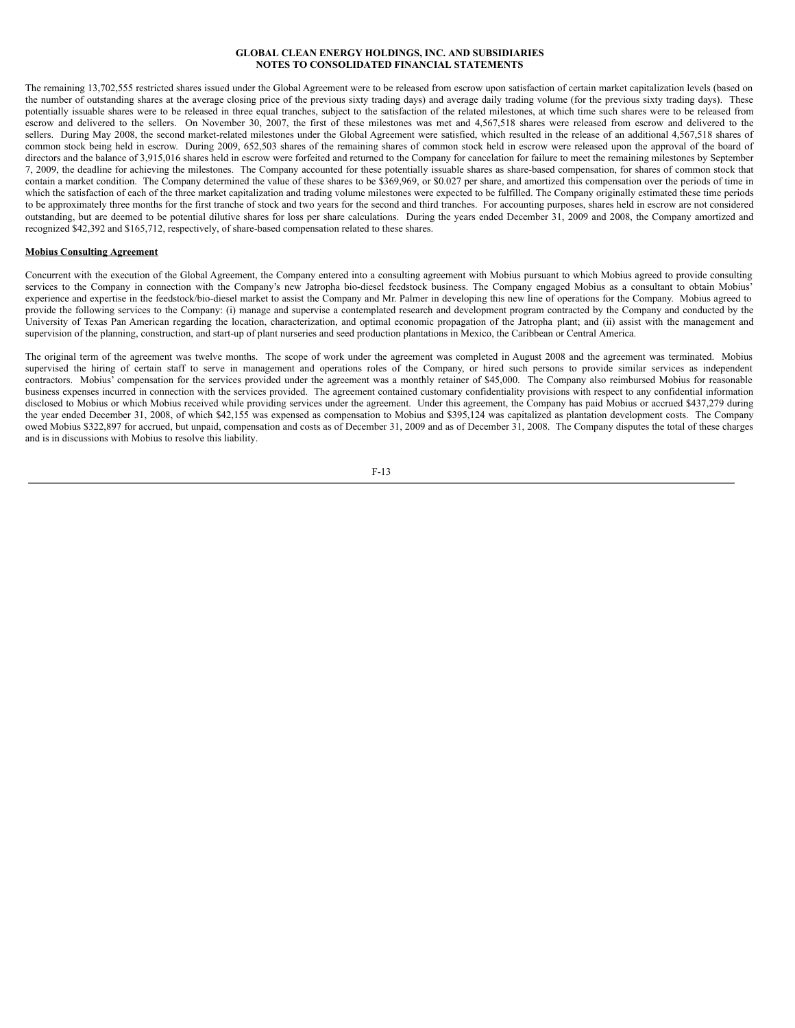The remaining 13,702,555 restricted shares issued under the Global Agreement were to be released from escrow upon satisfaction of certain market capitalization levels (based on the number of outstanding shares at the average closing price of the previous sixty trading days) and average daily trading volume (for the previous sixty trading days). These potentially issuable shares were to be released in three equal tranches, subject to the satisfaction of the related milestones, at which time such shares were to be released from escrow and delivered to the sellers. On November 30, 2007, the first of these milestones was met and 4,567,518 shares were released from escrow and delivered to the sellers. During May 2008, the second market-related milestones under the Global Agreement were satisfied, which resulted in the release of an additional 4,567,518 shares of common stock being held in escrow. During 2009, 652,503 shares of the remaining shares of common stock held in escrow were released upon the approval of the board of directors and the balance of 3,915,016 shares held in escrow were forfeited and returned to the Company for cancelation for failure to meet the remaining milestones by September 7, 2009, the deadline for achieving the milestones. The Company accounted for these potentially issuable shares as share-based compensation, for shares of common stock that contain a market condition. The Company determined the value of these shares to be \$369,969, or \$0.027 per share, and amortized this compensation over the periods of time in which the satisfaction of each of the three market capitalization and trading volume milestones were expected to be fulfilled. The Company originally estimated these time periods to be approximately three months for the first tranche of stock and two years for the second and third tranches. For accounting purposes, shares held in escrow are not considered outstanding, but are deemed to be potential dilutive shares for loss per share calculations. During the years ended December 31, 2009 and 2008, the Company amortized and recognized \$42,392 and \$165,712, respectively, of share-based compensation related to these shares.

# **Mobius Consulting Agreement**

Concurrent with the execution of the Global Agreement, the Company entered into a consulting agreement with Mobius pursuant to which Mobius agreed to provide consulting services to the Company in connection with the Company's new Jatropha bio-diesel feedstock business. The Company engaged Mobius as a consultant to obtain Mobius' experience and expertise in the feedstock/bio-diesel market to assist the Company and Mr. Palmer in developing this new line of operations for the Company. Mobius agreed to provide the following services to the Company: (i) manage and supervise a contemplated research and development program contracted by the Company and conducted by the University of Texas Pan American regarding the location, characterization, and optimal economic propagation of the Jatropha plant; and (ii) assist with the management and supervision of the planning, construction, and start-up of plant nurseries and seed production plantations in Mexico, the Caribbean or Central America.

The original term of the agreement was twelve months. The scope of work under the agreement was completed in August 2008 and the agreement was terminated. Mobius supervised the hiring of certain staff to serve in management and operations roles of the Company, or hired such persons to provide similar services as independent contractors. Mobius' compensation for the services provided under the agreement was a monthly retainer of \$45,000. The Company also reimbursed Mobius for reasonable business expenses incurred in connection with the services provided. The agreement contained customary confidentiality provisions with respect to any confidential information disclosed to Mobius or which Mobius received while providing services under the agreement. Under this agreement, the Company has paid Mobius or accrued \$437,279 during the year ended December 31, 2008, of which \$42,155 was expensed as compensation to Mobius and \$395,124 was capitalized as plantation development costs. The Company owed Mobius \$322,897 for accrued, but unpaid, compensation and costs as of December 31, 2009 and as of December 31, 2008. The Company disputes the total of these charges and is in discussions with Mobius to resolve this liability.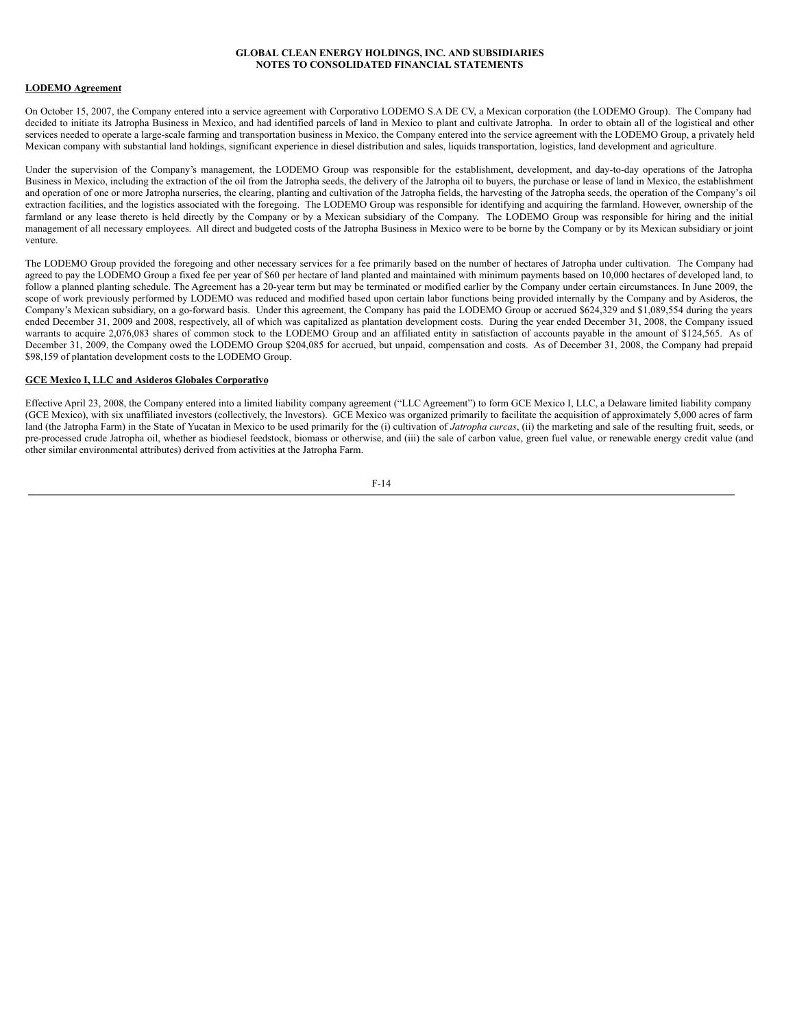# **LODEMO Agreement**

On October 15, 2007, the Company entered into a service agreement with Corporativo LODEMO S.A DE CV, a Mexican corporation (the LODEMO Group). The Company had decided to initiate its Jatropha Business in Mexico, and had identified parcels of land in Mexico to plant and cultivate Jatropha. In order to obtain all of the logistical and other services needed to operate a large-scale farming and transportation business in Mexico, the Company entered into the service agreement with the LODEMO Group, a privately held Mexican company with substantial land holdings, significant experience in diesel distribution and sales, liquids transportation, logistics, land development and agriculture.

Under the supervision of the Company's management, the LODEMO Group was responsible for the establishment, development, and day-to-day operations of the Jatropha Business in Mexico, including the extraction of the oil from the Jatropha seeds, the delivery of the Jatropha oil to buyers, the purchase or lease of land in Mexico, the establishment and operation of one or more Jatropha nurseries, the clearing, planting and cultivation of the Jatropha fields, the harvesting of the Jatropha seeds, the operation of the Company's oil extraction facilities, and the logistics associated with the foregoing. The LODEMO Group was responsible for identifying and acquiring the farmland. However, ownership of the farmland or any lease thereto is held directly by the Company or by a Mexican subsidiary of the Company. The LODEMO Group was responsible for hiring and the initial management of all necessary employees. All direct and budgeted costs of the Jatropha Business in Mexico were to be borne by the Company or by its Mexican subsidiary or joint venture.

The LODEMO Group provided the foregoing and other necessary services for a fee primarily based on the number of hectares of Jatropha under cultivation. The Company had agreed to pay the LODEMO Group a fixed fee per year of \$60 per hectare of land planted and maintained with minimum payments based on 10,000 hectares of developed land, to follow a planned planting schedule. The Agreement has a 20-year term but may be terminated or modified earlier by the Company under certain circumstances. In June 2009, the scope of work previously performed by LODEMO was reduced and modified based upon certain labor functions being provided internally by the Company and by Asideros, the Company's Mexican subsidiary, on a go-forward basis. Under this agreement, the Company has paid the LODEMO Group or accrued \$624,329 and \$1,089,554 during the years ended December 31, 2009 and 2008, respectively, all of which was capitalized as plantation development costs. During the year ended December 31, 2008, the Company issued warrants to acquire 2,076,083 shares of common stock to the LODEMO Group and an affiliated entity in satisfaction of accounts payable in the amount of \$124,565. As of December 31, 2009, the Company owed the LODEMO Group \$204,085 for accrued, but unpaid, compensation and costs. As of December 31, 2008, the Company had prepaid \$98,159 of plantation development costs to the LODEMO Group.

# **GCE Mexico I, LLC and Asideros Globales Corporativo**

Effective April 23, 2008, the Company entered into a limited liability company agreement ("LLC Agreement") to form GCE Mexico I, LLC, a Delaware limited liability company (GCE Mexico), with six unaffiliated investors (collectively, the Investors). GCE Mexico was organized primarily to facilitate the acquisition of approximately 5,000 acres of farm land (the Jatropha Farm) in the State of Yucatan in Mexico to be used primarily for the (i) cultivation of *Jatropha curcas*, (ii) the marketing and sale of the resulting fruit, seeds, or pre-processed crude Jatropha oil, whether as biodiesel feedstock, biomass or otherwise, and (iii) the sale of carbon value, green fuel value, or renewable energy credit value (and other similar environmental attributes) derived from activities at the Jatropha Farm.

$$
F-14
$$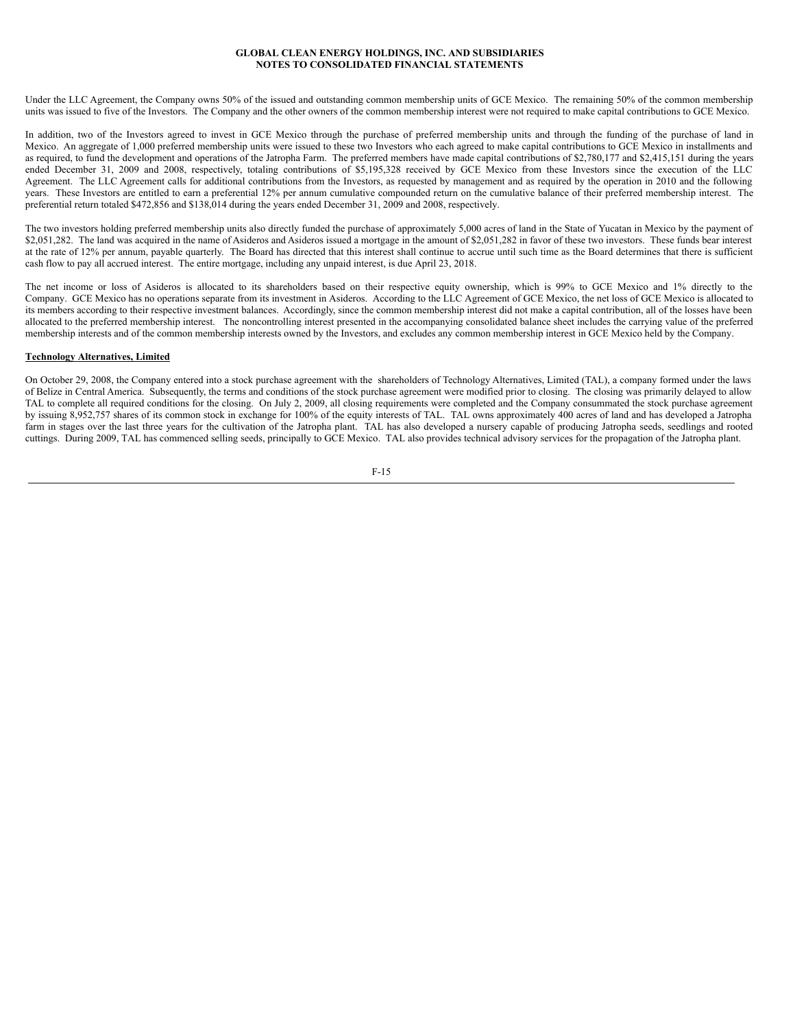Under the LLC Agreement, the Company owns 50% of the issued and outstanding common membership units of GCE Mexico. The remaining 50% of the common membership units was issued to five of the Investors. The Company and the other owners of the common membership interest were not required to make capital contributions to GCE Mexico.

In addition, two of the Investors agreed to invest in GCE Mexico through the purchase of preferred membership units and through the funding of the purchase of land in Mexico. An aggregate of 1,000 preferred membership units were issued to these two Investors who each agreed to make capital contributions to GCE Mexico in installments and as required, to fund the development and operations of the Jatropha Farm. The preferred members have made capital contributions of \$2,780,177 and \$2,415,151 during the years ended December 31, 2009 and 2008, respectively, totaling contributions of \$5,195,328 received by GCE Mexico from these Investors since the execution of the LLC Agreement. The LLC Agreement calls for additional contributions from the Investors, as requested by management and as required by the operation in 2010 and the following years. These Investors are entitled to earn a preferential 12% per annum cumulative compounded return on the cumulative balance of their preferred membership interest. The preferential return totaled \$472,856 and \$138,014 during the years ended December 31, 2009 and 2008, respectively.

The two investors holding preferred membership units also directly funded the purchase of approximately 5,000 acres of land in the State of Yucatan in Mexico by the payment of \$2,051,282. The land was acquired in the name of Asideros and Asideros issued a mortgage in the amount of \$2,051,282 in favor of these two investors. These funds bear interest at the rate of 12% per annum, payable quarterly. The Board has directed that this interest shall continue to accrue until such time as the Board determines that there is sufficient cash flow to pay all accrued interest. The entire mortgage, including any unpaid interest, is due April 23, 2018.

The net income or loss of Asideros is allocated to its shareholders based on their respective equity ownership, which is 99% to GCE Mexico and 1% directly to the Company. GCE Mexico has no operations separate from its investment in Asideros. According to the LLC Agreement of GCE Mexico, the net loss of GCE Mexico is allocated to its members according to their respective investment balances. Accordingly, since the common membership interest did not make a capital contribution, all of the losses have been allocated to the preferred membership interest. The noncontrolling interest presented in the accompanying consolidated balance sheet includes the carrying value of the preferred membership interests and of the common membership interests owned by the Investors, and excludes any common membership interest in GCE Mexico held by the Company.

# **Technology Alternatives, Limited**

On October 29, 2008, the Company entered into a stock purchase agreement with the shareholders of Technology Alternatives, Limited (TAL), a company formed under the laws of Belize in Central America. Subsequently, the terms and conditions of the stock purchase agreement were modified prior to closing. The closing was primarily delayed to allow TAL to complete all required conditions for the closing. On July 2, 2009, all closing requirements were completed and the Company consummated the stock purchase agreement by issuing 8,952,757 shares of its common stock in exchange for 100% of the equity interests of TAL. TAL owns approximately 400 acres of land and has developed a Jatropha farm in stages over the last three years for the cultivation of the Jatropha plant. TAL has also developed a nursery capable of producing Jatropha seeds, seedlings and rooted cuttings. During 2009, TAL has commenced selling seeds, principally to GCE Mexico. TAL also provides technical advisory services for the propagation of the Jatropha plant.

$$
F-15
$$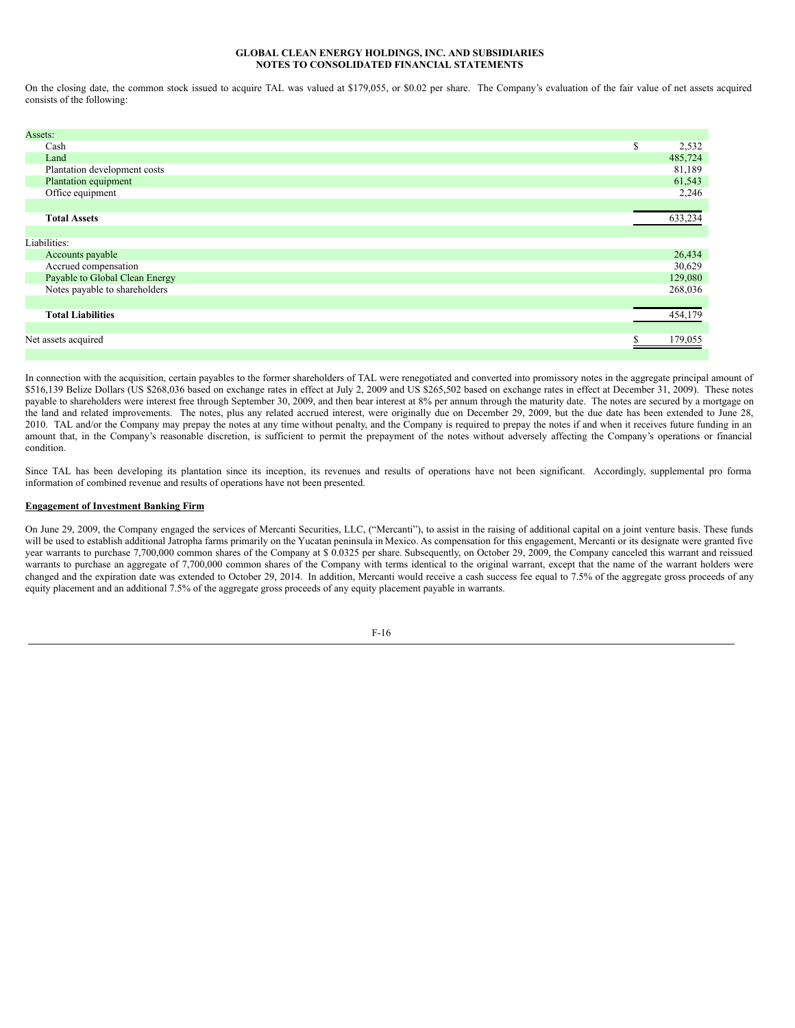On the closing date, the common stock issued to acquire TAL was valued at \$179,055, or \$0.02 per share. The Company's evaluation of the fair value of net assets acquired consists of the following:

| Assets:                        |             |
|--------------------------------|-------------|
| Cash                           | \$<br>2,532 |
| Land                           | 485,724     |
| Plantation development costs   | 81,189      |
| Plantation equipment           | 61,543      |
| Office equipment               | 2,246       |
|                                |             |
| <b>Total Assets</b>            | 633,234     |
|                                |             |
| Liabilities:                   |             |
| Accounts payable               | 26,434      |
| Accrued compensation           | 30,629      |
| Payable to Global Clean Energy | 129,080     |
| Notes payable to shareholders  | 268,036     |
|                                |             |
| <b>Total Liabilities</b>       | 454,179     |
|                                |             |
| Net assets acquired            | 179,055     |
|                                |             |

In connection with the acquisition, certain payables to the former shareholders of TAL were renegotiated and converted into promissory notes in the aggregate principal amount of \$516,139 Belize Dollars (US \$268,036 based on exchange rates in effect at July 2, 2009 and US \$265,502 based on exchange rates in effect at December 31, 2009). These notes payable to shareholders were interest free through September 30, 2009, and then bear interest at 8% per annum through the maturity date. The notes are secured by a mortgage on the land and related improvements. The notes, plus any related accrued interest, were originally due on December 29, 2009, but the due date has been extended to June 28, 2010. TAL and/or the Company may prepay the notes at any time without penalty, and the Company is required to prepay the notes if and when it receives future funding in an amount that, in the Company's reasonable discretion, is sufficient to permit the prepayment of the notes without adversely affecting the Company's operations or financial condition.

Since TAL has been developing its plantation since its inception, its revenues and results of operations have not been significant. Accordingly, supplemental pro forma information of combined revenue and results of operations have not been presented.

# **Engagement of Investment Banking Firm**

On June 29, 2009, the Company engaged the services of Mercanti Securities, LLC, ("Mercanti"), to assist in the raising of additional capital on a joint venture basis. These funds will be used to establish additional Jatropha farms primarily on the Yucatan peninsula in Mexico. As compensation for this engagement, Mercanti or its designate were granted five year warrants to purchase 7,700,000 common shares of the Company at \$ 0.0325 per share. Subsequently, on October 29, 2009, the Company canceled this warrant and reissued warrants to purchase an aggregate of 7,700,000 common shares of the Company with terms identical to the original warrant, except that the name of the warrant holders were changed and the expiration date was extended to October 29, 2014. In addition, Mercanti would receive a cash success fee equal to 7.5% of the aggregate gross proceeds of any equity placement and an additional 7.5% of the aggregate gross proceeds of any equity placement payable in warrants.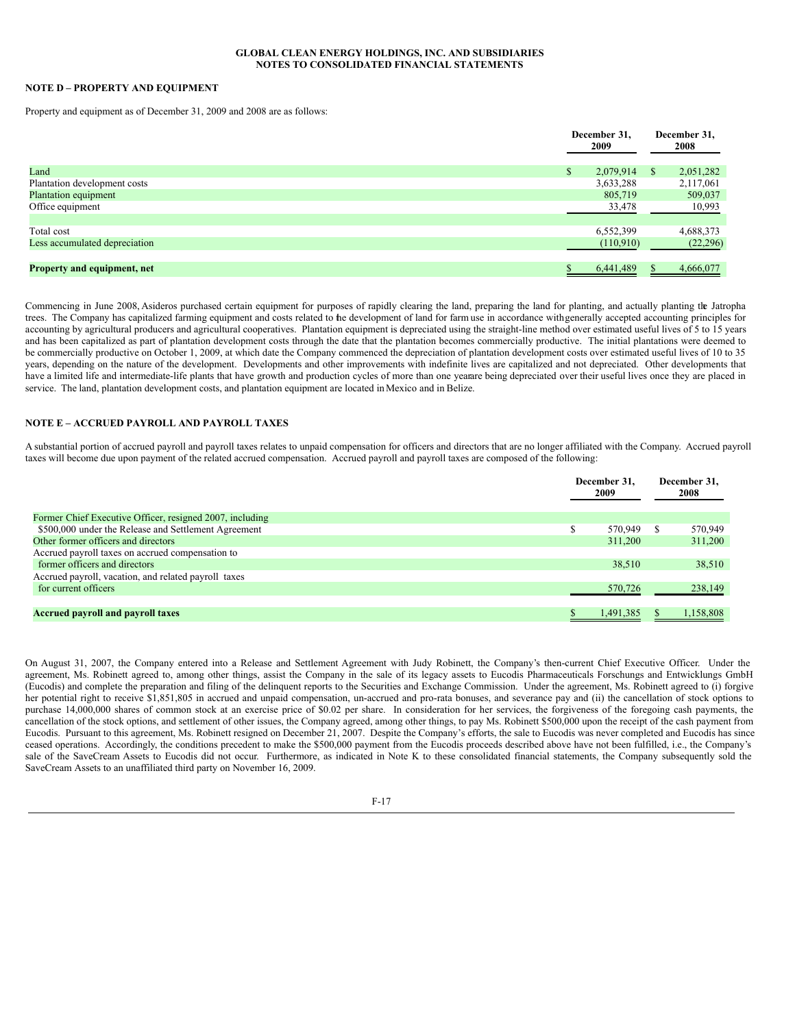# **NOTE D – PROPERTY AND EQUIPMENT**

Property and equipment as of December 31, 2009 and 2008 are as follows:

|                                    | December 31,<br>2009 | December 31,<br>2008      |  |
|------------------------------------|----------------------|---------------------------|--|
| Land                               | 2,079,914<br>\$      | 2,051,282<br><sup>S</sup> |  |
| Plantation development costs       | 3,633,288            | 2,117,061                 |  |
| <b>Plantation equipment</b>        | 805,719              | 509,037                   |  |
| Office equipment                   | 33,478               | 10,993                    |  |
| Total cost                         | 6,552,399            | 4,688,373                 |  |
| Less accumulated depreciation      | (110,910)            | (22, 296)                 |  |
| <b>Property and equipment, net</b> | 6,441,489            | 4,666,077                 |  |

Commencing in June 2008, Asideros purchased certain equipment for purposes of rapidly clearing the land, preparing the land for planting, and actually planting the Jatropha trees. The Company has capitalized farming equipment and costs related to the development of land for farm use in accordance withgenerally accepted accounting principles for accounting by agricultural producers and agricultural cooperatives. Plantation equipment is depreciated using the straight-line method over estimated useful lives of 5 to 15 years and has been capitalized as part of plantation development costs through the date that the plantation becomes commercially productive. The initial plantations were deemed to be commercially productive on October 1, 2009, at which date the Company commenced the depreciation of plantation development costs over estimated useful lives of 10 to 35 years, depending on the nature of the development. Developments and other improvements with indefinite lives are capitalized and not depreciated. Other developments that have a limited life and intermediate-life plants that have growth and production cycles of more than one yearare being depreciated over their useful lives once they are placed in service. The land, plantation development costs, and plantation equipment are located in Mexico and in Belize.

# **NOTE E – ACCRUED PAYROLL AND PAYROLL TAXES**

A substantial portion of accrued payroll and payroll taxes relates to unpaid compensation for officers and directors that are no longer affiliated with the Company. Accrued payroll taxes will become due upon payment of the related accrued compensation. Accrued payroll and payroll taxes are composed of the following:

|                                                          | December 31.<br>2009 |           | December 31.<br>2008 |           |
|----------------------------------------------------------|----------------------|-----------|----------------------|-----------|
| Former Chief Executive Officer, resigned 2007, including |                      |           |                      |           |
| \$500,000 under the Release and Settlement Agreement     |                      | 570,949   |                      | 570,949   |
| Other former officers and directors                      |                      | 311,200   |                      | 311,200   |
| Accrued payroll taxes on accrued compensation to         |                      |           |                      |           |
| former officers and directors                            |                      | 38.510    |                      | 38,510    |
| Accrued payroll, vacation, and related payroll taxes     |                      |           |                      |           |
| for current officers                                     |                      | 570,726   |                      | 238,149   |
|                                                          |                      |           |                      |           |
| <b>Accrued payroll and payroll taxes</b>                 |                      | 1,491,385 |                      | 1,158,808 |

On August 31, 2007, the Company entered into a Release and Settlement Agreement with Judy Robinett, the Company's then-current Chief Executive Officer. Under the agreement, Ms. Robinett agreed to, among other things, assist the Company in the sale of its legacy assets to Eucodis Pharmaceuticals Forschungs and Entwicklungs GmbH (Eucodis) and complete the preparation and filing of the delinquent reports to the Securities and Exchange Commission. Under the agreement, Ms. Robinett agreed to (i) forgive her potential right to receive \$1,851,805 in accrued and unpaid compensation, un-accrued and pro-rata bonuses, and severance pay and (ii) the cancellation of stock options to purchase 14,000,000 shares of common stock at an exercise price of \$0.02 per share. In consideration for her services, the forgiveness of the foregoing cash payments, the cancellation of the stock options, and settlement of other issues, the Company agreed, among other things, to pay Ms. Robinett \$500,000 upon the receipt of the cash payment from Eucodis. Pursuant to this agreement, Ms. Robinett resigned on December 21, 2007. Despite the Company's efforts, the sale to Eucodis was never completed and Eucodis has since ceased operations. Accordingly, the conditions precedent to make the \$500,000 payment from the Eucodis proceeds described above have not been fulfilled, i.e., the Company's sale of the SaveCream Assets to Eucodis did not occur. Furthermore, as indicated in Note K to these consolidated financial statements, the Company subsequently sold the SaveCream Assets to an unaffiliated third party on November 16, 2009.

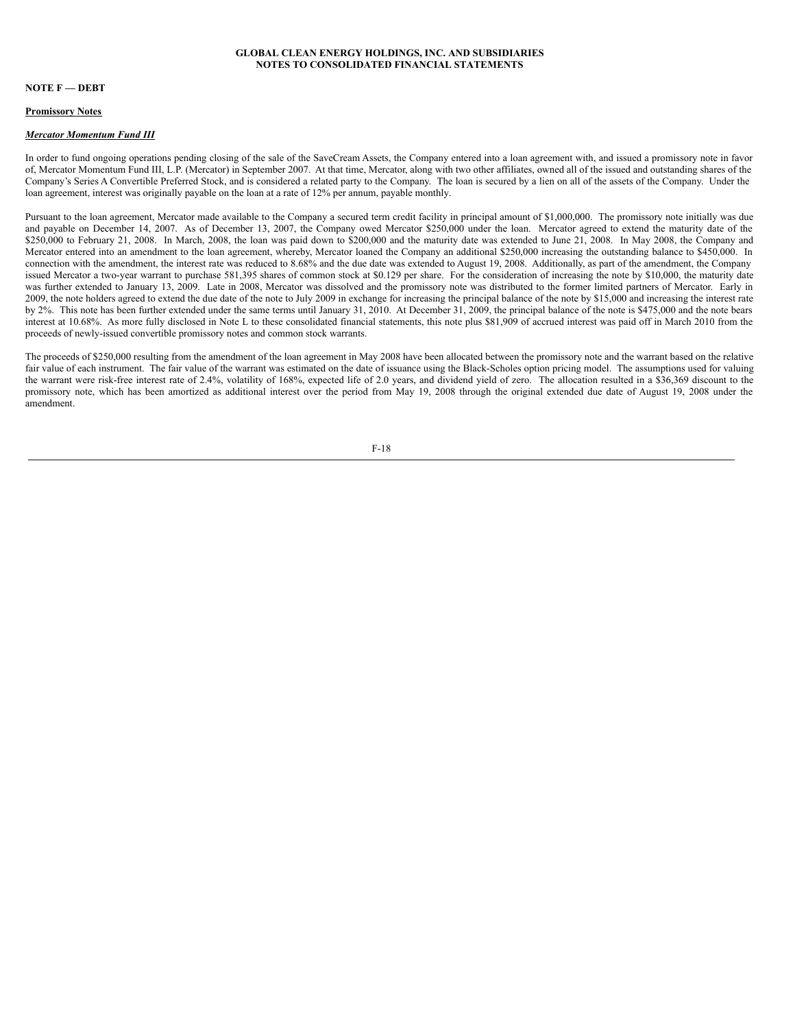# **NOTE F — DEBT**

# **Promissory Notes**

# *Mercator Momentum Fund III*

In order to fund ongoing operations pending closing of the sale of the SaveCream Assets, the Company entered into a loan agreement with, and issued a promissory note in favor of, Mercator Momentum Fund III, L.P. (Mercator) in September 2007. At that time, Mercator, along with two other affiliates, owned all of the issued and outstanding shares of the Company's Series A Convertible Preferred Stock, and is considered a related party to the Company. The loan is secured by a lien on all of the assets of the Company. Under the loan agreement, interest was originally payable on the loan at a rate of 12% per annum, payable monthly.

Pursuant to the loan agreement, Mercator made available to the Company a secured term credit facility in principal amount of \$1,000,000. The promissory note initially was due and payable on December 14, 2007. As of December 13, 2007, the Company owed Mercator \$250,000 under the loan. Mercator agreed to extend the maturity date of the \$250,000 to February 21, 2008. In March, 2008, the loan was paid down to \$200,000 and the maturity date was extended to June 21, 2008. In May 2008, the Company and Mercator entered into an amendment to the loan agreement, whereby, Mercator loaned the Company an additional \$250,000 increasing the outstanding balance to \$450,000. In connection with the amendment, the interest rate was reduced to 8.68% and the due date was extended to August 19, 2008. Additionally, as part of the amendment, the Company issued Mercator a two-year warrant to purchase 581,395 shares of common stock at \$0.129 per share. For the consideration of increasing the note by \$10,000, the maturity date was further extended to January 13, 2009. Late in 2008, Mercator was dissolved and the promissory note was distributed to the former limited partners of Mercator. Early in 2009, the note holders agreed to extend the due date of the note to July 2009 in exchange for increasing the principal balance of the note by \$15,000 and increasing the interest rate by 2%. This note has been further extended under the same terms until January 31, 2010. At December 31, 2009, the principal balance of the note is \$475,000 and the note bears interest at 10.68%. As more fully disclosed in Note L to these consolidated financial statements, this note plus \$81,909 of accrued interest was paid off in March 2010 from the proceeds of newly-issued convertible promissory notes and common stock warrants.

The proceeds of \$250,000 resulting from the amendment of the loan agreement in May 2008 have been allocated between the promissory note and the warrant based on the relative fair value of each instrument. The fair value of the warrant was estimated on the date of issuance using the Black-Scholes option pricing model. The assumptions used for valuing the warrant were risk-free interest rate of 2.4%, volatility of 168%, expected life of 2.0 years, and dividend yield of zero. The allocation resulted in a \$36,369 discount to the promissory note, which has been amortized as additional interest over the period from May 19, 2008 through the original extended due date of August 19, 2008 under the amendment.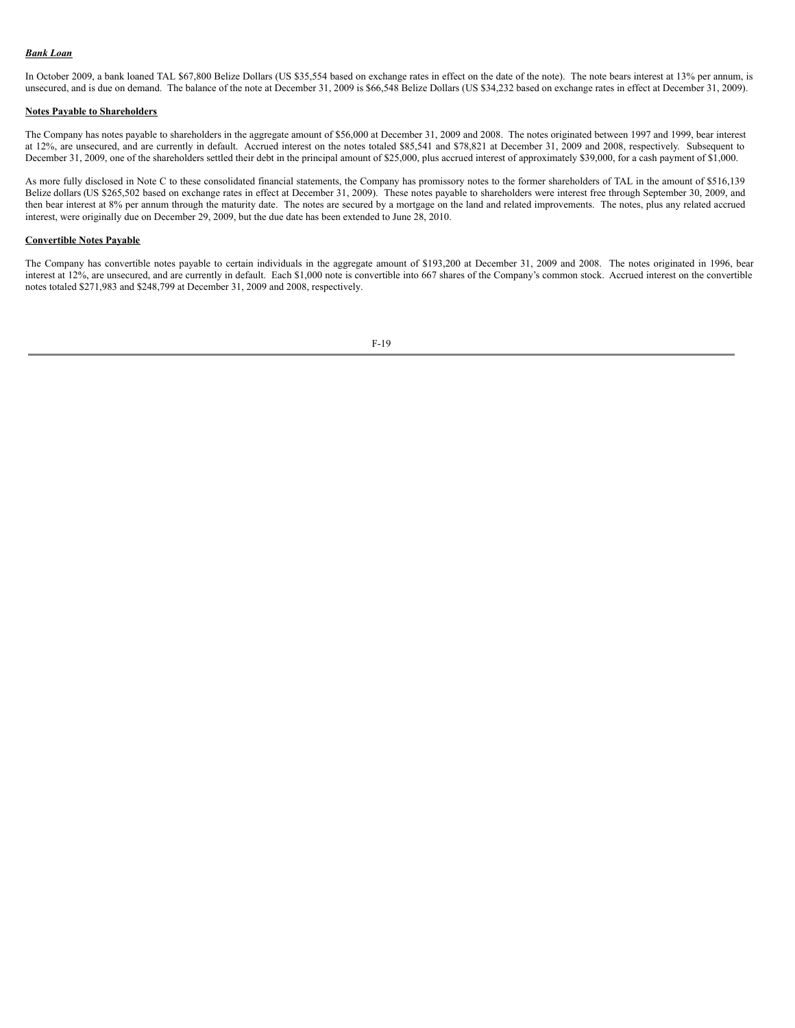# *Bank Loan*

In October 2009, a bank loaned TAL \$67,800 Belize Dollars (US \$35,554 based on exchange rates in effect on the date of the note). The note bears interest at 13% per annum, is unsecured, and is due on demand. The balance of the note at December 31, 2009 is \$66,548 Belize Dollars (US \$34,232 based on exchange rates in effect at December 31, 2009).

# **Notes Payable to Shareholders**

The Company has notes payable to shareholders in the aggregate amount of \$56,000 at December 31, 2009 and 2008. The notes originated between 1997 and 1999, bear interest at 12%, are unsecured, and are currently in default. Accrued interest on the notes totaled \$85,541 and \$78,821 at December 31, 2009 and 2008, respectively. Subsequent to December 31, 2009, one of the shareholders settled their debt in the principal amount of \$25,000, plus accrued interest of approximately \$39,000, for a cash payment of \$1,000.

As more fully disclosed in Note C to these consolidated financial statements, the Company has promissory notes to the former shareholders of TAL in the amount of \$516,139 Belize dollars (US \$265,502 based on exchange rates in effect at December 31, 2009). These notes payable to shareholders were interest free through September 30, 2009, and then bear interest at 8% per annum through the maturity date. The notes are secured by a mortgage on the land and related improvements. The notes, plus any related accrued interest, were originally due on December 29, 2009, but the due date has been extended to June 28, 2010.

# **Convertible Notes Payable**

The Company has convertible notes payable to certain individuals in the aggregate amount of \$193,200 at December 31, 2009 and 2008. The notes originated in 1996, bear interest at 12%, are unsecured, and are currently in default. Each \$1,000 note is convertible into 667 shares of the Company's common stock. Accrued interest on the convertible notes totaled \$271,983 and \$248,799 at December 31, 2009 and 2008, respectively.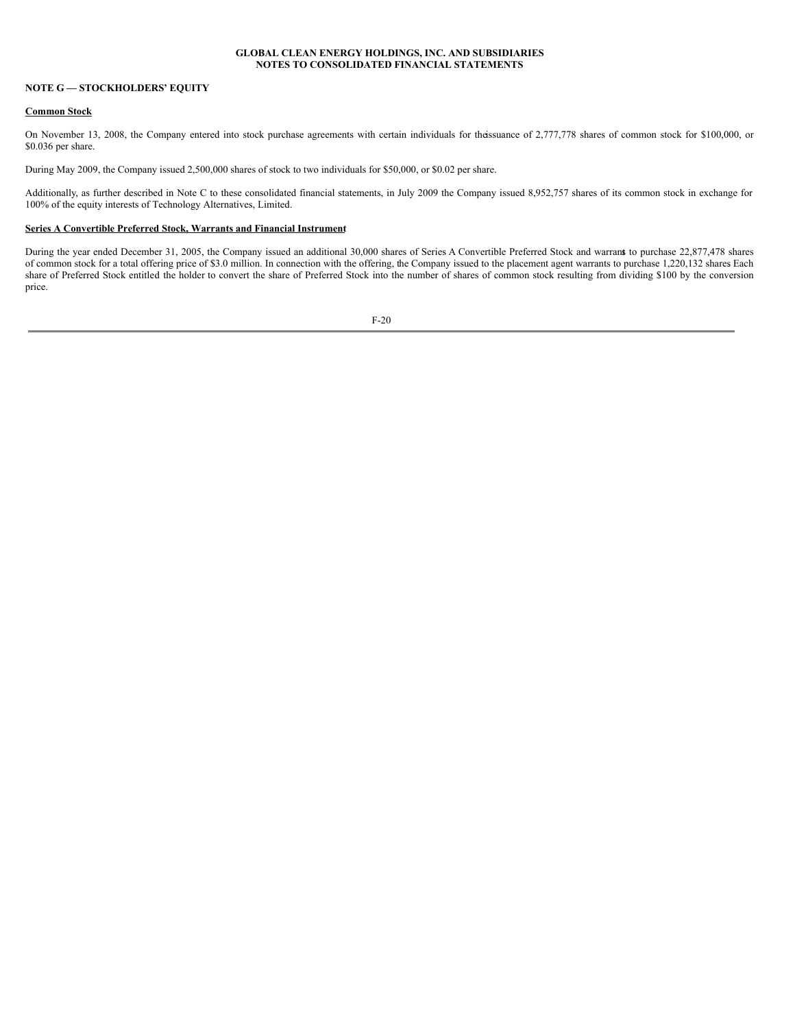# **NOTE G — STOCKHOLDERS' EQUITY**

# **Common Stock**

On November 13, 2008, the Company entered into stock purchase agreements with certain individuals for theissuance of 2,777,778 shares of common stock for \$100,000, or \$0.036 per share.

During May 2009, the Company issued 2,500,000 shares of stock to two individuals for \$50,000, or \$0.02 per share.

Additionally, as further described in Note C to these consolidated financial statements, in July 2009 the Company issued 8,952,757 shares of its common stock in exchange for 100% of the equity interests of Technology Alternatives, Limited.

# **Series A Convertible Preferred Stock, Warrants and Financial Instrument**

During the year ended December 31, 2005, the Company issued an additional 30,000 shares of Series A Convertible Preferred Stock and warranst to purchase 22,877,478 shares of common stock for a total offering price of \$3.0 million. In connection with the offering, the Company issued to the placement agent warrants to purchase 1,220,132 shares. Each share of Preferred Stock entitled the holder to convert the share of Preferred Stock into the number of shares of common stock resulting from dividing \$100 by the conversion price.

| - |         |
|---|---------|
|   | ×<br>۰, |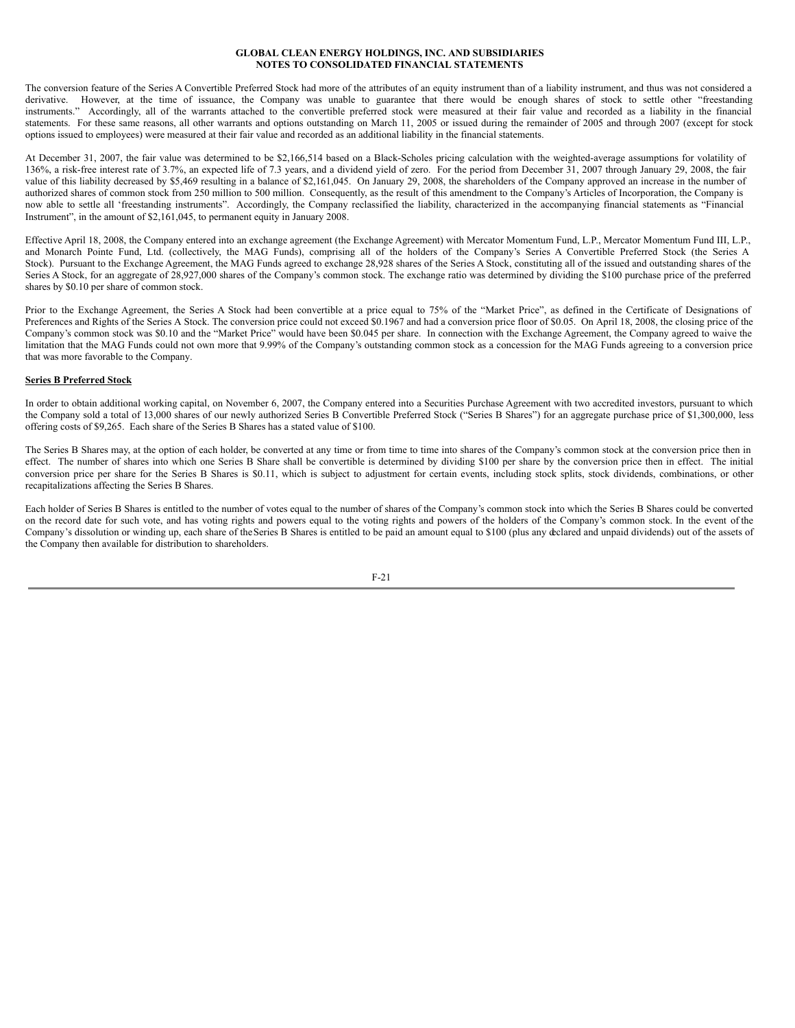The conversion feature of the Series A Convertible Preferred Stock had more of the attributes of an equity instrument than of a liability instrument, and thus was not considered a derivative. However, at the time of issuance, the Company was unable to guarantee that there would be enough shares of stock to settle other "freestanding instruments." Accordingly, all of the warrants attached to the convertible preferred stock were measured at their fair value and recorded as a liability in the financial statements. For these same reasons, all other warrants and options outstanding on March 11, 2005 or issued during the remainder of 2005 and through 2007 (except for stock options issued to employees) were measured at their fair value and recorded as an additional liability in the financial statements.

At December 31, 2007, the fair value was determined to be \$2,166,514 based on a Black-Scholes pricing calculation with the weighted-average assumptions for volatility of 136%, a risk-free interest rate of 3.7%, an expected life of 7.3 years, and a dividend yield of zero. For the period from December 31, 2007 through January 29, 2008, the fair value of this liability decreased by \$5,469 resulting in a balance of \$2,161,045. On January 29, 2008, the shareholders of the Company approved an increase in the number of authorized shares of common stock from 250 million to 500 million. Consequently, as the result of this amendment to the Company's Articles of Incorporation, the Company is now able to settle all 'freestanding instruments". Accordingly, the Company reclassified the liability, characterized in the accompanying financial statements as "Financial Instrument", in the amount of \$2,161,045, to permanent equity in January 2008.

Effective April 18, 2008, the Company entered into an exchange agreement (the Exchange Agreement) with Mercator Momentum Fund, L.P., Mercator Momentum Fund III, L.P., and Monarch Pointe Fund, Ltd. (collectively, the MAG Funds), comprising all of the holders of the Company's Series A Convertible Preferred Stock (the Series A Stock). Pursuant to the Exchange Agreement, the MAG Funds agreed to exchange 28,928 shares of the Series A Stock, constituting all of the issued and outstanding shares of the Series A Stock, for an aggregate of 28,927,000 shares of the Company's common stock. The exchange ratio was determined by dividing the \$100 purchase price of the preferred shares by \$0.10 per share of common stock.

Prior to the Exchange Agreement, the Series A Stock had been convertible at a price equal to 75% of the "Market Price", as defined in the Certificate of Designations of Preferences and Rights of the Series A Stock. The conversion price could not exceed \$0.1967 and had a conversion price floor of \$0.05. On April 18, 2008, the closing price of the Company's common stock was \$0.10 and the "Market Price" would have been \$0.045 per share. In connection with the Exchange Agreement, the Company agreed to waive the limitation that the MAG Funds could not own more that 9.99% of the Company's outstanding common stock as a concession for the MAG Funds agreeing to a conversion price that was more favorable to the Company.

# **Series B Preferred Stock**

In order to obtain additional working capital, on November 6, 2007, the Company entered into a Securities Purchase Agreement with two accredited investors, pursuant to which the Company sold a total of 13,000 shares of our newly authorized Series B Convertible Preferred Stock ("Series B Shares") for an aggregate purchase price of \$1,300,000, less offering costs of \$9,265. Each share of the Series B Shares has a stated value of \$100.

The Series B Shares may, at the option of each holder, be converted at any time or from time to time into shares of the Company's common stock at the conversion price then in effect. The number of shares into which one Series B Share shall be convertible is determined by dividing \$100 per share by the conversion price then in effect. The initial conversion price per share for the Series B Shares is \$0.11, which is subject to adjustment for certain events, including stock splits, stock dividends, combinations, or other recapitalizations affecting the Series B Shares.

Each holder of Series B Shares is entitled to the number of votes equal to the number of shares of the Company's common stock into which the Series B Shares could be converted on the record date for such vote, and has voting rights and powers equal to the voting rights and powers of the holders of the Company's common stock. In the event of the Company's dissolution or winding up, each share of theSeries B Shares is entitled to be paid an amount equal to \$100 (plus any declared and unpaid dividends) out of the assets of the Company then available for distribution to shareholders.

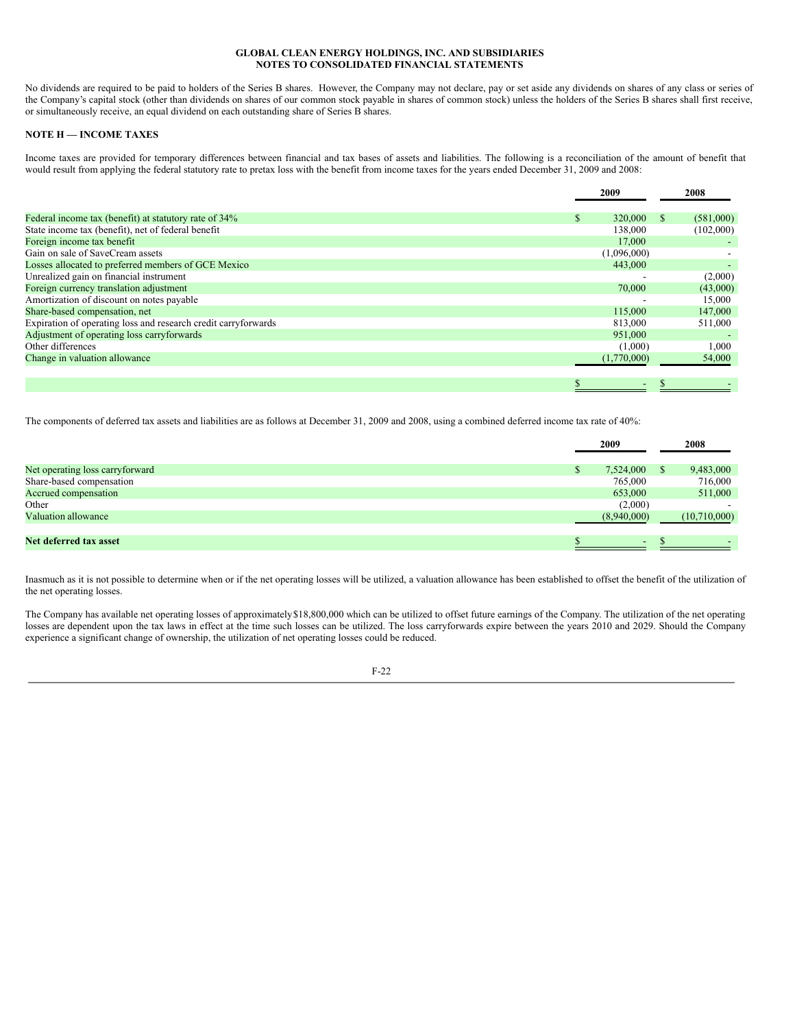No dividends are required to be paid to holders of the Series B shares. However, the Company may not declare, pay or set aside any dividends on shares of any class or series of the Company's capital stock (other than dividends on shares of our common stock payable in shares of common stock) unless the holders of the Series B shares shall first receive, or simultaneously receive, an equal dividend on each outstanding share of Series B shares.

# **NOTE H — INCOME TAXES**

Income taxes are provided for temporary differences between financial and tax bases of assets and liabilities. The following is a reconciliation of the amount of benefit that would result from applying the federal statutory rate to pretax loss with the benefit from income taxes for the years ended December 31, 2009 and 2008:

|                                                                |     | 2009        | 2008      |
|----------------------------------------------------------------|-----|-------------|-----------|
| Federal income tax (benefit) at statutory rate of 34%          | \$. | 320,000     | (581,000) |
| State income tax (benefit), net of federal benefit             |     | 138,000     | (102,000) |
| Foreign income tax benefit                                     |     | 17,000      |           |
| Gain on sale of SaveCream assets                               |     | (1,096,000) |           |
| Losses allocated to preferred members of GCE Mexico            |     | 443,000     |           |
| Unrealized gain on financial instrument                        |     |             | (2,000)   |
| Foreign currency translation adjustment                        |     | 70,000      | (43,000)  |
| Amortization of discount on notes payable                      |     |             | 15,000    |
| Share-based compensation, net                                  |     | 115,000     | 147,000   |
| Expiration of operating loss and research credit carryforwards |     | 813,000     | 511,000   |
| Adjustment of operating loss carryforwards                     |     | 951,000     |           |
| Other differences                                              |     | (1,000)     | 1,000     |
| Change in valuation allowance                                  |     | (1,770,000) | 54,000    |
|                                                                |     | ۰.          |           |

The components of deferred tax assets and liabilities are as follows at December 31, 2009 and 2008, using a combined deferred income tax rate of 40%:

|                                 |     | 2009        |    | 2008         |  |
|---------------------------------|-----|-------------|----|--------------|--|
| Net operating loss carryforward | JD. | 7,524,000   | -S | 9,483,000    |  |
| Share-based compensation        |     | 765,000     |    | 716,000      |  |
| Accrued compensation            |     | 653,000     |    | 511,000      |  |
| Other                           |     | (2,000)     |    |              |  |
| Valuation allowance             |     | (8,940,000) |    | (10,710,000) |  |
|                                 |     |             |    |              |  |
| Net deferred tax asset          |     | $\sim$      |    |              |  |

Inasmuch as it is not possible to determine when or if the net operating losses will be utilized, a valuation allowance has been established to offset the benefit of the utilization of the net operating losses.

The Company has available net operating losses of approximately\$18,800,000 which can be utilized to offset future earnings of the Company. The utilization of the net operating losses are dependent upon the tax laws in effect at the time such losses can be utilized. The loss carryforwards expire between the years 2010 and 2029. Should the Company experience a significant change of ownership, the utilization of net operating losses could be reduced.

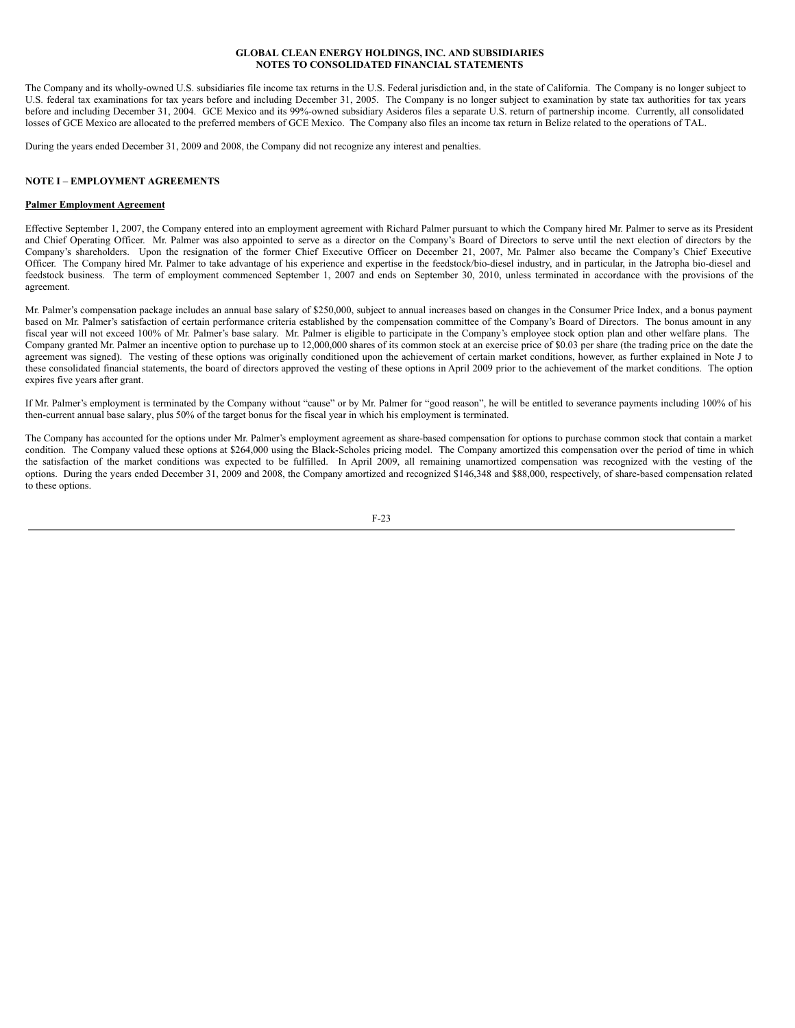The Company and its wholly-owned U.S. subsidiaries file income tax returns in the U.S. Federal jurisdiction and, in the state of California. The Company is no longer subject to U.S. federal tax examinations for tax years before and including December 31, 2005. The Company is no longer subject to examination by state tax authorities for tax years before and including December 31, 2004. GCE Mexico and its 99%-owned subsidiary Asideros files a separate U.S. return of partnership income. Currently, all consolidated losses of GCE Mexico are allocated to the preferred members of GCE Mexico. The Company also files an income tax return in Belize related to the operations of TAL.

During the years ended December 31, 2009 and 2008, the Company did not recognize any interest and penalties.

# **NOTE I – EMPLOYMENT AGREEMENTS**

# **Palmer Employment Agreement**

Effective September 1, 2007, the Company entered into an employment agreement with Richard Palmer pursuant to which the Company hired Mr. Palmer to serve as its President and Chief Operating Officer. Mr. Palmer was also appointed to serve as a director on the Company's Board of Directors to serve until the next election of directors by the Company's shareholders. Upon the resignation of the former Chief Executive Officer on December 21, 2007, Mr. Palmer also became the Company's Chief Executive Officer. The Company hired Mr. Palmer to take advantage of his experience and expertise in the feedstock/bio-diesel industry, and in particular, in the Jatropha bio-diesel and feedstock business. The term of employment commenced September 1, 2007 and ends on September 30, 2010, unless terminated in accordance with the provisions of the agreement.

Mr. Palmer's compensation package includes an annual base salary of \$250,000, subject to annual increases based on changes in the Consumer Price Index, and a bonus payment based on Mr. Palmer's satisfaction of certain performance criteria established by the compensation committee of the Company's Board of Directors. The bonus amount in any fiscal year will not exceed 100% of Mr. Palmer's base salary. Mr. Palmer is eligible to participate in the Company's employee stock option plan and other welfare plans. The Company granted Mr. Palmer an incentive option to purchase up to 12,000,000 shares of its common stock at an exercise price of \$0.03 per share (the trading price on the date the agreement was signed). The vesting of these options was originally conditioned upon the achievement of certain market conditions, however, as further explained in Note J to these consolidated financial statements, the board of directors approved the vesting of these options in April 2009 prior to the achievement of the market conditions. The option expires five years after grant.

If Mr. Palmer's employment is terminated by the Company without "cause" or by Mr. Palmer for "good reason", he will be entitled to severance payments including 100% of his then-current annual base salary, plus 50% of the target bonus for the fiscal year in which his employment is terminated.

The Company has accounted for the options under Mr. Palmer's employment agreement as share-based compensation for options to purchase common stock that contain a market condition. The Company valued these options at \$264,000 using the Black-Scholes pricing model. The Company amortized this compensation over the period of time in which the satisfaction of the market conditions was expected to be fulfilled. In April 2009, all remaining unamortized compensation was recognized with the vesting of the options. During the years ended December 31, 2009 and 2008, the Company amortized and recognized \$146,348 and \$88,000, respectively, of share-based compensation related to these options.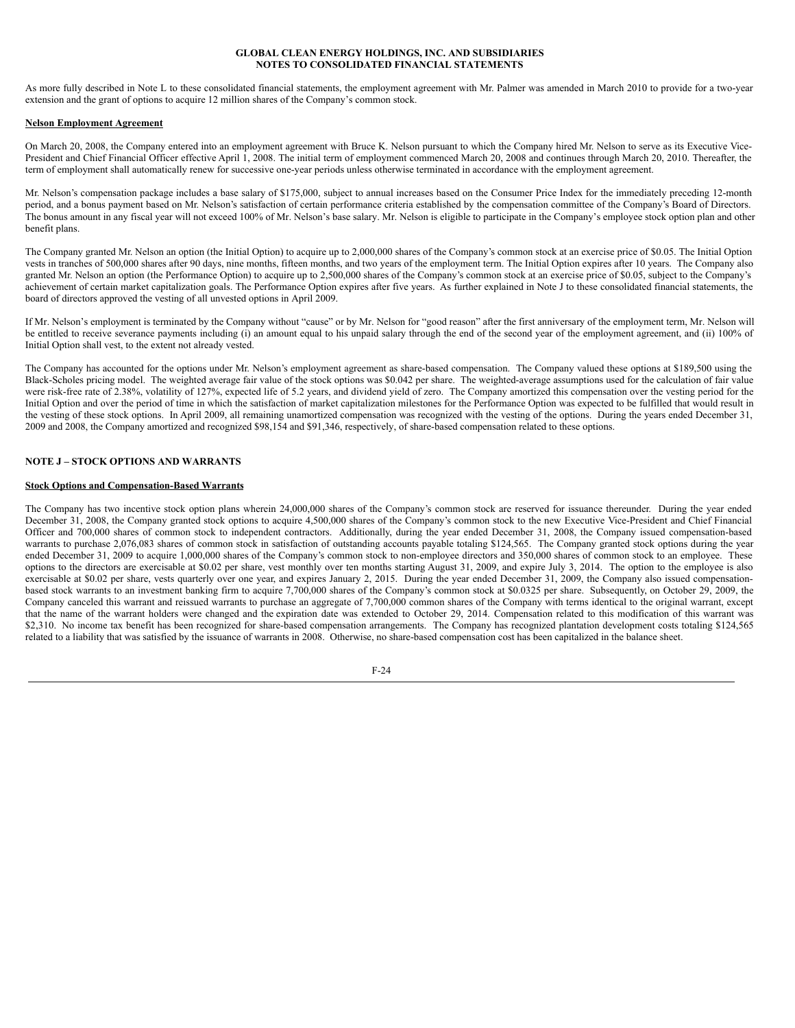As more fully described in Note L to these consolidated financial statements, the employment agreement with Mr. Palmer was amended in March 2010 to provide for a two-year extension and the grant of options to acquire 12 million shares of the Company's common stock.

# **Nelson Employment Agreement**

On March 20, 2008, the Company entered into an employment agreement with Bruce K. Nelson pursuant to which the Company hired Mr. Nelson to serve as its Executive Vice-President and Chief Financial Officer effective April 1, 2008. The initial term of employment commenced March 20, 2008 and continues through March 20, 2010. Thereafter, the term of employment shall automatically renew for successive one-year periods unless otherwise terminated in accordance with the employment agreement.

Mr. Nelson's compensation package includes a base salary of \$175,000, subject to annual increases based on the Consumer Price Index for the immediately preceding 12-month period, and a bonus payment based on Mr. Nelson's satisfaction of certain performance criteria established by the compensation committee of the Company's Board of Directors. The bonus amount in any fiscal year will not exceed 100% of Mr. Nelson's base salary. Mr. Nelson is eligible to participate in the Company's employee stock option plan and other benefit plans.

The Company granted Mr. Nelson an option (the Initial Option) to acquire up to 2,000,000 shares of the Company's common stock at an exercise price of \$0.05. The Initial Option vests in tranches of 500,000 shares after 90 days, nine months, fifteen months, and two years of the employment term. The Initial Option expires after 10 years. The Company also granted Mr. Nelson an option (the Performance Option) to acquire up to 2,500,000 shares of the Company's common stock at an exercise price of \$0.05, subject to the Company's achievement of certain market capitalization goals. The Performance Option expires after five years. As further explained in Note J to these consolidated financial statements, the board of directors approved the vesting of all unvested options in April 2009.

If Mr. Nelson's employment is terminated by the Company without "cause" or by Mr. Nelson for "good reason" after the first anniversary of the employment term, Mr. Nelson will be entitled to receive severance payments including (i) an amount equal to his unpaid salary through the end of the second year of the employment agreement, and (ii) 100% of Initial Option shall vest, to the extent not already vested.

The Company has accounted for the options under Mr. Nelson's employment agreement as share-based compensation. The Company valued these options at \$189,500 using the Black-Scholes pricing model. The weighted average fair value of the stock options was \$0.042 per share. The weighted-average assumptions used for the calculation of fair value were risk-free rate of 2.38%, volatility of 127%, expected life of 5.2 years, and dividend yield of zero. The Company amortized this compensation over the vesting period for the Initial Option and over the period of time in which the satisfaction of market capitalization milestones for the Performance Option was expected to be fulfilled that would result in the vesting of these stock options. In April 2009, all remaining unamortized compensation was recognized with the vesting of the options. During the years ended December 31, 2009 and 2008, the Company amortized and recognized \$98,154 and \$91,346, respectively, of share-based compensation related to these options.

# **NOTE J – STOCK OPTIONS AND WARRANTS**

# **Stock Options and Compensation-Based Warrants**

The Company has two incentive stock option plans wherein 24,000,000 shares of the Company's common stock are reserved for issuance thereunder. During the year ended December 31, 2008, the Company granted stock options to acquire 4,500,000 shares of the Company's common stock to the new Executive Vice-President and Chief Financial Officer and 700,000 shares of common stock to independent contractors. Additionally, during the year ended December 31, 2008, the Company issued compensation-based warrants to purchase 2,076,083 shares of common stock in satisfaction of outstanding accounts payable totaling \$124,565. The Company granted stock options during the year ended December 31, 2009 to acquire 1,000,000 shares of the Company's common stock to non-employee directors and 350,000 shares of common stock to an employee. These options to the directors are exercisable at \$0.02 per share, vest monthly over ten months starting August 31, 2009, and expire July 3, 2014. The option to the employee is also exercisable at \$0.02 per share, vests quarterly over one year, and expires January 2, 2015. During the year ended December 31, 2009, the Company also issued compensationbased stock warrants to an investment banking firm to acquire 7,700,000 shares of the Company's common stock at \$0.0325 per share. Subsequently, on October 29, 2009, the Company canceled this warrant and reissued warrants to purchase an aggregate of 7,700,000 common shares of the Company with terms identical to the original warrant, except that the name of the warrant holders were changed and the expiration date was extended to October 29, 2014. Compensation related to this modification of this warrant was \$2,310. No income tax benefit has been recognized for share-based compensation arrangements. The Company has recognized plantation development costs totaling \$124,565 related to a liability that was satisfied by the issuance of warrants in 2008. Otherwise, no share-based compensation cost has been capitalized in the balance sheet.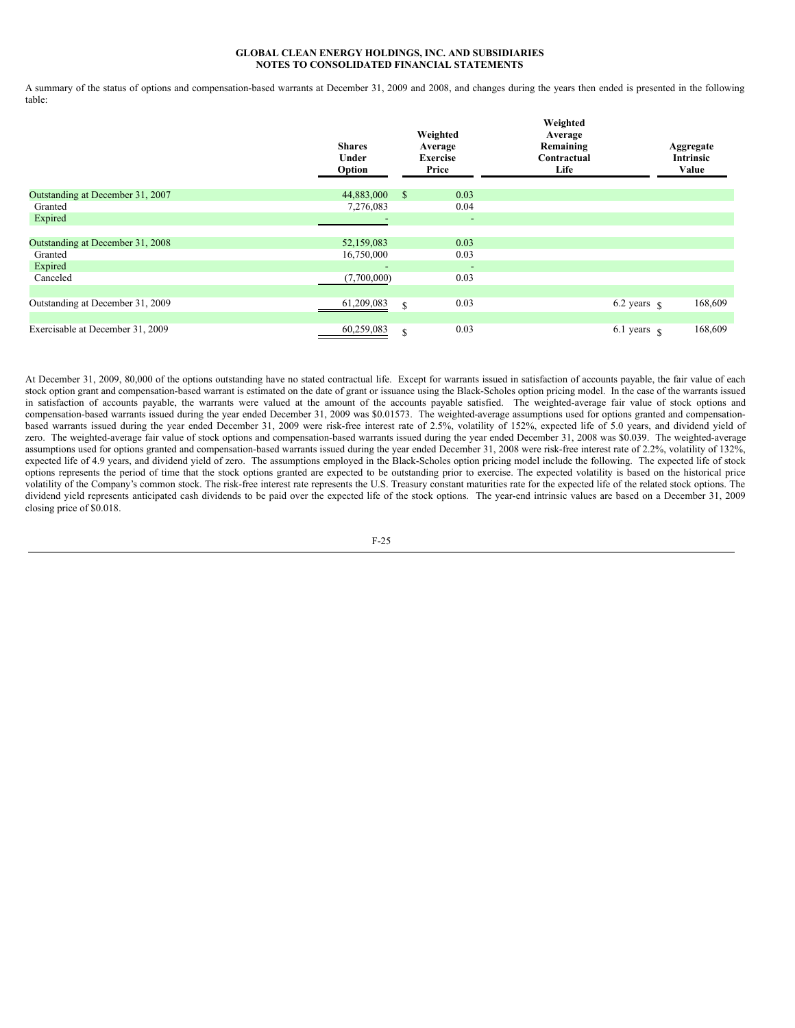A summary of the status of options and compensation-based warrants at December 31, 2009 and 2008, and changes during the years then ended is presented in the following table:

| <b>Shares</b><br>Under<br>Option |              | Price                    | Average<br>Remaining<br>Contractual<br>Life | Aggregate<br><b>Intrinsic</b><br>Value         |
|----------------------------------|--------------|--------------------------|---------------------------------------------|------------------------------------------------|
| 44,883,000                       | $\mathbb{S}$ | 0.03                     |                                             |                                                |
| 7,276,083                        |              | 0.04                     |                                             |                                                |
|                                  |              | $\overline{\phantom{a}}$ |                                             |                                                |
| 52,159,083                       |              | 0.03                     |                                             |                                                |
| 16,750,000                       |              | 0.03                     |                                             |                                                |
| $\overline{\phantom{a}}$         |              | $\overline{\phantom{a}}$ |                                             |                                                |
| (7,700,000)                      |              | 0.03                     |                                             |                                                |
|                                  |              |                          |                                             |                                                |
| 61,209,083                       | $\mathbf S$  | 0.03                     |                                             | 168,609                                        |
| 60,259,083                       |              | 0.03                     |                                             | 168,609                                        |
|                                  |              | \$                       | Weighted<br>Average<br><b>Exercise</b>      | Weighted<br>6.2 years $\,$ s<br>6.1 years $\,$ |

At December 31, 2009, 80,000 of the options outstanding have no stated contractual life. Except for warrants issued in satisfaction of accounts payable, the fair value of each stock option grant and compensation-based warrant is estimated on the date of grant or issuance using the Black-Scholes option pricing model. In the case of the warrants issued in satisfaction of accounts payable, the warrants were valued at the amount of the accounts payable satisfied. The weighted-average fair value of stock options and compensation-based warrants issued during the year ended December 31, 2009 was \$0.01573. The weighted-average assumptions used for options granted and compensationbased warrants issued during the year ended December 31, 2009 were risk-free interest rate of 2.5%, volatility of 152%, expected life of 5.0 years, and dividend yield of zero. The weighted-average fair value of stock options and compensation-based warrants issued during the year ended December 31, 2008 was \$0.039. The weighted-average assumptions used for options granted and compensation-based warrants issued during the year ended December 31, 2008 were risk-free interest rate of 2.2%, volatility of 132%, expected life of 4.9 years, and dividend yield of zero. The assumptions employed in the Black-Scholes option pricing model include the following. The expected life of stock options represents the period of time that the stock options granted are expected to be outstanding prior to exercise. The expected volatility is based on the historical price volatility of the Company's common stock. The risk-free interest rate represents the U.S. Treasury constant maturities rate for the expected life of the related stock options. The dividend yield represents anticipated cash dividends to be paid over the expected life of the stock options. The year-end intrinsic values are based on a December 31, 2009 closing price of \$0.018.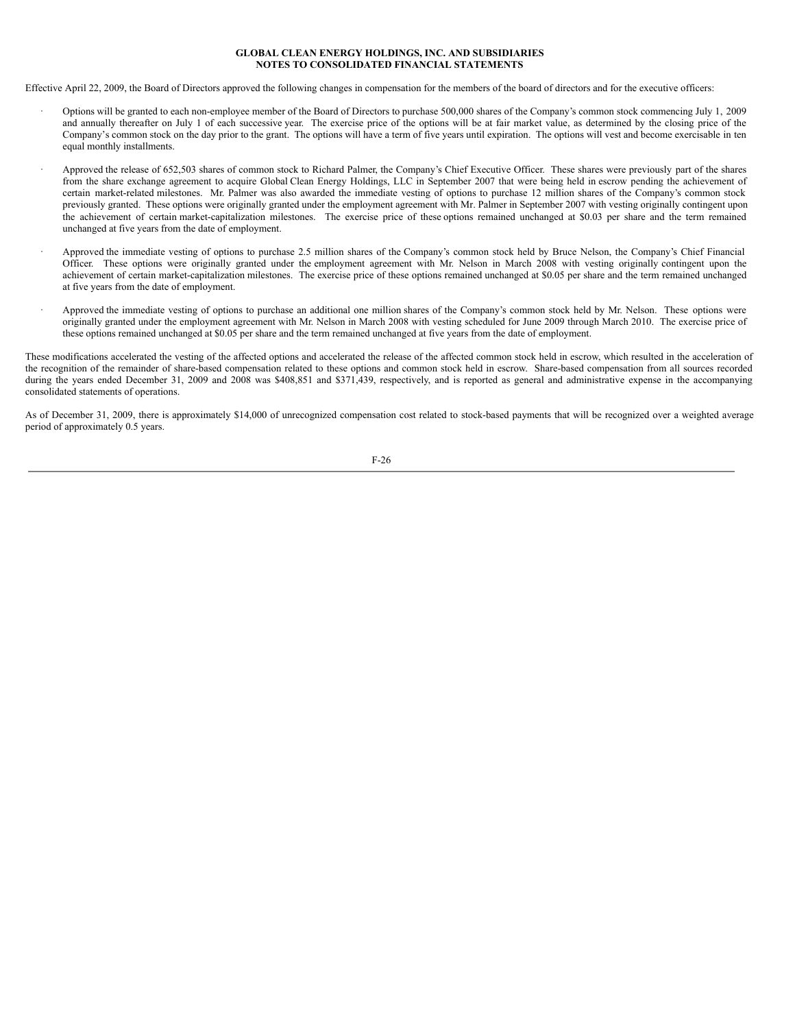Effective April 22, 2009, the Board of Directors approved the following changes in compensation for the members of the board of directors and for the executive officers:

- · Options will be granted to each non-employee member of the Board of Directors to purchase 500,000 shares of the Company's common stock commencing July 1, 2009 and annually thereafter on July 1 of each successive year. The exercise price of the options will be at fair market value, as determined by the closing price of the Company's common stock on the day prior to the grant. The options will have a term of five years until expiration. The options will vest and become exercisable in ten equal monthly installments.
- · Approved the release of 652,503 shares of common stock to Richard Palmer, the Company's Chief Executive Officer. These shares were previously part of the shares from the share exchange agreement to acquire Global Clean Energy Holdings, LLC in September 2007 that were being held in escrow pending the achievement of certain market-related milestones. Mr. Palmer was also awarded the immediate vesting of options to purchase 12 million shares of the Company's common stock previously granted. These options were originally granted under the employment agreement with Mr. Palmer in September 2007 with vesting originally contingent upon the achievement of certain market-capitalization milestones. The exercise price of these options remained unchanged at \$0.03 per share and the term remained unchanged at five years from the date of employment.
- · Approved the immediate vesting of options to purchase 2.5 million shares of the Company's common stock held by Bruce Nelson, the Company's Chief Financial Officer. These options were originally granted under the employment agreement with Mr. Nelson in March 2008 with vesting originally contingent upon the achievement of certain market-capitalization milestones. The exercise price of these options remained unchanged at \$0.05 per share and the term remained unchanged at five years from the date of employment.
- · Approved the immediate vesting of options to purchase an additional one million shares of the Company's common stock held by Mr. Nelson. These options were originally granted under the employment agreement with Mr. Nelson in March 2008 with vesting scheduled for June 2009 through March 2010. The exercise price of these options remained unchanged at \$0.05 per share and the term remained unchanged at five years from the date of employment.

These modifications accelerated the vesting of the affected options and accelerated the release of the affected common stock held in escrow, which resulted in the acceleration of the recognition of the remainder of share-based compensation related to these options and common stock held in escrow. Share-based compensation from all sources recorded during the years ended December 31, 2009 and 2008 was \$408,851 and \$371,439, respectively, and is reported as general and administrative expense in the accompanying consolidated statements of operations.

As of December 31, 2009, there is approximately \$14,000 of unrecognized compensation cost related to stock-based payments that will be recognized over a weighted average period of approximately 0.5 years.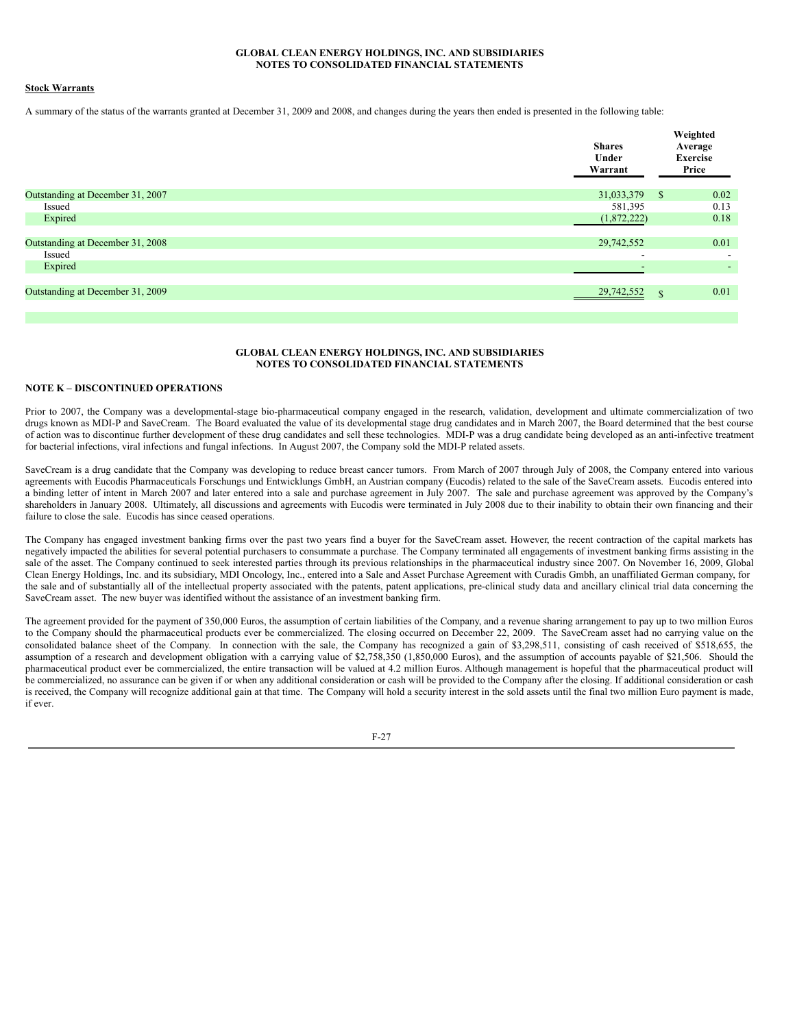## **Stock Warrants**

A summary of the status of the warrants granted at December 31, 2009 and 2008, and changes during the years then ended is presented in the following table:

|                                  | <b>Shares</b><br>Under<br>Warrant | Weighted<br>Average<br><b>Exercise</b><br>Price |
|----------------------------------|-----------------------------------|-------------------------------------------------|
| Outstanding at December 31, 2007 | 31,033,379 \$                     | 0.02                                            |
| Issued                           | 581,395                           | 0.13                                            |
| Expired                          | (1,872,222)                       | 0.18                                            |
| Outstanding at December 31, 2008 | 29,742,552                        | 0.01                                            |
| Issued                           | ۰.                                | $\overline{\phantom{a}}$                        |
| Expired                          |                                   | $\sim$                                          |
|                                  |                                   |                                                 |
| Outstanding at December 31, 2009 | 29,742,552                        | 0.01<br>$\mathcal{S}$                           |
|                                  |                                   |                                                 |

# **GLOBAL CLEAN ENERGY HOLDINGS, INC. AND SUBSIDIARIES NOTES TO CONSOLIDATED FINANCIAL STATEMENTS**

#### **NOTE K – DISCONTINUED OPERATIONS**

Prior to 2007, the Company was a developmental-stage bio-pharmaceutical company engaged in the research, validation, development and ultimate commercialization of two drugs known as MDI-P and SaveCream. The Board evaluated the value of its developmental stage drug candidates and in March 2007, the Board determined that the best course of action was to discontinue further development of these drug candidates and sell these technologies. MDI-P was a drug candidate being developed as an anti-infective treatment for bacterial infections, viral infections and fungal infections. In August 2007, the Company sold the MDI-P related assets.

SaveCream is a drug candidate that the Company was developing to reduce breast cancer tumors. From March of 2007 through July of 2008, the Company entered into various agreements with Eucodis Pharmaceuticals Forschungs und Entwicklungs GmbH, an Austrian company (Eucodis) related to the sale of the SaveCream assets. Eucodis entered into a binding letter of intent in March 2007 and later entered into a sale and purchase agreement in July 2007. The sale and purchase agreement was approved by the Company's shareholders in January 2008. Ultimately, all discussions and agreements with Eucodis were terminated in July 2008 due to their inability to obtain their own financing and their failure to close the sale. Eucodis has since ceased operations.

The Company has engaged investment banking firms over the past two years find a buyer for the SaveCream asset. However, the recent contraction of the capital markets has negatively impacted the abilities for several potential purchasers to consummate a purchase. The Company terminated all engagements of investment banking firms assisting in the sale of the asset. The Company continued to seek interested parties through its previous relationships in the pharmaceutical industry since 2007. On November 16, 2009, Global Clean Energy Holdings, Inc. and its subsidiary, MDI Oncology, Inc., entered into a Sale and Asset Purchase Agreement with Curadis Gmbh, an unaffiliated German company, for the sale and of substantially all of the intellectual property associated with the patents, patent applications, pre-clinical study data and ancillary clinical trial data concerning the SaveCream asset. The new buyer was identified without the assistance of an investment banking firm.

The agreement provided for the payment of 350,000 Euros, the assumption of certain liabilities of the Company, and a revenue sharing arrangement to pay up to two million Euros to the Company should the pharmaceutical products ever be commercialized. The closing occurred on December 22, 2009. The SaveCream asset had no carrying value on the consolidated balance sheet of the Company. In connection with the sale, the Company has recognized a gain of \$3,298,511, consisting of cash received of \$518,655, the assumption of a research and development obligation with a carrying value of \$2,758,350 (1,850,000 Euros), and the assumption of accounts payable of \$21,506. Should the pharmaceutical product ever be commercialized, the entire transaction will be valued at 4.2 million Euros. Although management is hopeful that the pharmaceutical product will be commercialized, no assurance can be given if or when any additional consideration or cash will be provided to the Company after the closing. If additional consideration or cash is received, the Company will recognize additional gain at that time. The Company will hold a security interest in the sold assets until the final two million Euro payment is made, if ever.

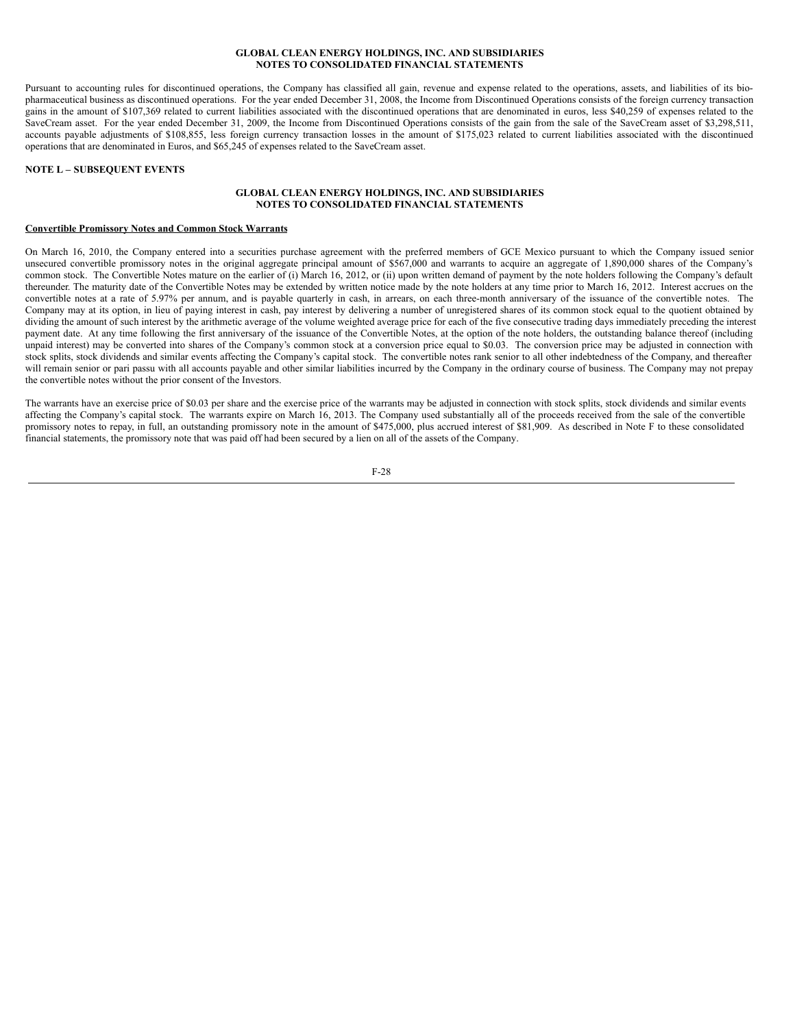Pursuant to accounting rules for discontinued operations, the Company has classified all gain, revenue and expense related to the operations, assets, and liabilities of its biopharmaceutical business as discontinued operations. For the year ended December 31, 2008, the Income from Discontinued Operations consists of the foreign currency transaction gains in the amount of \$107,369 related to current liabilities associated with the discontinued operations that are denominated in euros, less \$40,259 of expenses related to the SaveCream asset. For the year ended December 31, 2009, the Income from Discontinued Operations consists of the gain from the sale of the SaveCream asset of \$3,298,511, accounts payable adjustments of \$108,855, less foreign currency transaction losses in the amount of \$175,023 related to current liabilities associated with the discontinued operations that are denominated in Euros, and \$65,245 of expenses related to the SaveCream asset.

#### **NOTE L – SUBSEQUENT EVENTS**

# **GLOBAL CLEAN ENERGY HOLDINGS, INC. AND SUBSIDIARIES NOTES TO CONSOLIDATED FINANCIAL STATEMENTS**

#### **Convertible Promissory Notes and Common Stock Warrants**

On March 16, 2010, the Company entered into a securities purchase agreement with the preferred members of GCE Mexico pursuant to which the Company issued senior unsecured convertible promissory notes in the original aggregate principal amount of \$567,000 and warrants to acquire an aggregate of 1,890,000 shares of the Company's common stock. The Convertible Notes mature on the earlier of (i) March 16, 2012, or (ii) upon written demand of payment by the note holders following the Company's default thereunder. The maturity date of the Convertible Notes may be extended by written notice made by the note holders at any time prior to March 16, 2012. Interest accrues on the convertible notes at a rate of 5.97% per annum, and is payable quarterly in cash, in arrears, on each three-month anniversary of the issuance of the convertible notes. The Company may at its option, in lieu of paying interest in cash, pay interest by delivering a number of unregistered shares of its common stock equal to the quotient obtained by dividing the amount of such interest by the arithmetic average of the volume weighted average price for each of the five consecutive trading days immediately preceding the interest payment date. At any time following the first anniversary of the issuance of the Convertible Notes, at the option of the note holders, the outstanding balance thereof (including unpaid interest) may be converted into shares of the Company's common stock at a conversion price equal to \$0.03. The conversion price may be adjusted in connection with stock splits, stock dividends and similar events affecting the Company's capital stock. The convertible notes rank senior to all other indebtedness of the Company, and thereafter will remain senior or pari passu with all accounts payable and other similar liabilities incurred by the Company in the ordinary course of business. The Company may not prepay the convertible notes without the prior consent of the Investors.

The warrants have an exercise price of \$0.03 per share and the exercise price of the warrants may be adjusted in connection with stock splits, stock dividends and similar events affecting the Company's capital stock. The warrants expire on March 16, 2013. The Company used substantially all of the proceeds received from the sale of the convertible promissory notes to repay, in full, an outstanding promissory note in the amount of \$475,000, plus accrued interest of \$81,909. As described in Note F to these consolidated financial statements, the promissory note that was paid off had been secured by a lien on all of the assets of the Company.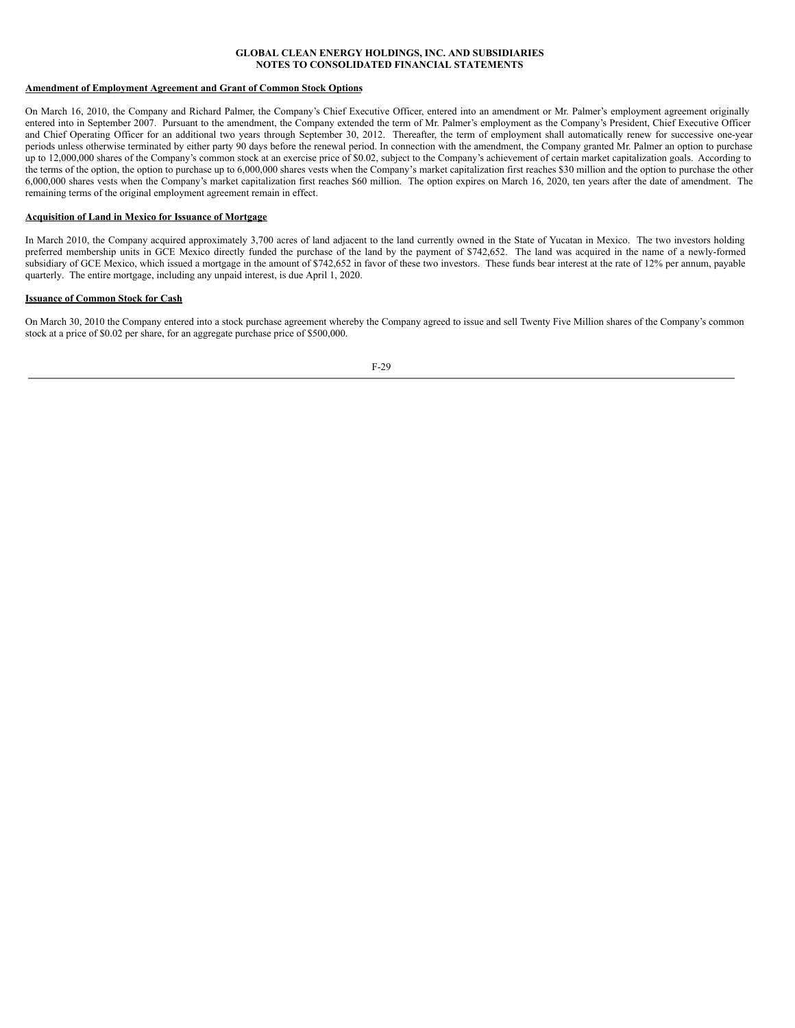# **Amendment of Employment Agreement and Grant of Common Stock Options**

On March 16, 2010, the Company and Richard Palmer, the Company's Chief Executive Officer, entered into an amendment or Mr. Palmer's employment agreement originally entered into in September 2007. Pursuant to the amendment, the Company extended the term of Mr. Palmer's employment as the Company's President, Chief Executive Officer and Chief Operating Officer for an additional two years through September 30, 2012. Thereafter, the term of employment shall automatically renew for successive one-year periods unless otherwise terminated by either party 90 days before the renewal period. In connection with the amendment, the Company granted Mr. Palmer an option to purchase up to 12,000,000 shares of the Company's common stock at an exercise price of \$0.02, subject to the Company's achievement of certain market capitalization goals. According to the terms of the option, the option to purchase up to 6,000,000 shares vests when the Company's market capitalization first reaches \$30 million and the option to purchase the other 6,000,000 shares vests when the Company's market capitalization first reaches \$60 million. The option expires on March 16, 2020, ten years after the date of amendment. The remaining terms of the original employment agreement remain in effect.

# **Acquisition of Land in Mexico for Issuance of Mortgage**

In March 2010, the Company acquired approximately 3,700 acres of land adjacent to the land currently owned in the State of Yucatan in Mexico. The two investors holding preferred membership units in GCE Mexico directly funded the purchase of the land by the payment of \$742,652. The land was acquired in the name of a newly-formed subsidiary of GCE Mexico, which issued a mortgage in the amount of \$742,652 in favor of these two investors. These funds bear interest at the rate of 12% per annum, payable quarterly. The entire mortgage, including any unpaid interest, is due April 1, 2020.

# **Issuance of Common Stock for Cash**

On March 30, 2010 the Company entered into a stock purchase agreement whereby the Company agreed to issue and sell Twenty Five Million shares of the Company's common stock at a price of \$0.02 per share, for an aggregate purchase price of \$500,000.

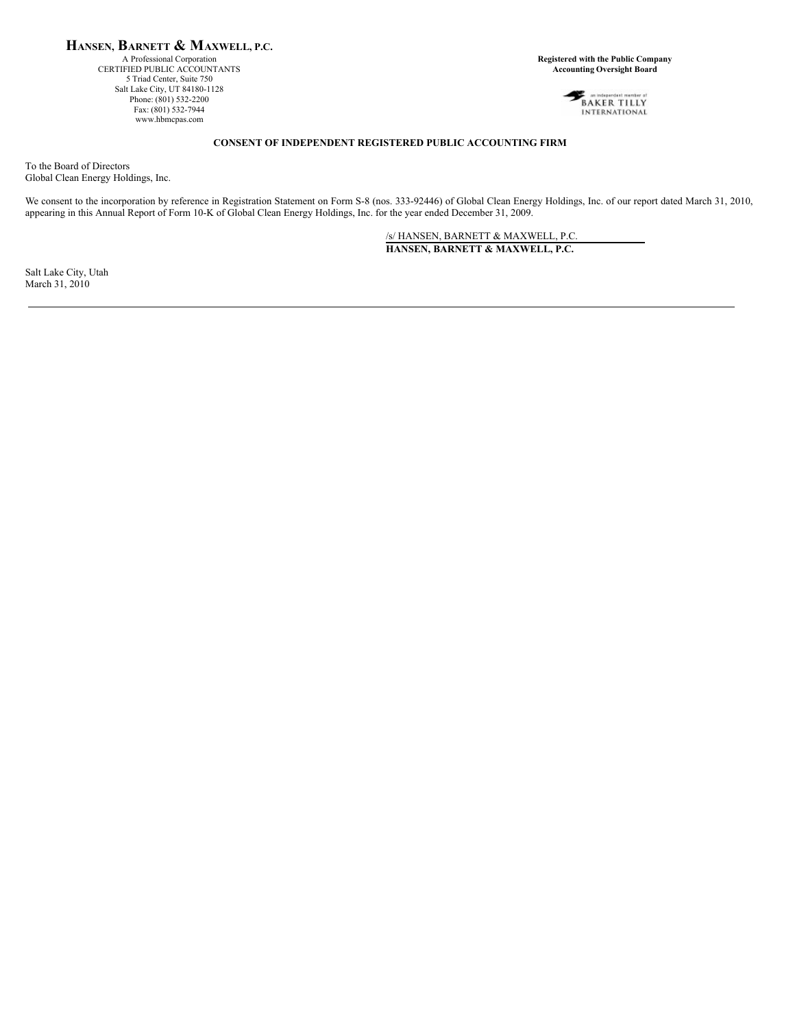**HANSEN, BARNETT & MAXWELL, P.C.**

A Professional Corporation CERTIFIED PUBLIC ACCOUNTANTS 5 Triad Center, Suite 750 Salt Lake City, UT 84180-1128 Phone: (801) 532-2200 Fax: (801) 532-7944 www.hbmcpas.com

**Registered with the Public Company Accounting Oversight Board**

> BAKER TILLY **INTERNATIONAL**

# **CONSENT OF INDEPENDENT REGISTERED PUBLIC ACCOUNTING FIRM**

To the Board of Directors Global Clean Energy Holdings, Inc.

We consent to the incorporation by reference in Registration Statement on Form S-8 (nos. 333-92446) of Global Clean Energy Holdings, Inc. of our report dated March 31, 2010, appearing in this Annual Report of Form 10-K of Global Clean Energy Holdings, Inc. for the year ended December 31, 2009.

> /s/ HANSEN, BARNETT & MAXWELL, P.C. **HANSEN, BARNETT & MAXWELL, P.C.**

Salt Lake City, Utah March 31, 2010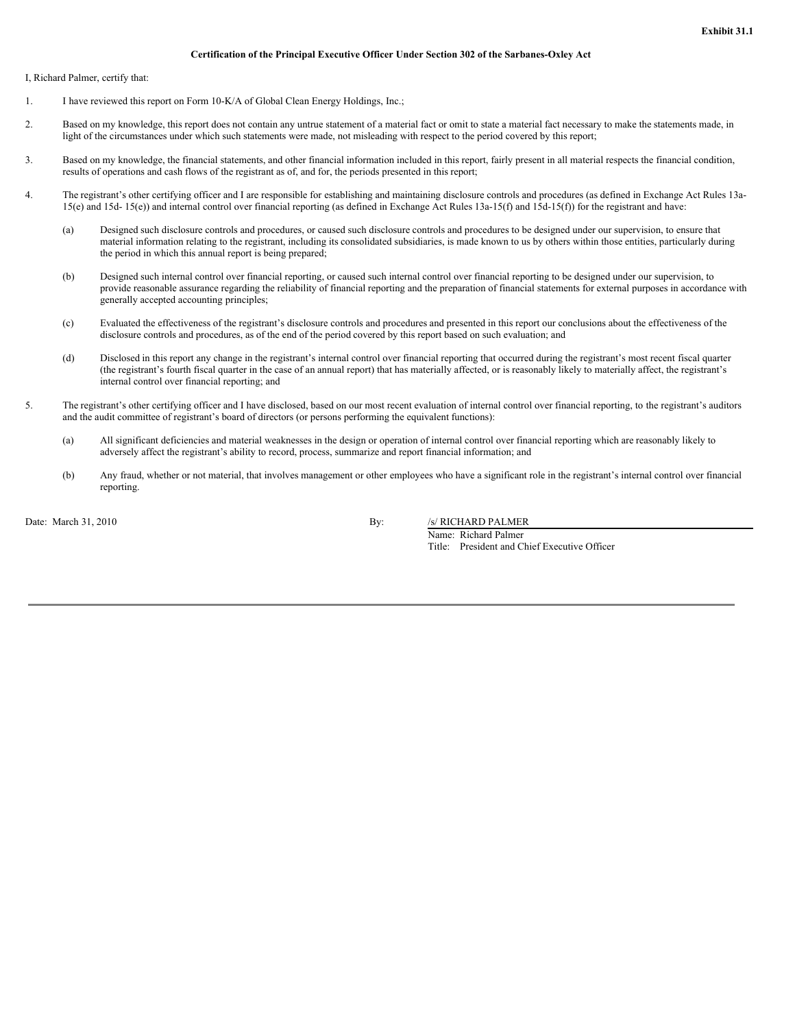### **Certification of the Principal Executive Officer Under Section 302 of the Sarbanes-Oxley Act**

I, Richard Palmer, certify that:

- 1. I have reviewed this report on Form 10-K/A of Global Clean Energy Holdings, Inc.;
- 2. Based on my knowledge, this report does not contain any untrue statement of a material fact or omit to state a material fact necessary to make the statements made, in light of the circumstances under which such statements were made, not misleading with respect to the period covered by this report;
- 3. Based on my knowledge, the financial statements, and other financial information included in this report, fairly present in all material respects the financial condition, results of operations and cash flows of the registrant as of, and for, the periods presented in this report;
- 4. The registrant's other certifying officer and I are responsible for establishing and maintaining disclosure controls and procedures (as defined in Exchange Act Rules 13a-15(e) and 15d- 15(e)) and internal control over financial reporting (as defined in Exchange Act Rules 13a-15(f) and 15d-15(f)) for the registrant and have:
	- (a) Designed such disclosure controls and procedures, or caused such disclosure controls and procedures to be designed under our supervision, to ensure that material information relating to the registrant, including its consolidated subsidiaries, is made known to us by others within those entities, particularly during the period in which this annual report is being prepared;
	- (b) Designed such internal control over financial reporting, or caused such internal control over financial reporting to be designed under our supervision, to provide reasonable assurance regarding the reliability of financial reporting and the preparation of financial statements for external purposes in accordance with generally accepted accounting principles;
	- (c) Evaluated the effectiveness of the registrant's disclosure controls and procedures and presented in this report our conclusions about the effectiveness of the disclosure controls and procedures, as of the end of the period covered by this report based on such evaluation; and
	- (d) Disclosed in this report any change in the registrant's internal control over financial reporting that occurred during the registrant's most recent fiscal quarter (the registrant's fourth fiscal quarter in the case of an annual report) that has materially affected, or is reasonably likely to materially affect, the registrant's internal control over financial reporting; and
- 5. The registrant's other certifying officer and I have disclosed, based on our most recent evaluation of internal control over financial reporting, to the registrant's auditors and the audit committee of registrant's board of directors (or persons performing the equivalent functions):
	- (a) All significant deficiencies and material weaknesses in the design or operation of internal control over financial reporting which are reasonably likely to adversely affect the registrant's ability to record, process, summarize and report financial information; and
	- (b) Any fraud, whether or not material, that involves management or other employees who have a significant role in the registrant's internal control over financial reporting.

Date: March 31, 2010 By: /s/ RICHARD PALMER

Name: Richard Palmer Title: President and Chief Executive Officer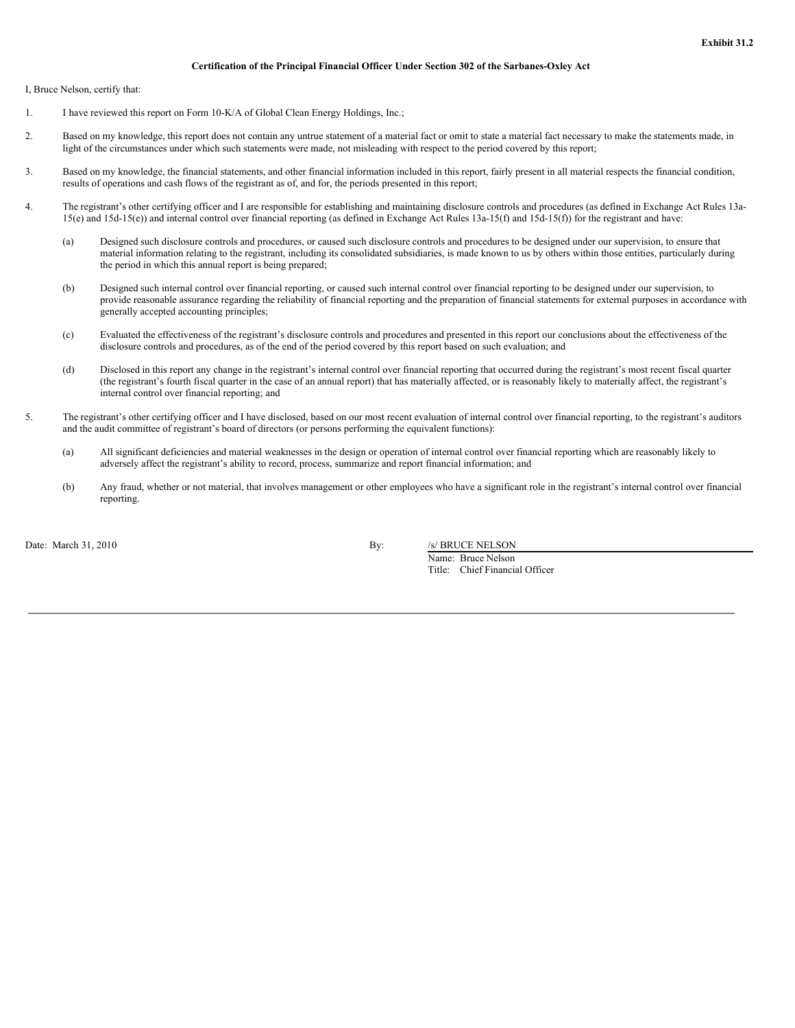#### **Certification of the Principal Financial Officer Under Section 302 of the Sarbanes-Oxley Act**

I, Bruce Nelson, certify that:

- 1. I have reviewed this report on Form 10-K/A of Global Clean Energy Holdings, Inc.;
- 2. Based on my knowledge, this report does not contain any untrue statement of a material fact or omit to state a material fact necessary to make the statements made, in light of the circumstances under which such statements were made, not misleading with respect to the period covered by this report;
- 3. Based on my knowledge, the financial statements, and other financial information included in this report, fairly present in all material respects the financial condition, results of operations and cash flows of the registrant as of, and for, the periods presented in this report;
- 4. The registrant's other certifying officer and I are responsible for establishing and maintaining disclosure controls and procedures (as defined in Exchange Act Rules 13a-15(e) and 15d-15(e)) and internal control over financial reporting (as defined in Exchange Act Rules 13a-15(f) and 15d-15(f)) for the registrant and have:
	- (a) Designed such disclosure controls and procedures, or caused such disclosure controls and procedures to be designed under our supervision, to ensure that material information relating to the registrant, including its consolidated subsidiaries, is made known to us by others within those entities, particularly during the period in which this annual report is being prepared;
	- (b) Designed such internal control over financial reporting, or caused such internal control over financial reporting to be designed under our supervision, to provide reasonable assurance regarding the reliability of financial reporting and the preparation of financial statements for external purposes in accordance with generally accepted accounting principles;
	- (c) Evaluated the effectiveness of the registrant's disclosure controls and procedures and presented in this report our conclusions about the effectiveness of the disclosure controls and procedures, as of the end of the period covered by this report based on such evaluation; and
	- (d) Disclosed in this report any change in the registrant's internal control over financial reporting that occurred during the registrant's most recent fiscal quarter (the registrant's fourth fiscal quarter in the case of an annual report) that has materially affected, or is reasonably likely to materially affect, the registrant's internal control over financial reporting; and
- 5. The registrant's other certifying officer and I have disclosed, based on our most recent evaluation of internal control over financial reporting, to the registrant's auditors and the audit committee of registrant's board of directors (or persons performing the equivalent functions):
	- (a) All significant deficiencies and material weaknesses in the design or operation of internal control over financial reporting which are reasonably likely to adversely affect the registrant's ability to record, process, summarize and report financial information; and
	- (b) Any fraud, whether or not material, that involves management or other employees who have a significant role in the registrant's internal control over financial reporting.

Date: March 31, 2010 By: /s/ BRUCE NELSON

Name: Bruce Nelson Title: Chief Financial Officer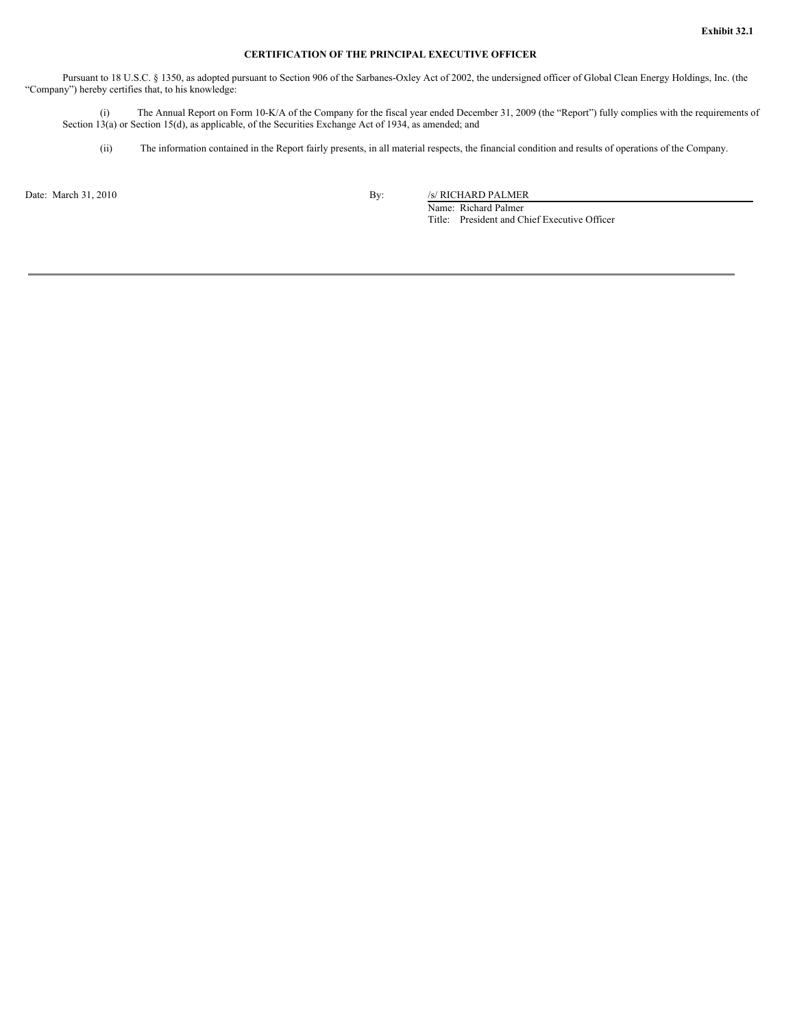## **CERTIFICATION OF THE PRINCIPAL EXECUTIVE OFFICER**

Pursuant to 18 U.S.C. § 1350, as adopted pursuant to Section 906 of the Sarbanes-Oxley Act of 2002, the undersigned officer of Global Clean Energy Holdings, Inc. (the "Company") hereby certifies that, to his knowledge:

(i) The Annual Report on Form 10-K/A of the Company for the fiscal year ended December 31, 2009 (the "Report") fully complies with the requirements of Section 13(a) or Section 15(d), as applicable, of the Securities Exchange Act of 1934, as amended; and

(ii) The information contained in the Report fairly presents, in all material respects, the financial condition and results of operations of the Company.

Date: March 31, 2010 By: /s/ RICHARD PALMER

Name: Richard Palmer Title: President and Chief Executive Officer